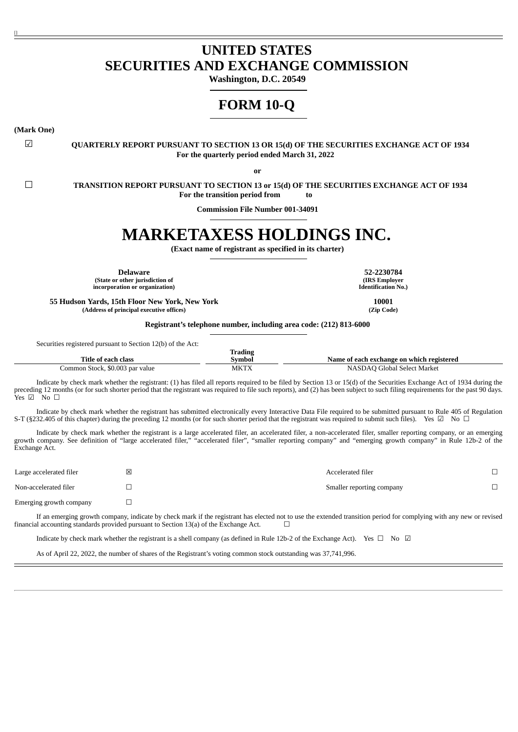# **UNITED STATES SECURITIES AND EXCHANGE COMMISSION**

**Washington, D.C. 20549**

# **FORM 10-Q**

## **(Mark One)**

[]

## ☑ **QUARTERLY REPORT PURSUANT TO SECTION 13 OR 15(d) OF THE SECURITIES EXCHANGE ACT OF 1934 For the quarterly period ended March 31, 2022**

**or**

☐ **TRANSITION REPORT PURSUANT TO SECTION 13 or 15(d) OF THE SECURITIES EXCHANGE ACT OF 1934 For the transition period from to**

**Commission File Number 001-34091**

# **MARKETAXESS HOLDINGS INC.**

**(Exact name of registrant as specified in its charter)**

**Delaware 52-2230784 (State or other jurisdiction of incorporation or organization)**

**(IRS Employer Identification No.)**

**55 Hudson Yards, 15th Floor New York, New York 10001 (Address of principal executive offices) (Zip Code)**

**Registrant's telephone number, including area code: (212) 813-6000**

Securities registered pursuant to Section 12(b) of the Act:

|                                 | <b>Trading</b> |                                           |
|---------------------------------|----------------|-------------------------------------------|
| Title of each class             | svmbol         | Name of each exchange on which registered |
| Common Stock, \$0.003 par value | MKTX           | NASDAO Global Select Market               |

Indicate by check mark whether the registrant: (1) has filed all reports required to be filed by Section 13 or 15(d) of the Securities Exchange Act of 1934 during the preceding 12 months (or for such shorter period that the registrant was required to file such reports), and (2) has been subject to such filing requirements for the past 90 days.<br>Yes  $\boxtimes$  No  $\Box$ <sup>.</sup><br>Yes ☑

Indicate by check mark whether the registrant has submitted electronically every Interactive Data File required to be submitted pursuant to Rule 405 of Regulation S-T (§232.405 of this chapter) during the preceding 12 months (or for such shorter period that the registrant was required to submit such files). Yes ☑ No □

Indicate by check mark whether the registrant is a large accelerated filer, an accelerated filer, a non-accelerated filer, smaller reporting company, or an emerging growth company. See definition of "large accelerated filer," "accelerated filer", "smaller reporting company" and "emerging growth company" in Rule 12b-2 of the Exchange Act.

| Large accelerated filer | ⊠ | Accelerated filer         |  |
|-------------------------|---|---------------------------|--|
| Non-accelerated filer   |   | Smaller reporting company |  |
| Emerging growth company |   |                           |  |

If an emerging growth company, indicate by check mark if the registrant has elected not to use the extended transition period for complying with any new or revised financial accounting standards provided pursuant to Section 13(a) of the Exchange Act.  $\Box$ 

Indicate by check mark whether the registrant is a shell company (as defined in Rule 12b-2 of the Exchange Act). Yes  $\Box$  No  $\Box$ 

As of April 22, 2022, the number of shares of the Registrant's voting common stock outstanding was 37,741,996.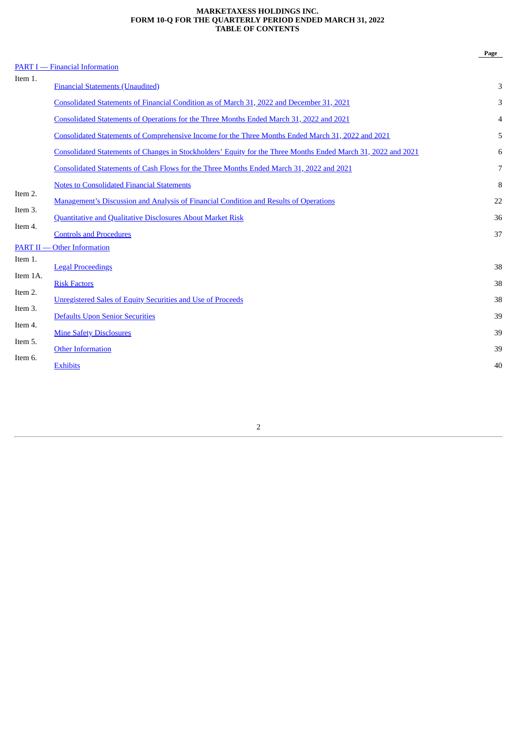## **MARKETAXESS HOLDINGS INC. FORM 10-Q FOR THE QUARTERLY PERIOD ENDED MARCH 31, 2022 TABLE OF CONTENTS**

|          |                                                                                                               | Page |
|----------|---------------------------------------------------------------------------------------------------------------|------|
|          | <b>PART I</b> - Financial Information                                                                         |      |
| Item 1.  | <b>Financial Statements (Unaudited)</b>                                                                       | 3    |
|          | Consolidated Statements of Financial Condition as of March 31, 2022 and December 31, 2021                     | 3    |
|          | Consolidated Statements of Operations for the Three Months Ended March 31, 2022 and 2021                      | 4    |
|          | Consolidated Statements of Comprehensive Income for the Three Months Ended March 31, 2022 and 2021            | 5    |
|          | Consolidated Statements of Changes in Stockholders' Equity for the Three Months Ended March 31, 2022 and 2021 | 6    |
|          | Consolidated Statements of Cash Flows for the Three Months Ended March 31, 2022 and 2021                      | 7    |
|          | <b>Notes to Consolidated Financial Statements</b>                                                             | 8    |
| Item 2.  | <b>Management's Discussion and Analysis of Financial Condition and Results of Operations</b>                  | 22   |
| Item 3.  | <b>Quantitative and Qualitative Disclosures About Market Risk</b>                                             | 36   |
| Item 4.  | <b>Controls and Procedures</b>                                                                                | 37   |
| PART II- | <b>Other Information</b>                                                                                      |      |
| Item 1.  | <b>Legal Proceedings</b>                                                                                      | 38   |
| Item 1A. | <b>Risk Factors</b>                                                                                           | 38   |
| Item 2.  | <b>Unregistered Sales of Equity Securities and Use of Proceeds</b>                                            | 38   |
| Item 3.  | <b>Defaults Upon Senior Securities</b>                                                                        | 39   |
| Item 4.  | <b>Mine Safety Disclosures</b>                                                                                | 39   |
| Item 5.  | <b>Other Information</b>                                                                                      | 39   |
| Item 6.  | <b>Exhibits</b>                                                                                               | 40   |
|          |                                                                                                               |      |

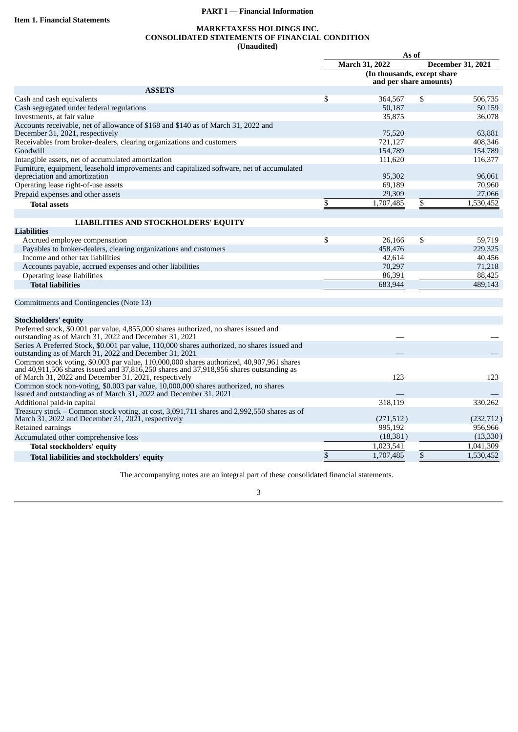## **PART I — Financial Information**

## **MARKETAXESS HOLDINGS INC. CONSOLIDATED STATEMENTS OF FINANCIAL CONDITION (Unaudited)**

<span id="page-2-2"></span><span id="page-2-1"></span><span id="page-2-0"></span>

|                                                                                                                                                                                                                                              | As of                 |                                                       |    |                        |  |
|----------------------------------------------------------------------------------------------------------------------------------------------------------------------------------------------------------------------------------------------|-----------------------|-------------------------------------------------------|----|------------------------|--|
|                                                                                                                                                                                                                                              | <b>March 31, 2022</b> | <b>December 31, 2021</b>                              |    |                        |  |
|                                                                                                                                                                                                                                              |                       | (In thousands, except share<br>and per share amounts) |    |                        |  |
| <b>ASSETS</b>                                                                                                                                                                                                                                |                       |                                                       |    |                        |  |
| Cash and cash equivalents                                                                                                                                                                                                                    | \$                    | 364.567                                               | \$ | 506.735                |  |
| Cash segregated under federal regulations                                                                                                                                                                                                    |                       | 50,187                                                |    | 50,159                 |  |
| Investments, at fair value                                                                                                                                                                                                                   |                       | 35,875                                                |    | 36,078                 |  |
| Accounts receivable, net of allowance of \$168 and \$140 as of March 31, 2022 and<br>December 31, 2021, respectively                                                                                                                         |                       | 75,520                                                |    | 63,881                 |  |
| Receivables from broker-dealers, clearing organizations and customers                                                                                                                                                                        |                       | 721,127                                               |    | 408,346                |  |
| Goodwill                                                                                                                                                                                                                                     |                       | 154,789                                               |    | 154,789                |  |
| Intangible assets, net of accumulated amortization                                                                                                                                                                                           |                       | 111,620                                               |    | 116,377                |  |
| Furniture, equipment, leasehold improvements and capitalized software, net of accumulated<br>depreciation and amortization                                                                                                                   |                       | 95,302                                                |    | 96,061                 |  |
| Operating lease right-of-use assets                                                                                                                                                                                                          |                       | 69,189                                                |    | 70,960                 |  |
| Prepaid expenses and other assets                                                                                                                                                                                                            |                       | 29,309                                                |    | 27,066                 |  |
| <b>Total assets</b>                                                                                                                                                                                                                          | \$                    | 1,707,485                                             | \$ | 1,530,452              |  |
|                                                                                                                                                                                                                                              |                       |                                                       |    |                        |  |
| <b>LIABILITIES AND STOCKHOLDERS' EQUITY</b>                                                                                                                                                                                                  |                       |                                                       |    |                        |  |
| <b>Liabilities</b>                                                                                                                                                                                                                           |                       |                                                       |    |                        |  |
| Accrued employee compensation                                                                                                                                                                                                                | \$                    | 26,166                                                | \$ | 59,719                 |  |
| Payables to broker-dealers, clearing organizations and customers                                                                                                                                                                             |                       | 458,476                                               |    | 229,325                |  |
| Income and other tax liabilities                                                                                                                                                                                                             |                       | 42,614                                                |    | 40,456                 |  |
| Accounts payable, accrued expenses and other liabilities                                                                                                                                                                                     |                       | 70,297                                                |    | 71,218                 |  |
| <b>Operating lease liabilities</b>                                                                                                                                                                                                           |                       | 86,391                                                |    | 88,425                 |  |
| <b>Total liabilities</b>                                                                                                                                                                                                                     |                       | 683,944                                               |    | 489,143                |  |
|                                                                                                                                                                                                                                              |                       |                                                       |    |                        |  |
| Commitments and Contingencies (Note 13)                                                                                                                                                                                                      |                       |                                                       |    |                        |  |
| <b>Stockholders' equity</b>                                                                                                                                                                                                                  |                       |                                                       |    |                        |  |
| Preferred stock, \$0.001 par value, 4,855,000 shares authorized, no shares issued and<br>outstanding as of March 31, 2022 and December 31, 2021                                                                                              |                       |                                                       |    |                        |  |
| Series A Preferred Stock, \$0.001 par value, 110,000 shares authorized, no shares issued and<br>outstanding as of March 31, 2022 and December 31, 2021                                                                                       |                       |                                                       |    |                        |  |
| Common stock voting, \$0.003 par value, 110,000,000 shares authorized, 40,907,961 shares<br>and 40,911,506 shares issued and 37,816,250 shares and 37,918,956 shares outstanding as<br>of March 31, 2022 and December 31, 2021, respectively |                       | 123                                                   |    | 123                    |  |
| Common stock non-voting, \$0.003 par value, 10,000,000 shares authorized, no shares                                                                                                                                                          |                       |                                                       |    |                        |  |
| issued and outstanding as of March 31, 2022 and December 31, 2021                                                                                                                                                                            |                       |                                                       |    |                        |  |
| Additional paid-in capital                                                                                                                                                                                                                   |                       | 318,119                                               |    | 330,262                |  |
| Treasury stock – Common stock voting, at cost, 3,091,711 shares and 2,992,550 shares as of                                                                                                                                                   |                       |                                                       |    |                        |  |
| March 31, 2022 and December 31, 2021, respectively                                                                                                                                                                                           |                       | (271, 512)                                            |    | (232, 712)             |  |
| Retained earnings                                                                                                                                                                                                                            |                       | 995,192                                               |    | 956,966                |  |
| Accumulated other comprehensive loss                                                                                                                                                                                                         |                       | (18, 381)<br>1,023,541                                |    | (13, 330)<br>1,041,309 |  |
| <b>Total stockholders' equity</b>                                                                                                                                                                                                            |                       |                                                       |    | 1,530,452              |  |
| Total liabilities and stockholders' equity                                                                                                                                                                                                   | \$                    | 1,707,485                                             | \$ |                        |  |

The accompanying notes are an integral part of these consolidated financial statements.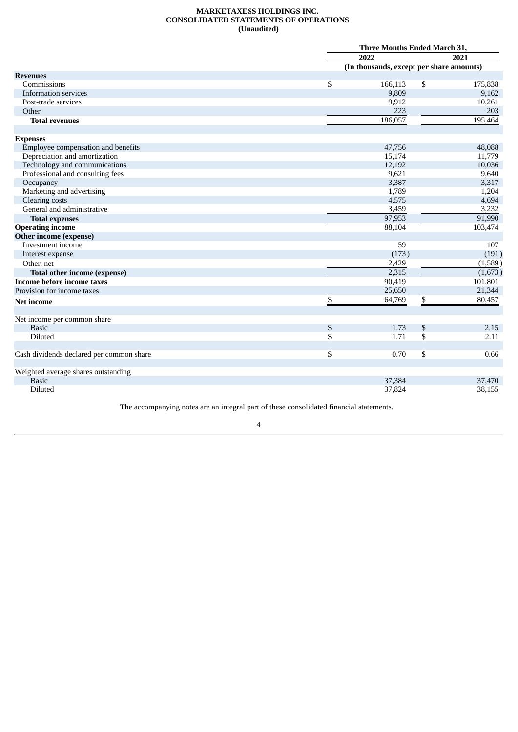## **MARKETAXESS HOLDINGS INC. CONSOLIDATED STATEMENTS OF OPERATIONS (Unaudited)**

<span id="page-3-0"></span>

|                                             | Three Months Ended March 31,             |    |         |  |  |
|---------------------------------------------|------------------------------------------|----|---------|--|--|
|                                             | 2022                                     |    | 2021    |  |  |
|                                             | (In thousands, except per share amounts) |    |         |  |  |
| <b>Revenues</b>                             |                                          |    |         |  |  |
| Commissions                                 | \$<br>166,113                            | \$ | 175,838 |  |  |
| <b>Information services</b>                 | 9,809                                    |    | 9,162   |  |  |
| Post-trade services                         | 9,912                                    |    | 10,261  |  |  |
| Other                                       | 223                                      |    | 203     |  |  |
| <b>Total revenues</b>                       | 186,057                                  |    | 195,464 |  |  |
| <b>Expenses</b>                             |                                          |    |         |  |  |
| Employee compensation and benefits          | 47,756                                   |    | 48,088  |  |  |
| Depreciation and amortization               | 15,174                                   |    | 11,779  |  |  |
| Technology and communications               | 12,192                                   |    | 10,036  |  |  |
| Professional and consulting fees            | 9,621                                    |    | 9,640   |  |  |
| Occupancy                                   | 3,387                                    |    | 3,317   |  |  |
| Marketing and advertising                   | 1,789                                    |    | 1,204   |  |  |
| <b>Clearing costs</b>                       | 4,575                                    |    | 4,694   |  |  |
| General and administrative                  | 3,459                                    |    | 3,232   |  |  |
| <b>Total expenses</b>                       | 97,953                                   |    | 91,990  |  |  |
| <b>Operating income</b>                     | 88,104                                   |    | 103,474 |  |  |
| Other income (expense)                      |                                          |    |         |  |  |
| Investment income                           | 59                                       |    | 107     |  |  |
| Interest expense                            | (173)                                    |    | (191)   |  |  |
| Other, net                                  | 2,429                                    |    | (1,589) |  |  |
| <b>Total other income (expense)</b>         | 2,315                                    |    | (1,673) |  |  |
| Income before income taxes                  | 90,419                                   |    | 101,801 |  |  |
| Provision for income taxes                  | 25,650                                   |    | 21,344  |  |  |
| Net income                                  | \$<br>64,769                             | \$ | 80,457  |  |  |
|                                             |                                          |    |         |  |  |
| Net income per common share<br><b>Basic</b> | \$<br>1.73                               | \$ | 2.15    |  |  |
| Diluted                                     | \$<br>1.71                               | \$ | 2.11    |  |  |
|                                             |                                          |    |         |  |  |
| Cash dividends declared per common share    | \$<br>0.70                               | \$ | 0.66    |  |  |
| Weighted average shares outstanding         |                                          |    |         |  |  |
| <b>Basic</b>                                | 37,384                                   |    | 37,470  |  |  |
| <b>Diluted</b>                              | 37,824                                   |    | 38,155  |  |  |

The accompanying notes are an integral part of these consolidated financial statements.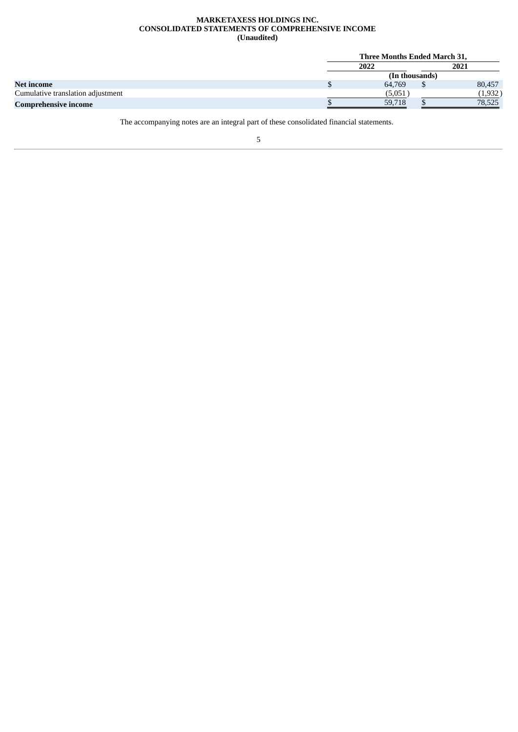## **MARKETAXESS HOLDINGS INC. CONSOLIDATED STATEMENTS OF COMPREHENSIVE INCOME (Unaudited)**

<span id="page-4-0"></span>

|                                   | Three Months Ended March 31, |  |         |  |  |
|-----------------------------------|------------------------------|--|---------|--|--|
|                                   | 2022                         |  | 2021    |  |  |
|                                   | (In thousands)               |  |         |  |  |
| Net income                        | 64,769                       |  | 80,457  |  |  |
| Cumulative translation adjustment | (5,051)                      |  | (1,932) |  |  |
| <b>Comprehensive income</b>       | 59,718                       |  | 78,525  |  |  |

The accompanying notes are an integral part of these consolidated financial statements.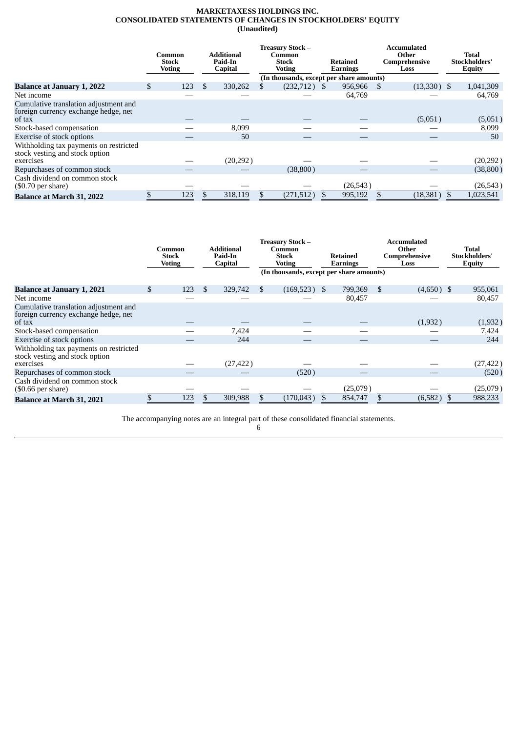## **MARKETAXESS HOLDINGS INC. CONSOLIDATED STATEMENTS OF CHANGES IN STOCKHOLDERS' EQUITY (Unaudited)**

<span id="page-5-0"></span>

|                                                                                         | Common<br><b>Stock</b><br>Voting | <b>Additional</b><br>Paid-In<br>Capital |    | <b>Treasury Stock -</b><br>Common<br><b>Stock</b><br><b>Voting</b> | <b>Retained</b><br>Earnings |      | <b>Accumulated</b><br>Other<br>Comprehensive<br>Loss | Total<br>Stockholders'<br><b>Equity</b> |
|-----------------------------------------------------------------------------------------|----------------------------------|-----------------------------------------|----|--------------------------------------------------------------------|-----------------------------|------|------------------------------------------------------|-----------------------------------------|
|                                                                                         |                                  |                                         |    | (In thousands, except per share amounts)                           |                             |      |                                                      |                                         |
| <b>Balance at January 1, 2022</b>                                                       | \$<br>123                        | \$<br>330,262                           | S. | $(232,712)$ \$                                                     | 956,966                     | - \$ | $(13,330)$ \$                                        | 1,041,309                               |
| Net income                                                                              |                                  |                                         |    |                                                                    | 64,769                      |      |                                                      | 64,769                                  |
| Cumulative translation adjustment and<br>foreign currency exchange hedge, net<br>of tax |                                  |                                         |    |                                                                    |                             |      | (5,051)                                              | (5,051)                                 |
| Stock-based compensation                                                                |                                  | 8,099                                   |    |                                                                    |                             |      |                                                      | 8,099                                   |
| <b>Exercise of stock options</b>                                                        |                                  | 50                                      |    |                                                                    |                             |      |                                                      | 50                                      |
| Withholding tax payments on restricted<br>stock vesting and stock option<br>exercises   |                                  | (20, 292)                               |    |                                                                    |                             |      |                                                      | (20, 292)                               |
| Repurchases of common stock                                                             |                                  |                                         |    | (38, 800)                                                          |                             |      |                                                      | (38, 800)                               |
| Cash dividend on common stock<br>$$0.70$ per share)                                     |                                  |                                         |    |                                                                    | (26, 543)                   |      |                                                      | (26, 543)                               |
| <b>Balance at March 31, 2022</b>                                                        | 123                              | 318,119                                 |    | (271, 512)                                                         | 995,192                     |      | (18, 381)                                            | 1,023,541                               |

|                                                                                         |     | Common<br><b>Stock</b><br>Voting |     | <b>Additional</b><br>Paid-In<br>Capital |     | <b>Treasury Stock -</b><br>Common<br><b>Stock</b><br><b>Voting</b><br>(In thousands, except per share amounts) | <b>Retained</b><br><b>Earnings</b> |     | <b>Accumulated</b><br>Other<br>Comprehensive<br>Loss | <b>Total</b><br>Stockholders'<br><b>Equity</b> |
|-----------------------------------------------------------------------------------------|-----|----------------------------------|-----|-----------------------------------------|-----|----------------------------------------------------------------------------------------------------------------|------------------------------------|-----|------------------------------------------------------|------------------------------------------------|
| <b>Balance at January 1, 2021</b>                                                       | \$. | 123                              | \$. | 329,742                                 | \$. | $(169,523)$ \$                                                                                                 | 799,369                            | \$. | $(4,650)$ \$                                         | 955,061                                        |
| Net income                                                                              |     |                                  |     |                                         |     |                                                                                                                | 80,457                             |     |                                                      | 80,457                                         |
| Cumulative translation adjustment and<br>foreign currency exchange hedge, net<br>of tax |     |                                  |     |                                         |     |                                                                                                                |                                    |     | (1,932)                                              | (1,932)                                        |
| Stock-based compensation                                                                |     |                                  |     | 7,424                                   |     |                                                                                                                |                                    |     |                                                      | 7,424                                          |
| <b>Exercise of stock options</b>                                                        |     |                                  |     | 244                                     |     |                                                                                                                |                                    |     |                                                      | 244                                            |
| Withholding tax payments on restricted<br>stock vesting and stock option<br>exercises   |     |                                  |     | (27, 422)                               |     |                                                                                                                |                                    |     |                                                      | (27, 422)                                      |
| Repurchases of common stock                                                             |     |                                  |     |                                         |     | (520)                                                                                                          |                                    |     |                                                      | (520)                                          |
| Cash dividend on common stock<br>$(\$0.66$ per share)                                   |     |                                  |     |                                         |     |                                                                                                                | (25,079)                           |     |                                                      | (25,079)                                       |
| Balance at March 31, 2021                                                               |     | 123                              |     | 309,988                                 |     | (170, 043)                                                                                                     | 854,747                            |     | (6,582)                                              | 988,233                                        |

The accompanying notes are an integral part of these consolidated financial statements.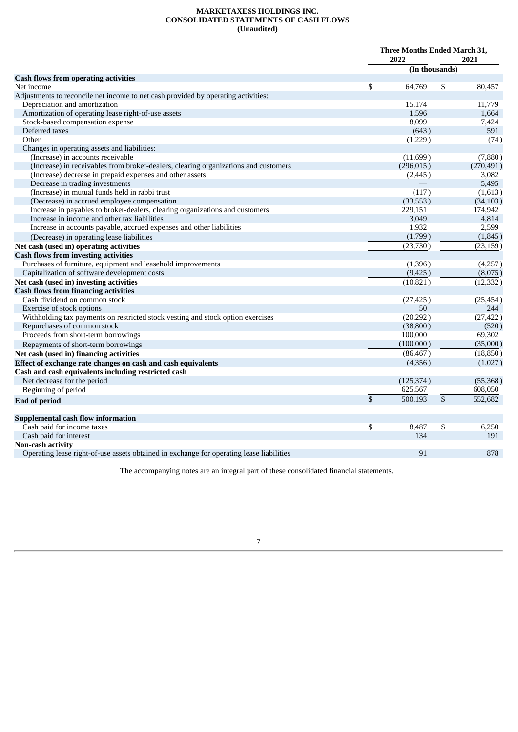## **MARKETAXESS HOLDINGS INC. CONSOLIDATED STATEMENTS OF CASH FLOWS (Unaudited)**

<span id="page-6-0"></span>

|                                                                                          | <b>Three Months Ended March 31,</b> |                       |    |                     |
|------------------------------------------------------------------------------------------|-------------------------------------|-----------------------|----|---------------------|
|                                                                                          |                                     | 2022                  |    | 2021                |
|                                                                                          |                                     | (In thousands)        |    |                     |
| <b>Cash flows from operating activities</b>                                              |                                     |                       |    |                     |
| Net income                                                                               | \$                                  | 64,769                | \$ | 80,457              |
| Adjustments to reconcile net income to net cash provided by operating activities:        |                                     |                       |    |                     |
| Depreciation and amortization                                                            |                                     | 15,174                |    | 11,779              |
| Amortization of operating lease right-of-use assets                                      |                                     | 1,596                 |    | 1,664               |
| Stock-based compensation expense                                                         |                                     | 8,099                 |    | 7,424               |
| Deferred taxes                                                                           |                                     | (643)                 |    | 591                 |
| Other                                                                                    |                                     | (1,229)               |    | (74)                |
| Changes in operating assets and liabilities:                                             |                                     |                       |    |                     |
| (Increase) in accounts receivable                                                        |                                     | (11,699)              |    | (7,880)             |
| (Increase) in receivables from broker-dealers, clearing organizations and customers      |                                     | (296, 015)            |    | (270, 491)          |
| (Increase) decrease in prepaid expenses and other assets                                 |                                     | (2, 445)              |    | 3,082               |
| Decrease in trading investments                                                          |                                     |                       |    | 5,495               |
| (Increase) in mutual funds held in rabbi trust                                           |                                     | (117)                 |    | (1,613)             |
| (Decrease) in accrued employee compensation                                              |                                     | (33,553)              |    | (34, 103)           |
| Increase in payables to broker-dealers, clearing organizations and customers             |                                     | 229,151               |    | 174,942             |
| Increase in income and other tax liabilities                                             |                                     | 3,049                 |    | 4,814               |
| Increase in accounts payable, accrued expenses and other liabilities                     |                                     | 1,932                 |    | 2,599               |
| (Decrease) in operating lease liabilities                                                |                                     | (1,799)               |    | (1, 845)            |
| Net cash (used in) operating activities                                                  |                                     | (23,730)              |    | (23, 159)           |
| <b>Cash flows from investing activities</b>                                              |                                     |                       |    |                     |
| Purchases of furniture, equipment and leasehold improvements                             |                                     | (1,396)               |    | (4,257)             |
| Capitalization of software development costs                                             |                                     | (9,425)               |    | (8,075)             |
| Net cash (used in) investing activities                                                  |                                     | (10, 821)             |    | (12, 332)           |
| <b>Cash flows from financing activities</b>                                              |                                     |                       |    |                     |
| Cash dividend on common stock                                                            |                                     | (27, 425)             |    | (25, 454)           |
| Exercise of stock options                                                                |                                     | 50                    |    | 244                 |
| Withholding tax payments on restricted stock vesting and stock option exercises          |                                     | (20, 292)             |    | (27, 422)           |
| Repurchases of common stock                                                              |                                     | (38,800)              |    | (520)               |
| Proceeds from short-term borrowings                                                      |                                     | 100,000               |    | 69,302              |
| Repayments of short-term borrowings                                                      |                                     | (100,000)             |    | (35,000)            |
| Net cash (used in) financing activities                                                  |                                     | (86, 467)             |    | (18, 850)           |
| Effect of exchange rate changes on cash and cash equivalents                             |                                     | (4,356)               |    | (1,027)             |
| Cash and cash equivalents including restricted cash                                      |                                     |                       |    |                     |
| Net decrease for the period                                                              |                                     |                       |    |                     |
|                                                                                          |                                     | (125, 374)<br>625,567 |    | (55,368)<br>608,050 |
| Beginning of period                                                                      |                                     |                       |    |                     |
| <b>End of period</b>                                                                     | \$                                  | 500,193               | \$ | 552,682             |
| <b>Supplemental cash flow information</b>                                                |                                     |                       |    |                     |
| Cash paid for income taxes                                                               | \$                                  | 8,487                 | \$ | 6,250               |
| Cash paid for interest                                                                   |                                     | 134                   |    | 191                 |
| Non-cash activity                                                                        |                                     |                       |    |                     |
| Operating lease right-of-use assets obtained in exchange for operating lease liabilities |                                     | 91                    |    | 878                 |

The accompanying notes are an integral part of these consolidated financial statements.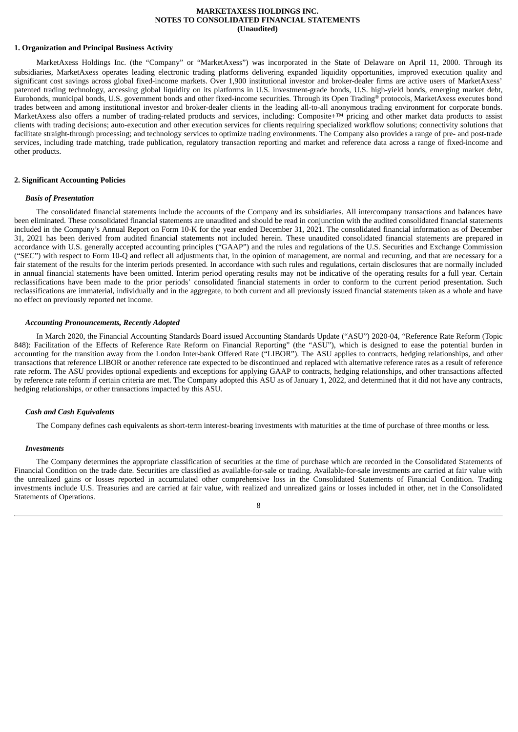#### **MARKETAXESS HOLDINGS INC. NOTES TO CONSOLIDATED FINANCIAL STATEMENTS (Unaudited)**

#### <span id="page-7-0"></span>**1. Organization and Principal Business Activity**

MarketAxess Holdings Inc. (the "Company" or "MarketAxess") was incorporated in the State of Delaware on April 11, 2000. Through its subsidiaries, MarketAxess operates leading electronic trading platforms delivering expanded liquidity opportunities, improved execution quality and significant cost savings across global fixed-income markets. Over 1,900 institutional investor and broker-dealer firms are active users of MarketAxess' patented trading technology, accessing global liquidity on its platforms in U.S. investment-grade bonds, U.S. high-yield bonds, emerging market debt, Eurobonds, municipal bonds, U.S. government bonds and other fixed-income securities. Through its Open Trading® protocols, MarketAxess executes bond trades between and among institutional investor and broker-dealer clients in the leading all-to-all anonymous trading environment for corporate bonds. MarketAxess also offers a number of trading-related products and services, including: Composite+™ pricing and other market data products to assist clients with trading decisions; auto-execution and other execution services for clients requiring specialized workflow solutions; connectivity solutions that facilitate straight-through processing; and technology services to optimize trading environments. The Company also provides a range of pre- and post-trade services, including trade matching, trade publication, regulatory transaction reporting and market and reference data across a range of fixed-income and other products.

#### **2. Significant Accounting Policies**

## *Basis of Presentation*

The consolidated financial statements include the accounts of the Company and its subsidiaries. All intercompany transactions and balances have been eliminated. These consolidated financial statements are unaudited and should be read in conjunction with the audited consolidated financial statements included in the Company's Annual Report on Form 10-K for the year ended December 31, 2021. The consolidated financial information as of December 31, 2021 has been derived from audited financial statements not included herein. These unaudited consolidated financial statements are prepared in accordance with U.S. generally accepted accounting principles ("GAAP") and the rules and regulations of the U.S. Securities and Exchange Commission ("SEC") with respect to Form 10-Q and reflect all adjustments that, in the opinion of management, are normal and recurring, and that are necessary for a fair statement of the results for the interim periods presented. In accordance with such rules and regulations, certain disclosures that are normally included in annual financial statements have been omitted. Interim period operating results may not be indicative of the operating results for a full year. Certain reclassifications have been made to the prior periods' consolidated financial statements in order to conform to the current period presentation. Such reclassifications are immaterial, individually and in the aggregate, to both current and all previously issued financial statements taken as a whole and have no effect on previously reported net income.

## *Accounting Pronouncements, Recently Adopted*

In March 2020, the Financial Accounting Standards Board issued Accounting Standards Update ("ASU") 2020-04, "Reference Rate Reform (Topic 848): Facilitation of the Effects of Reference Rate Reform on Financial Reporting" (the "ASU"), which is designed to ease the potential burden in accounting for the transition away from the London Inter-bank Offered Rate ("LIBOR"). The ASU applies to contracts, hedging relationships, and other transactions that reference LIBOR or another reference rate expected to be discontinued and replaced with alternative reference rates as a result of reference rate reform. The ASU provides optional expedients and exceptions for applying GAAP to contracts, hedging relationships, and other transactions affected by reference rate reform if certain criteria are met. The Company adopted this ASU as of January 1, 2022, and determined that it did not have any contracts, hedging relationships, or other transactions impacted by this ASU.

#### *Cash and Cash Equivalents*

The Company defines cash equivalents as short-term interest-bearing investments with maturities at the time of purchase of three months or less.

#### *Investments*

The Company determines the appropriate classification of securities at the time of purchase which are recorded in the Consolidated Statements of Financial Condition on the trade date. Securities are classified as available-for-sale or trading. Available-for-sale investments are carried at fair value with the unrealized gains or losses reported in accumulated other comprehensive loss in the Consolidated Statements of Financial Condition. Trading investments include U.S. Treasuries and are carried at fair value, with realized and unrealized gains or losses included in other, net in the Consolidated Statements of Operations.

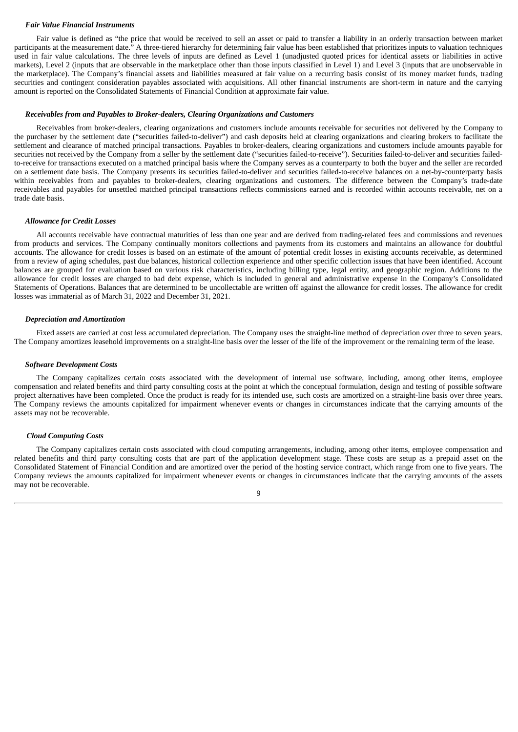## *Fair Value Financial Instruments*

Fair value is defined as "the price that would be received to sell an asset or paid to transfer a liability in an orderly transaction between market participants at the measurement date." A three-tiered hierarchy for determining fair value has been established that prioritizes inputs to valuation techniques used in fair value calculations. The three levels of inputs are defined as Level 1 (unadjusted quoted prices for identical assets or liabilities in active markets), Level 2 (inputs that are observable in the marketplace other than those inputs classified in Level 1) and Level 3 (inputs that are unobservable in the marketplace). The Company's financial assets and liabilities measured at fair value on a recurring basis consist of its money market funds, trading securities and contingent consideration payables associated with acquisitions. All other financial instruments are short-term in nature and the carrying amount is reported on the Consolidated Statements of Financial Condition at approximate fair value.

#### *Receivables from and Payables to Broker-dealers, Clearing Organizations and Customers*

Receivables from broker-dealers, clearing organizations and customers include amounts receivable for securities not delivered by the Company to the purchaser by the settlement date ("securities failed-to-deliver") and cash deposits held at clearing organizations and clearing brokers to facilitate the settlement and clearance of matched principal transactions. Payables to broker-dealers, clearing organizations and customers include amounts payable for securities not received by the Company from a seller by the settlement date ("securities failed-to-receive"). Securities failed-to-deliver and securities failedto-receive for transactions executed on a matched principal basis where the Company serves as a counterparty to both the buyer and the seller are recorded on a settlement date basis. The Company presents its securities failed-to-deliver and securities failed-to-receive balances on a net-by-counterparty basis within receivables from and payables to broker-dealers, clearing organizations and customers. The difference between the Company's trade-date receivables and payables for unsettled matched principal transactions reflects commissions earned and is recorded within accounts receivable, net on a trade date basis.

#### *Allowance for Credit Losses*

All accounts receivable have contractual maturities of less than one year and are derived from trading-related fees and commissions and revenues from products and services. The Company continually monitors collections and payments from its customers and maintains an allowance for doubtful accounts. The allowance for credit losses is based on an estimate of the amount of potential credit losses in existing accounts receivable, as determined from a review of aging schedules, past due balances, historical collection experience and other specific collection issues that have been identified. Account balances are grouped for evaluation based on various risk characteristics, including billing type, legal entity, and geographic region. Additions to the allowance for credit losses are charged to bad debt expense, which is included in general and administrative expense in the Company's Consolidated Statements of Operations. Balances that are determined to be uncollectable are written off against the allowance for credit losses. The allowance for credit losses was immaterial as of March 31, 2022 and December 31, 2021.

#### *Depreciation and Amortization*

Fixed assets are carried at cost less accumulated depreciation. The Company uses the straight-line method of depreciation over three to seven years. The Company amortizes leasehold improvements on a straight-line basis over the lesser of the life of the improvement or the remaining term of the lease.

#### *Software Development Costs*

The Company capitalizes certain costs associated with the development of internal use software, including, among other items, employee compensation and related benefits and third party consulting costs at the point at which the conceptual formulation, design and testing of possible software project alternatives have been completed. Once the product is ready for its intended use, such costs are amortized on a straight-line basis over three years. The Company reviews the amounts capitalized for impairment whenever events or changes in circumstances indicate that the carrying amounts of the assets may not be recoverable.

#### *Cloud Computing Costs*

The Company capitalizes certain costs associated with cloud computing arrangements, including, among other items, employee compensation and related benefits and third party consulting costs that are part of the application development stage. These costs are setup as a prepaid asset on the Consolidated Statement of Financial Condition and are amortized over the period of the hosting service contract, which range from one to five years. The Company reviews the amounts capitalized for impairment whenever events or changes in circumstances indicate that the carrying amounts of the assets may not be recoverable.

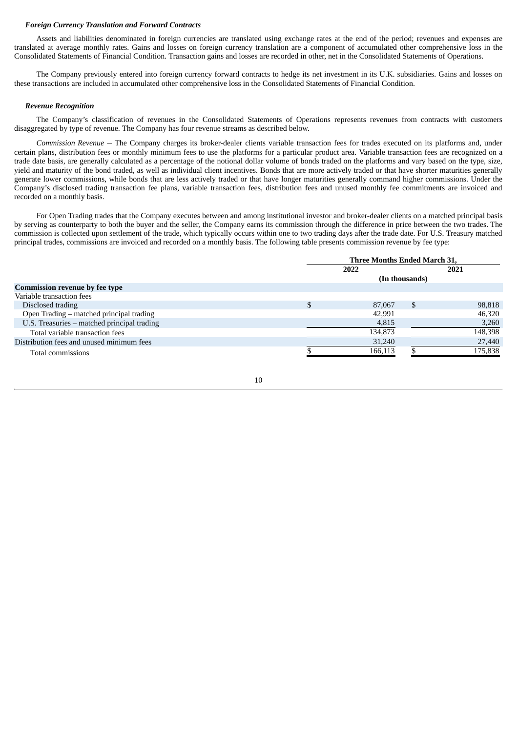#### *Foreign Currency Translation and Forward Contracts*

Assets and liabilities denominated in foreign currencies are translated using exchange rates at the end of the period; revenues and expenses are translated at average monthly rates. Gains and losses on foreign currency translation are a component of accumulated other comprehensive loss in the Consolidated Statements of Financial Condition. Transaction gains and losses are recorded in other, net in the Consolidated Statements of Operations.

The Company previously entered into foreign currency forward contracts to hedge its net investment in its U.K. subsidiaries. Gains and losses on these transactions are included in accumulated other comprehensive loss in the Consolidated Statements of Financial Condition.

#### *Revenue Recognition*

The Company's classification of revenues in the Consolidated Statements of Operations represents revenues from contracts with customers disaggregated by type of revenue. The Company has four revenue streams as described below.

*Commission Revenue –* The Company charges its broker-dealer clients variable transaction fees for trades executed on its platforms and, under certain plans, distribution fees or monthly minimum fees to use the platforms for a particular product area. Variable transaction fees are recognized on a trade date basis, are generally calculated as a percentage of the notional dollar volume of bonds traded on the platforms and vary based on the type, size, yield and maturity of the bond traded, as well as individual client incentives. Bonds that are more actively traded or that have shorter maturities generally generate lower commissions, while bonds that are less actively traded or that have longer maturities generally command higher commissions. Under the Company's disclosed trading transaction fee plans, variable transaction fees, distribution fees and unused monthly fee commitments are invoiced and recorded on a monthly basis.

For Open Trading trades that the Company executes between and among institutional investor and broker-dealer clients on a matched principal basis by serving as counterparty to both the buyer and the seller, the Company earns its commission through the difference in price between the two trades. The commission is collected upon settlement of the trade, which typically occurs within one to two trading days after the trade date. For U.S. Treasury matched principal trades, commissions are invoiced and recorded on a monthly basis. The following table presents commission revenue by fee type:

|                                             | Three Months Ended March 31, |         |     |         |  |  |
|---------------------------------------------|------------------------------|---------|-----|---------|--|--|
|                                             | 2022                         |         |     | 2021    |  |  |
|                                             |                              |         |     |         |  |  |
| <b>Commission revenue by fee type</b>       |                              |         |     |         |  |  |
| Variable transaction fees                   |                              |         |     |         |  |  |
| Disclosed trading                           |                              | 87,067  | \$. | 98,818  |  |  |
| Open Trading - matched principal trading    |                              | 42.991  |     | 46,320  |  |  |
| U.S. Treasuries - matched principal trading |                              | 4,815   |     | 3,260   |  |  |
| Total variable transaction fees             |                              | 134,873 |     | 148,398 |  |  |
| Distribution fees and unused minimum fees   |                              | 31,240  |     | 27,440  |  |  |
| Total commissions                           |                              | 166,113 |     | 175,838 |  |  |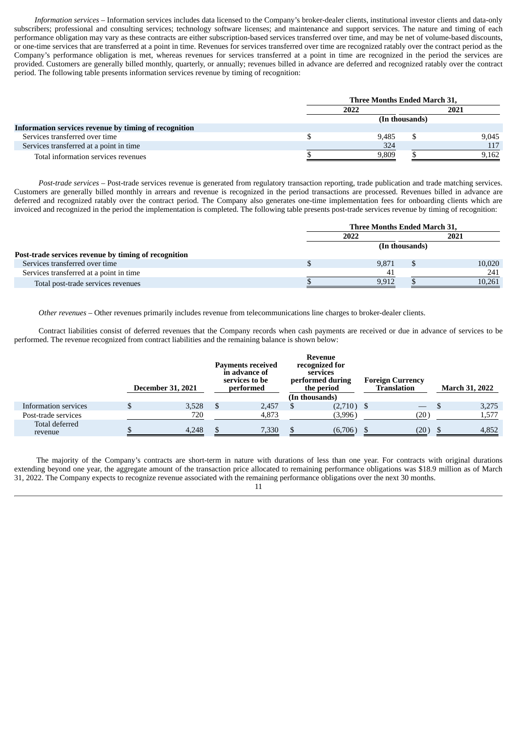*Information services –* Information services includes data licensed to the Company's broker-dealer clients, institutional investor clients and data-only subscribers; professional and consulting services; technology software licenses; and maintenance and support services. The nature and timing of each performance obligation may vary as these contracts are either subscription-based services transferred over time, and may be net of volume-based discounts, or one-time services that are transferred at a point in time. Revenues for services transferred over time are recognized ratably over the contract period as the Company's performance obligation is met, whereas revenues for services transferred at a point in time are recognized in the period the services are provided. Customers are generally billed monthly, quarterly, or annually; revenues billed in advance are deferred and recognized ratably over the contract period. The following table presents information services revenue by timing of recognition:

|                                                       | Three Months Ended March 31, |      |       |  |  |  |
|-------------------------------------------------------|------------------------------|------|-------|--|--|--|
|                                                       | 2022                         | 2021 |       |  |  |  |
|                                                       | (In thousands)               |      |       |  |  |  |
| Information services revenue by timing of recognition |                              |      |       |  |  |  |
| Services transferred over time                        | 9.485                        |      | 9.045 |  |  |  |
| Services transferred at a point in time               | 324                          |      | 117   |  |  |  |
| Total information services revenues                   | 9.809                        |      | 9.162 |  |  |  |

*Post-trade services –* Post-trade services revenue is generated from regulatory transaction reporting, trade publication and trade matching services. Customers are generally billed monthly in arrears and revenue is recognized in the period transactions are processed. Revenues billed in advance are deferred and recognized ratably over the contract period. The Company also generates one-time implementation fees for onboarding clients which are invoiced and recognized in the period the implementation is completed. The following table presents post-trade services revenue by timing of recognition:

|                                                      | Three Months Ended March 31, |  |        |  |  |  |
|------------------------------------------------------|------------------------------|--|--------|--|--|--|
|                                                      | 2022                         |  | 2021   |  |  |  |
|                                                      | (In thousands)               |  |        |  |  |  |
| Post-trade services revenue by timing of recognition |                              |  |        |  |  |  |
| Services transferred over time                       | 9.871                        |  | 10,020 |  |  |  |
| Services transferred at a point in time              | 41                           |  | 241    |  |  |  |
| Total post-trade services revenues                   | 9.912                        |  | 10,261 |  |  |  |

*Other revenues –* Other revenues primarily includes revenue from telecommunications line charges to broker-dealer clients.

Contract liabilities consist of deferred revenues that the Company records when cash payments are received or due in advance of services to be performed. The revenue recognized from contract liabilities and the remaining balance is shown below:

|                           | <b>December 31, 2021</b> | <b>Payments received</b><br>in advance of<br>services to be<br>performed |       | <b>Revenue</b><br>recognized for<br>services<br>performed during<br>the period |                | <b>Foreign Currency</b><br><b>Translation</b> |                                 |  | <b>March 31, 2022</b> |  |  |
|---------------------------|--------------------------|--------------------------------------------------------------------------|-------|--------------------------------------------------------------------------------|----------------|-----------------------------------------------|---------------------------------|--|-----------------------|--|--|
|                           |                          |                                                                          |       |                                                                                | (In thousands) |                                               |                                 |  |                       |  |  |
| Information services      | 3,528                    |                                                                          | 2,457 |                                                                                | $(2,710)$ \$   |                                               | $\hspace{0.1mm}-\hspace{0.1mm}$ |  | 3,275                 |  |  |
| Post-trade services       | 720                      |                                                                          | 4,873 |                                                                                | (3,996)        |                                               | (20)                            |  | 1,577                 |  |  |
| Total deferred<br>revenue | 4,248                    |                                                                          | 7,330 |                                                                                | (6,706)        |                                               | (20)                            |  | 4,852                 |  |  |

The majority of the Company's contracts are short-term in nature with durations of less than one year. For contracts with original durations extending beyond one year, the aggregate amount of the transaction price allocated to remaining performance obligations was \$18.9 million as of March 31, 2022. The Company expects to recognize revenue associated with the remaining performance obligations over the next 30 months.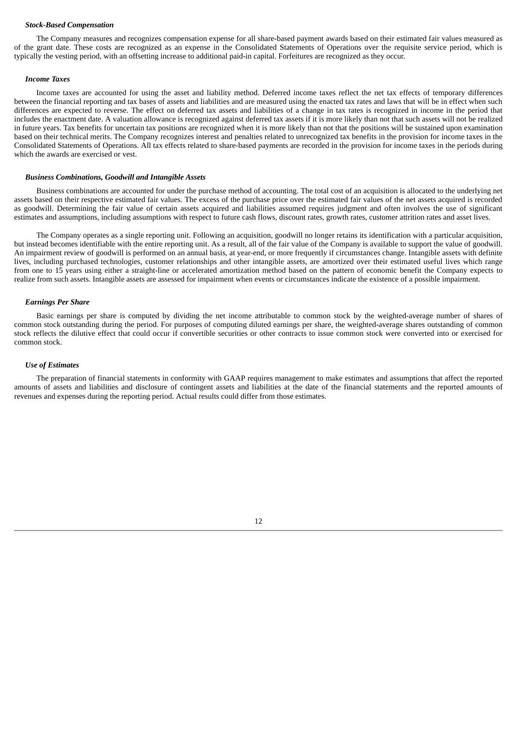#### *Stock-Based Compensation*

The Company measures and recognizes compensation expense for all share-based payment awards based on their estimated fair values measured as of the grant date. These costs are recognized as an expense in the Consolidated Statements of Operations over the requisite service period, which is typically the vesting period, with an offsetting increase to additional paid-in capital. Forfeitures are recognized as they occur.

#### *Income Taxes*

Income taxes are accounted for using the asset and liability method. Deferred income taxes reflect the net tax effects of temporary differences between the financial reporting and tax bases of assets and liabilities and are measured using the enacted tax rates and laws that will be in effect when such differences are expected to reverse. The effect on deferred tax assets and liabilities of a change in tax rates is recognized in income in the period that includes the enactment date. A valuation allowance is recognized against deferred tax assets if it is more likely than not that such assets will not be realized in future years. Tax benefits for uncertain tax positions are recognized when it is more likely than not that the positions will be sustained upon examination based on their technical merits. The Company recognizes interest and penalties related to unrecognized tax benefits in the provision for income taxes in the Consolidated Statements of Operations. All tax effects related to share-based payments are recorded in the provision for income taxes in the periods during which the awards are exercised or vest.

#### *Business Combinations, Goodwill and Intangible Assets*

Business combinations are accounted for under the purchase method of accounting. The total cost of an acquisition is allocated to the underlying net assets based on their respective estimated fair values. The excess of the purchase price over the estimated fair values of the net assets acquired is recorded as goodwill. Determining the fair value of certain assets acquired and liabilities assumed requires judgment and often involves the use of significant estimates and assumptions, including assumptions with respect to future cash flows, discount rates, growth rates, customer attrition rates and asset lives.

The Company operates as a single reporting unit. Following an acquisition, goodwill no longer retains its identification with a particular acquisition, but instead becomes identifiable with the entire reporting unit. As a result, all of the fair value of the Company is available to support the value of goodwill. An impairment review of goodwill is performed on an annual basis, at year-end, or more frequently if circumstances change. Intangible assets with definite lives, including purchased technologies, customer relationships and other intangible assets, are amortized over their estimated useful lives which range from one to 15 years using either a straight-line or accelerated amortization method based on the pattern of economic benefit the Company expects to realize from such assets. Intangible assets are assessed for impairment when events or circumstances indicate the existence of a possible impairment.

## *Earnings Per Share*

Basic earnings per share is computed by dividing the net income attributable to common stock by the weighted-average number of shares of common stock outstanding during the period. For purposes of computing diluted earnings per share, the weighted-average shares outstanding of common stock reflects the dilutive effect that could occur if convertible securities or other contracts to issue common stock were converted into or exercised for common stock.

#### *Use of Estimates*

The preparation of financial statements in conformity with GAAP requires management to make estimates and assumptions that affect the reported amounts of assets and liabilities and disclosure of contingent assets and liabilities at the date of the financial statements and the reported amounts of revenues and expenses during the reporting period. Actual results could differ from those estimates.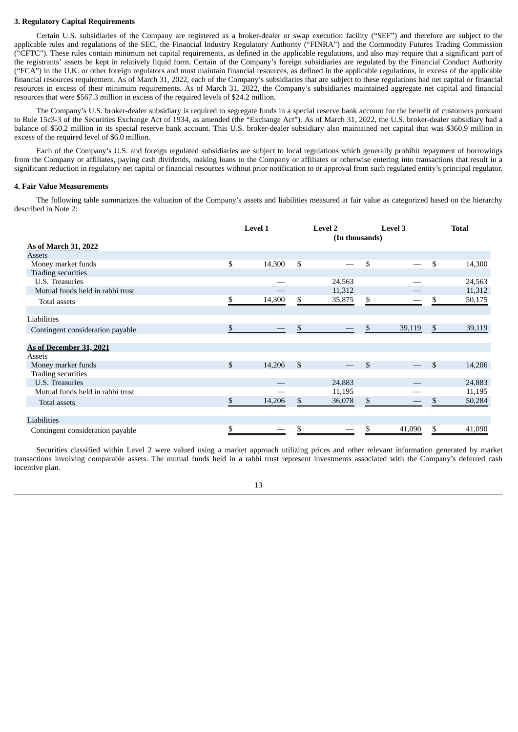#### **3. Regulatory Capital Requirements**

Certain U.S. subsidiaries of the Company are registered as a broker-dealer or swap execution facility ("SEF") and therefore are subject to the applicable rules and regulations of the SEC, the Financial Industry Regulatory Authority ("FINRA") and the Commodity Futures Trading Commission ("CFTC"). These rules contain minimum net capital requirements, as defined in the applicable regulations, and also may require that a significant part of the registrants' assets be kept in relatively liquid form. Certain of the Company's foreign subsidiaries are regulated by the Financial Conduct Authority ("FCA") in the U.K. or other foreign regulators and must maintain financial resources, as defined in the applicable regulations, in excess of the applicable financial resources requirement. As of March 31, 2022, each of the Company's subsidiaries that are subject to these regulations had net capital or financial resources in excess of their minimum requirements. As of March 31, 2022, the Company's subsidiaries maintained aggregate net capital and financial resources that were \$567.3 million in excess of the required levels of \$24.2 million.

The Company's U.S. broker-dealer subsidiary is required to segregate funds in a special reserve bank account for the benefit of customers pursuant to Rule 15c3-3 of the Securities Exchange Act of 1934, as amended (the "Exchange Act"). As of March 31, 2022, the U.S. broker-dealer subsidiary had a balance of \$50.2 million in its special reserve bank account. This U.S. broker-dealer subsidiary also maintained net capital that was \$360.9 million in excess of the required level of \$6.0 million.

Each of the Company's U.S. and foreign regulated subsidiaries are subject to local regulations which generally prohibit repayment of borrowings from the Company or affiliates, paying cash dividends, making loans to the Company or affiliates or otherwise entering into transactions that result in a significant reduction in regulatory net capital or financial resources without prior notification to or approval from such regulated entity's principal regulator.

#### **4. Fair Value Measurements**

The following table summarizes the valuation of the Company's assets and liabilities measured at fair value as categorized based on the hierarchy described in Note 2:

|                                  | Level 1      | <b>Level 2</b> |                |    | <b>Level 3</b> |     | <b>Total</b> |
|----------------------------------|--------------|----------------|----------------|----|----------------|-----|--------------|
| <b>As of March 31, 2022</b>      |              |                | (In thousands) |    |                |     |              |
| Assets                           |              |                |                |    |                |     |              |
| Money market funds               | \$<br>14,300 | \$             |                | \$ |                | \$  | 14,300       |
| Trading securities               |              |                |                |    |                |     |              |
| U.S. Treasuries                  |              |                | 24,563         |    |                |     | 24,563       |
| Mutual funds held in rabbi trust |              |                | 11,312         |    |                |     | 11,312       |
| Total assets                     | 14,300       | \$             | 35,875         | \$ |                |     | 50,175       |
|                                  |              |                |                |    |                |     |              |
| Liabilities                      |              |                |                |    |                |     |              |
| Contingent consideration payable | \$           | \$             |                | S  | 39,119         | \$  | 39,119       |
| <b>As of December 31, 2021</b>   |              |                |                |    |                |     |              |
| Assets                           |              |                |                |    |                |     |              |
| Money market funds               | \$<br>14,206 | \$             |                | \$ |                | \$. | 14,206       |
| Trading securities               |              |                |                |    |                |     |              |
| U.S. Treasuries                  |              |                | 24,883         |    |                |     | 24,883       |
| Mutual funds held in rabbi trust |              |                | 11,195         |    |                |     | 11,195       |
| Total assets                     | 14,206       | \$             | 36,078         | \$ |                |     | 50,284       |
| Liabilities                      |              |                |                |    |                |     |              |
| Contingent consideration payable |              |                |                |    | 41,090         | \$. | 41,090       |

Securities classified within Level 2 were valued using a market approach utilizing prices and other relevant information generated by market transactions involving comparable assets. The mutual funds held in a rabbi trust represent investments associated with the Company's deferred cash incentive plan.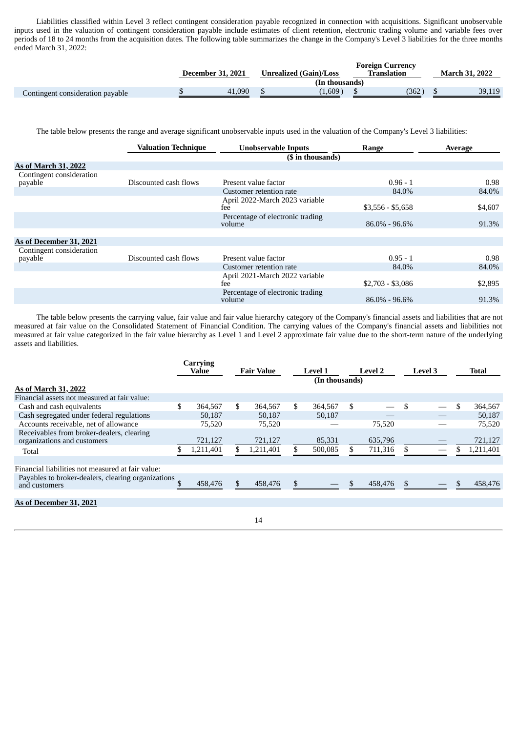Liabilities classified within Level 3 reflect contingent consideration payable recognized in connection with acquisitions. Significant unobservable inputs used in the valuation of contingent consideration payable include estimates of client retention, electronic trading volume and variable fees over periods of 18 to 24 months from the acquisition dates. The following table summarizes the change in the Company's Level 3 liabilities for the three months ended March 31, 2022:

|                                  | <b>December 31, 2021</b> | Unrealized (Gain)/Loss | <b>Foreign Currency</b><br><b>Translation</b> | <b>March 31, 2022</b> |
|----------------------------------|--------------------------|------------------------|-----------------------------------------------|-----------------------|
|                                  |                          | (In thousands)         |                                               |                       |
| Contingent consideration payable | 41.090                   | (1,609)                | 362                                           | 39,119                |

The table below presents the range and average significant unobservable inputs used in the valuation of the Company's Level 3 liabilities:

|                          | <b>Valuation Technique</b> | <b>Unobservable Inputs</b>       | Range             | Average |
|--------------------------|----------------------------|----------------------------------|-------------------|---------|
|                          |                            | (\$ in thousands)                |                   |         |
| As of March 31, 2022     |                            |                                  |                   |         |
| Contingent consideration |                            |                                  |                   |         |
| payable                  | Discounted cash flows      | Present value factor             | $0.96 - 1$        | 0.98    |
|                          |                            | Customer retention rate          | 84.0%             | 84.0%   |
|                          |                            | April 2022-March 2023 variable   |                   |         |
|                          |                            | fee                              | $$3,556 - $5,658$ | \$4,607 |
|                          |                            | Percentage of electronic trading |                   |         |
|                          |                            | volume                           | $86.0\% - 96.6\%$ | 91.3%   |
|                          |                            |                                  |                   |         |
| As of December 31, 2021  |                            |                                  |                   |         |
| Contingent consideration |                            |                                  |                   |         |
| payable                  | Discounted cash flows      | Present value factor             | $0.95 - 1$        | 0.98    |
|                          |                            | Customer retention rate          | 84.0%             | 84.0%   |
|                          |                            | April 2021-March 2022 variable   |                   |         |
|                          |                            | fee                              | $$2,703 - $3,086$ | \$2,895 |
|                          |                            | Percentage of electronic trading |                   |         |
|                          |                            | volume                           | $86.0\% - 96.6\%$ | 91.3%   |

The table below presents the carrying value, fair value and fair value hierarchy category of the Company's financial assets and liabilities that are not measured at fair value on the Consolidated Statement of Financial Condition. The carrying values of the Company's financial assets and liabilities not measured at fair value categorized in the fair value hierarchy as Level 1 and Level 2 approximate fair value due to the short-term nature of the underlying assets and liabilities.

|                                                                          | Carrving<br>Value | <b>Fair Value</b> |     | <b>Level 1</b> |    | <b>Level 2</b>           | <b>Level</b> 3 | <b>Total</b>  |
|--------------------------------------------------------------------------|-------------------|-------------------|-----|----------------|----|--------------------------|----------------|---------------|
|                                                                          |                   |                   |     | (In thousands) |    |                          |                |               |
| As of March 31, 2022                                                     |                   |                   |     |                |    |                          |                |               |
| Financial assets not measured at fair value:                             |                   |                   |     |                |    |                          |                |               |
| Cash and cash equivalents                                                | \$<br>364.567     | \$<br>364.567     | \$. | 364,567        | -S | $\overline{\phantom{0}}$ | \$             | \$<br>364,567 |
| Cash segregated under federal regulations                                | 50,187            | 50,187            |     | 50,187         |    |                          |                | 50,187        |
| Accounts receivable, net of allowance                                    | 75,520            | 75,520            |     |                |    | 75,520                   |                | 75,520        |
| Receivables from broker-dealers, clearing<br>organizations and customers | 721,127           | 721,127           |     | 85,331         |    | 635,796                  |                | 721,127       |
| Total                                                                    | 1,211,401         | 1,211,401         |     | 500,085        |    | 711,316                  |                | 1,211,401     |
|                                                                          |                   |                   |     |                |    |                          |                |               |
| Financial liabilities not measured at fair value:                        |                   |                   |     |                |    |                          |                |               |
| Payables to broker-dealers, clearing organizations<br>and customers      | 458,476           | 458,476           |     |                |    | 458,476                  | \$             | 458,476       |
| As of December 31, 2021                                                  |                   |                   |     |                |    |                          |                |               |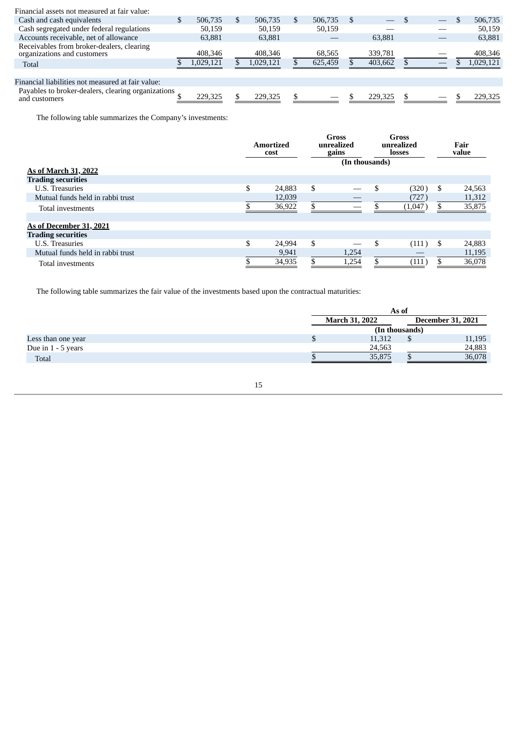| Financial assets not measured at fair value:                             |                     |                      |                   |    |                          |  |               |                      |
|--------------------------------------------------------------------------|---------------------|----------------------|-------------------|----|--------------------------|--|---------------|----------------------|
| Cash and cash equivalents                                                | 506,735             | \$<br>506,735        | 506,735           | .S | $\overline{\phantom{0}}$ |  | <sup>\$</sup> | 506,735              |
| Cash segregated under federal regulations                                | 50,159              | 50,159               | 50,159            |    |                          |  |               | 50,159               |
| Accounts receivable, net of allowance                                    | 63,881              | 63,881               |                   |    | 63,881                   |  |               | 63,881               |
| Receivables from broker-dealers, clearing<br>organizations and customers | 408,346<br>.029.121 | 408,346<br>1,029,121 | 68,565<br>625,459 |    | 339,781<br>403,662       |  |               | 408,346<br>1.029.121 |
| Total                                                                    |                     |                      |                   |    |                          |  |               |                      |
| Financial liabilities not measured at fair value:                        |                     |                      |                   |    |                          |  |               |                      |
| Payables to broker-dealers, clearing organizations<br>and customers      | 229,325             | 229,325              |                   |    | 229,325                  |  |               | 229,325              |

The following table summarizes the Company's investments:

| As of March 31, 2022             |     | <b>Amortized</b><br>cost | Gross<br>unrealized<br>gains<br>(In thousands) |    | Gross<br>unrealized<br>losses |    | Fair<br>value |
|----------------------------------|-----|--------------------------|------------------------------------------------|----|-------------------------------|----|---------------|
| <b>Trading securities</b>        |     |                          |                                                |    |                               |    |               |
| <b>U.S. Treasuries</b>           | \$  | 24,883                   | \$                                             | S  | (320)                         | -S | 24,563        |
| Mutual funds held in rabbi trust |     | 12,039                   |                                                |    | (727)                         |    | 11,312        |
| Total investments                |     | 36,922                   |                                                |    | (1,047)                       | S  | 35,875        |
| As of December 31, 2021          |     |                          |                                                |    |                               |    |               |
| <b>Trading securities</b>        |     |                          |                                                |    |                               |    |               |
| U.S. Treasuries                  | \$. | 24,994                   | \$                                             | \$ | (111)                         | \$ | 24,883        |
| Mutual funds held in rabbi trust |     | 9,941                    | 1,254                                          |    |                               |    | 11,195        |
| Total investments                |     | 34,935                   | \$<br>1,254                                    | \$ | (111)                         |    | 36,078        |

The following table summarizes the fair value of the investments based upon the contractual maturities:

|                    |                       | As of          |                          |
|--------------------|-----------------------|----------------|--------------------------|
|                    | <b>March 31, 2022</b> |                | <b>December 31, 2021</b> |
|                    |                       | (In thousands) |                          |
| Less than one year | 11,312                |                | 11,195                   |
| Due in 1 - 5 years | 24,563                |                | 24,883                   |
| Total              | 35,875                |                | 36,078                   |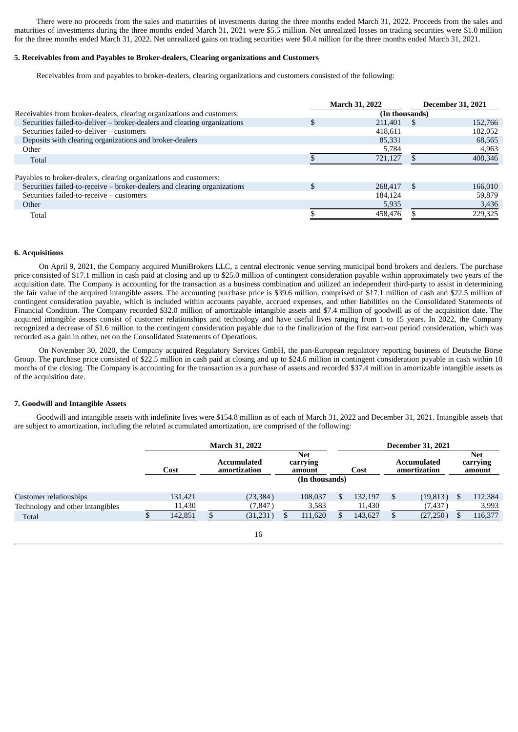There were no proceeds from the sales and maturities of investments during the three months ended March 31, 2022. Proceeds from the sales and maturities of investments during the three months ended March 31, 2021 were \$5.5 million. Net unrealized losses on trading securities were \$1.0 million for the three months ended March 31, 2022. Net unrealized gains on trading securities were \$0.4 million for the three months ended March 31, 2021.

## **5. Receivables from and Payables to Broker-dealers, Clearing organizations and Customers**

Receivables from and payables to broker-dealers, clearing organizations and customers consisted of the following:

|                                                                          | <b>March 31, 2022</b> |    | <b>December 31, 2021</b> |
|--------------------------------------------------------------------------|-----------------------|----|--------------------------|
| Receivables from broker-dealers, clearing organizations and customers:   | (In thousands)        |    |                          |
| Securities failed-to-deliver - broker-dealers and clearing organizations | 211,401               | .S | 152,766                  |
| Securities failed-to-deliver – customers                                 | 418.611               |    | 182,052                  |
| Deposits with clearing organizations and broker-dealers                  | 85,331                |    | 68,565                   |
| Other                                                                    | 5,784                 |    | 4,963                    |
| Total                                                                    | 721.127               |    | 408,346                  |
| Payables to broker-dealers, clearing organizations and customers:        |                       |    |                          |
| Securities failed-to-receive - broker-dealers and clearing organizations | 268,417               | -S | 166,010                  |
| Securities failed-to-receive - customers                                 | 184,124               |    | 59,879                   |
| Other                                                                    | 5,935                 |    | 3,436                    |
| Total                                                                    | 458,476               |    | 229,325                  |

#### **6. Acquisitions**

On April 9, 2021, the Company acquired MuniBrokers LLC, a central electronic venue serving municipal bond brokers and dealers. The purchase price consisted of \$17.1 million in cash paid at closing and up to \$25.0 million of contingent consideration payable within approximately two years of the acquisition date. The Company is accounting for the transaction as a business combination and utilized an independent third-party to assist in determining the fair value of the acquired intangible assets. The accounting purchase price is \$39.6 million, comprised of \$17.1 million of cash and \$22.5 million of contingent consideration payable, which is included within accounts payable, accrued expenses, and other liabilities on the Consolidated Statements of Financial Condition. The Company recorded \$32.0 million of amortizable intangible assets and \$7.4 million of goodwill as of the acquisition date. The acquired intangible assets consist of customer relationships and technology and have useful lives ranging from 1 to 15 years. In 2022, the Company recognized a decrease of \$1.6 million to the contingent consideration payable due to the finalization of the first earn-out period consideration, which was recorded as a gain in other, net on the Consolidated Statements of Operations.

On November 30, 2020, the Company acquired Regulatory Services GmbH, the pan-European regulatory reporting business of Deutsche Börse Group. The purchase price consisted of \$22.5 million in cash paid at closing and up to \$24.6 million in contingent consideration payable in cash within 18 months of the closing. The Company is accounting for the transaction as a purchase of assets and recorded \$37.4 million in amortizable intangible assets as of the acquisition date.

## **7. Goodwill and Intangible Assets**

Goodwill and intangible assets with indefinite lives were \$154.8 million as of each of March 31, 2022 and December 31, 2021. Intangible assets that are subject to amortization, including the related accumulated amortization, are comprised of the following:

|                                  |                                                                         |  | <b>March 31, 2022</b> |  |                |                             |    | <b>December 31, 2021</b> |                                  |         |
|----------------------------------|-------------------------------------------------------------------------|--|-----------------------|--|----------------|-----------------------------|----|--------------------------|----------------------------------|---------|
|                                  | <b>Net</b><br>Accumulated<br>carrying<br>Cost<br>amortization<br>amount |  |                       |  | Cost           | Accumulated<br>amortization |    |                          | <b>Net</b><br>carrying<br>amount |         |
|                                  |                                                                         |  |                       |  | (In thousands) |                             |    |                          |                                  |         |
| Customer relationships           | 131,421                                                                 |  | (23, 384)             |  | 108,037        | \$<br>132,197               | \$ | (19, 813)                | S                                | 112,384 |
| Technology and other intangibles | 11,430                                                                  |  | (7, 847)              |  | 3,583          | 11,430                      |    | (7, 437)                 |                                  | 3,993   |
| Total                            | 142,851                                                                 |  | (31,231)              |  | 111,620        | 143,627                     |    | (27,250)                 |                                  | 116,377 |
|                                  |                                                                         |  | 16                    |  |                |                             |    |                          |                                  |         |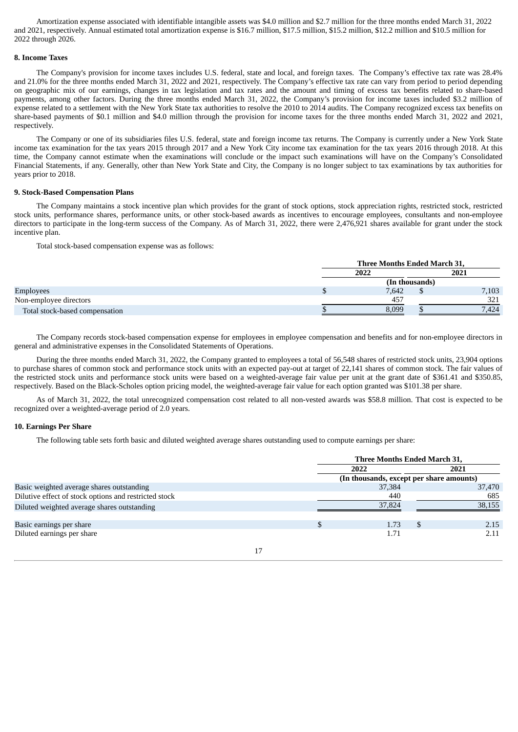Amortization expense associated with identifiable intangible assets was \$4.0 million and \$2.7 million for the three months ended March 31, 2022 and 2021, respectively. Annual estimated total amortization expense is \$16.7 million, \$17.5 million, \$15.2 million, \$12.2 million and \$10.5 million for 2022 through 2026.

## **8. Income Taxes**

The Company's provision for income taxes includes U.S. federal, state and local, and foreign taxes. The Company's effective tax rate was 28.4% and 21.0% for the three months ended March 31, 2022 and 2021, respectively. The Company's effective tax rate can vary from period to period depending on geographic mix of our earnings, changes in tax legislation and tax rates and the amount and timing of excess tax benefits related to share-based payments, among other factors. During the three months ended March 31, 2022, the Company's provision for income taxes included \$3.2 million of expense related to a settlement with the New York State tax authorities to resolve the 2010 to 2014 audits. The Company recognized excess tax benefits on share-based payments of \$0.1 million and \$4.0 million through the provision for income taxes for the three months ended March 31, 2022 and 2021, respectively.

The Company or one of its subsidiaries files U.S. federal, state and foreign income tax returns. The Company is currently under a New York State income tax examination for the tax years 2015 through 2017 and a New York City income tax examination for the tax years 2016 through 2018. At this time, the Company cannot estimate when the examinations will conclude or the impact such examinations will have on the Company's Consolidated Financial Statements, if any. Generally, other than New York State and City, the Company is no longer subject to tax examinations by tax authorities for years prior to 2018.

#### **9. Stock-Based Compensation Plans**

The Company maintains a stock incentive plan which provides for the grant of stock options, stock appreciation rights, restricted stock, restricted stock units, performance shares, performance units, or other stock-based awards as incentives to encourage employees, consultants and non-employee directors to participate in the long-term success of the Company. As of March 31, 2022, there were 2,476,921 shares available for grant under the stock incentive plan.

Total stock-based compensation expense was as follows:

|                                |      | Three Months Ended March 31, |                |       |
|--------------------------------|------|------------------------------|----------------|-------|
|                                | 2022 |                              |                | 2021  |
|                                |      |                              | (In thousands) |       |
| <b>Employees</b>               |      | 7,642                        |                | 7,103 |
| Non-employee directors         |      | 457                          |                | 321   |
| Total stock-based compensation |      | 8,099                        |                | 7.424 |

The Company records stock-based compensation expense for employees in employee compensation and benefits and for non-employee directors in general and administrative expenses in the Consolidated Statements of Operations.

During the three months ended March 31, 2022, the Company granted to employees a total of 56,548 shares of restricted stock units, 23,904 options to purchase shares of common stock and performance stock units with an expected pay-out at target of 22,141 shares of common stock. The fair values of the restricted stock units and performance stock units were based on a weighted-average fair value per unit at the grant date of \$361.41 and \$350.85, respectively. Based on the Black-Scholes option pricing model, the weighted-average fair value for each option granted was \$101.38 per share.

As of March 31, 2022, the total unrecognized compensation cost related to all non-vested awards was \$58.8 million. That cost is expected to be recognized over a weighted-average period of 2.0 years.

#### **10. Earnings Per Share**

The following table sets forth basic and diluted weighted average shares outstanding used to compute earnings per share:

|                                                       |                                          | Three Months Ended March 31, |   |        |  |  |  |
|-------------------------------------------------------|------------------------------------------|------------------------------|---|--------|--|--|--|
|                                                       | 2022<br>2021                             |                              |   |        |  |  |  |
|                                                       | (In thousands, except per share amounts) |                              |   |        |  |  |  |
| Basic weighted average shares outstanding             |                                          | 37,384                       |   | 37,470 |  |  |  |
| Dilutive effect of stock options and restricted stock |                                          | 440                          |   | 685    |  |  |  |
| Diluted weighted average shares outstanding           |                                          | 37,824                       |   | 38,155 |  |  |  |
|                                                       |                                          |                              |   |        |  |  |  |
| Basic earnings per share                              |                                          | 1.73                         | S | 2.15   |  |  |  |
| Diluted earnings per share                            |                                          | 1.71                         |   | 2.11   |  |  |  |

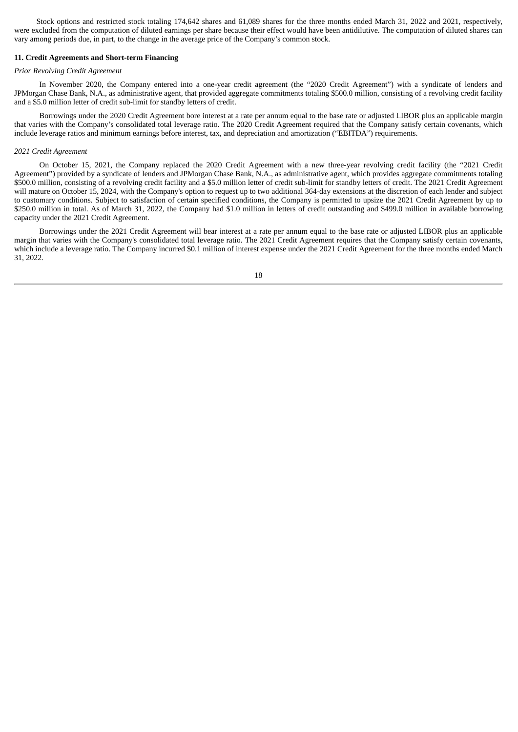Stock options and restricted stock totaling 174,642 shares and 61,089 shares for the three months ended March 31, 2022 and 2021, respectively, were excluded from the computation of diluted earnings per share because their effect would have been antidilutive. The computation of diluted shares can vary among periods due, in part, to the change in the average price of the Company's common stock.

## **11. Credit Agreements and Short-term Financing**

## *Prior Revolving Credit Agreement*

In November 2020, the Company entered into a one-year credit agreement (the "2020 Credit Agreement") with a syndicate of lenders and JPMorgan Chase Bank, N.A., as administrative agent, that provided aggregate commitments totaling \$500.0 million, consisting of a revolving credit facility and a \$5.0 million letter of credit sub-limit for standby letters of credit.

Borrowings under the 2020 Credit Agreement bore interest at a rate per annum equal to the base rate or adjusted LIBOR plus an applicable margin that varies with the Company's consolidated total leverage ratio. The 2020 Credit Agreement required that the Company satisfy certain covenants, which include leverage ratios and minimum earnings before interest, tax, and depreciation and amortization ("EBITDA") requirements.

#### *2021 Credit Agreement*

On October 15, 2021, the Company replaced the 2020 Credit Agreement with a new three-year revolving credit facility (the "2021 Credit Agreement") provided by a syndicate of lenders and JPMorgan Chase Bank, N.A., as administrative agent, which provides aggregate commitments totaling \$500.0 million, consisting of a revolving credit facility and a \$5.0 million letter of credit sub-limit for standby letters of credit. The 2021 Credit Agreement will mature on October 15, 2024, with the Company's option to request up to two additional 364-day extensions at the discretion of each lender and subject to customary conditions. Subject to satisfaction of certain specified conditions, the Company is permitted to upsize the 2021 Credit Agreement by up to \$250.0 million in total. As of March 31, 2022, the Company had \$1.0 million in letters of credit outstanding and \$499.0 million in available borrowing capacity under the 2021 Credit Agreement.

Borrowings under the 2021 Credit Agreement will bear interest at a rate per annum equal to the base rate or adjusted LIBOR plus an applicable margin that varies with the Company's consolidated total leverage ratio. The 2021 Credit Agreement requires that the Company satisfy certain covenants, which include a leverage ratio. The Company incurred \$0.1 million of interest expense under the 2021 Credit Agreement for the three months ended March 31, 2022.

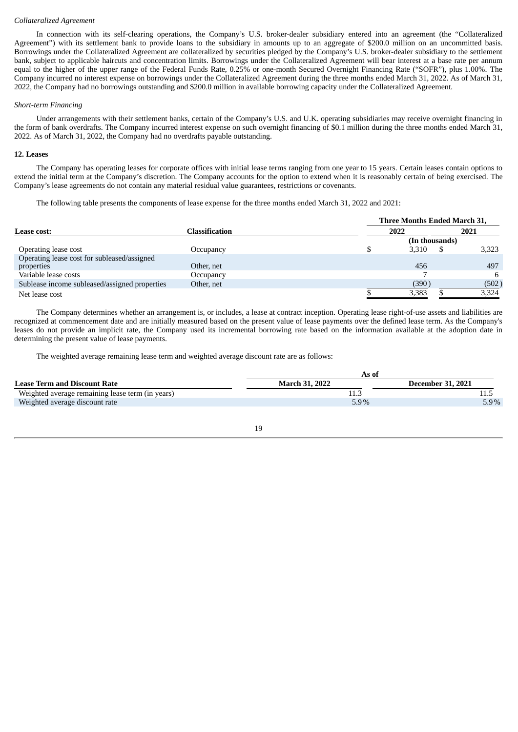## *Collateralized Agreement*

In connection with its self-clearing operations, the Company's U.S. broker-dealer subsidiary entered into an agreement (the "Collateralized Agreement") with its settlement bank to provide loans to the subsidiary in amounts up to an aggregate of \$200.0 million on an uncommitted basis. Borrowings under the Collateralized Agreement are collateralized by securities pledged by the Company's U.S. broker-dealer subsidiary to the settlement bank, subject to applicable haircuts and concentration limits. Borrowings under the Collateralized Agreement will bear interest at a base rate per annum equal to the higher of the upper range of the Federal Funds Rate, 0.25% or one-month Secured Overnight Financing Rate ("SOFR"), plus 1.00%. The Company incurred no interest expense on borrowings under the Collateralized Agreement during the three months ended March 31, 2022. As of March 31, 2022, the Company had no borrowings outstanding and \$200.0 million in available borrowing capacity under the Collateralized Agreement.

## *Short-term Financing*

Under arrangements with their settlement banks, certain of the Company's U.S. and U.K. operating subsidiaries may receive overnight financing in the form of bank overdrafts. The Company incurred interest expense on such overnight financing of \$0.1 million during the three months ended March 31, 2022. As of March 31, 2022, the Company had no overdrafts payable outstanding.

## **12. Leases**

The Company has operating leases for corporate offices with initial lease terms ranging from one year to 15 years. Certain leases contain options to extend the initial term at the Company's discretion. The Company accounts for the option to extend when it is reasonably certain of being exercised. The Company's lease agreements do not contain any material residual value guarantees, restrictions or covenants.

The following table presents the components of lease expense for the three months ended March 31, 2022 and 2021:

|                                               |                | Three Months Ended March 31, |                |       |
|-----------------------------------------------|----------------|------------------------------|----------------|-------|
| Lease cost:                                   | Classification | 2022                         |                | 2021  |
|                                               |                |                              | (In thousands) |       |
| Operating lease cost                          | Occupancy      | 3,310                        |                | 3,323 |
| Operating lease cost for subleased/assigned   |                |                              |                |       |
| properties                                    | Other, net     | 456                          |                | 497   |
| Variable lease costs                          | Occupancy      |                              |                | 6     |
| Sublease income subleased/assigned properties | Other, net     | (390)                        |                | (502) |
| Net lease cost                                |                | 3,383                        |                | 3,324 |

The Company determines whether an arrangement is, or includes, a lease at contract inception. Operating lease right-of-use assets and liabilities are recognized at commencement date and are initially measured based on the present value of lease payments over the defined lease term. As the Company's leases do not provide an implicit rate, the Company used its incremental borrowing rate based on the information available at the adoption date in determining the present value of lease payments.

The weighted average remaining lease term and weighted average discount rate are as follows:

|                                                  | As of                 |                          |
|--------------------------------------------------|-----------------------|--------------------------|
| <b>Lease Term and Discount Rate</b>              | <b>March 31, 2022</b> | <b>December 31, 2021</b> |
| Weighted average remaining lease term (in years) |                       |                          |
| Weighted average discount rate                   | 5.9%                  | $5.9\%$                  |

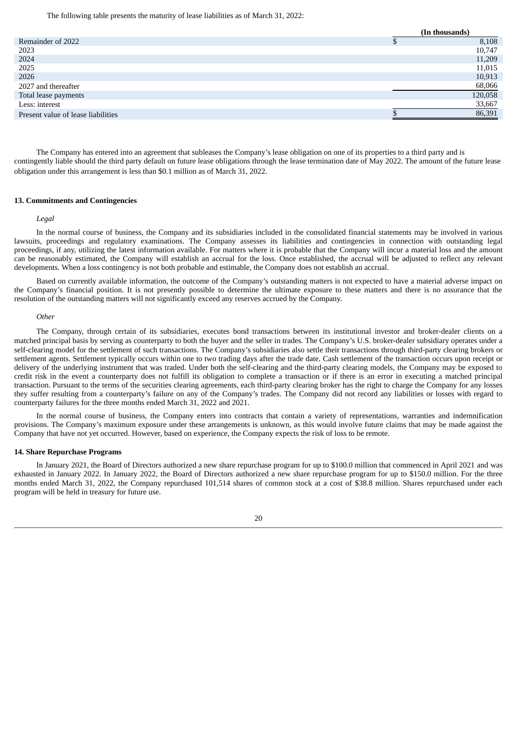The following table presents the maturity of lease liabilities as of March 31, 2022:

|                                    | (In thousands) |
|------------------------------------|----------------|
| Remainder of 2022                  | 8,108          |
| 2023                               | 10,747         |
| 2024                               | 11,209         |
| 2025                               | 11,015         |
| 2026                               | 10,913         |
| 2027 and thereafter                | 68,066         |
| Total lease payments               | 120,058        |
| Less: interest                     | 33,667         |
| Present value of lease liabilities | 86,391         |
|                                    |                |

The Company has entered into an agreement that subleases the Company's lease obligation on one of its properties to a third party and is contingently liable should the third party default on future lease obligations through the lease termination date of May 2022. The amount of the future lease obligation under this arrangement is less than \$0.1 million as of March 31, 2022.

## **13. Commitments and Contingencies**

#### *Legal*

In the normal course of business, the Company and its subsidiaries included in the consolidated financial statements may be involved in various lawsuits, proceedings and regulatory examinations. The Company assesses its liabilities and contingencies in connection with outstanding legal proceedings, if any, utilizing the latest information available. For matters where it is probable that the Company will incur a material loss and the amount can be reasonably estimated, the Company will establish an accrual for the loss. Once established, the accrual will be adjusted to reflect any relevant developments. When a loss contingency is not both probable and estimable, the Company does not establish an accrual.

Based on currently available information, the outcome of the Company's outstanding matters is not expected to have a material adverse impact on the Company's financial position. It is not presently possible to determine the ultimate exposure to these matters and there is no assurance that the resolution of the outstanding matters will not significantly exceed any reserves accrued by the Company.

#### *Other*

The Company, through certain of its subsidiaries, executes bond transactions between its institutional investor and broker-dealer clients on a matched principal basis by serving as counterparty to both the buyer and the seller in trades. The Company's U.S. broker-dealer subsidiary operates under a self-clearing model for the settlement of such transactions. The Company's subsidiaries also settle their transactions through third-party clearing brokers or settlement agents. Settlement typically occurs within one to two trading days after the trade date. Cash settlement of the transaction occurs upon receipt or delivery of the underlying instrument that was traded. Under both the self-clearing and the third-party clearing models, the Company may be exposed to credit risk in the event a counterparty does not fulfill its obligation to complete a transaction or if there is an error in executing a matched principal transaction. Pursuant to the terms of the securities clearing agreements, each third-party clearing broker has the right to charge the Company for any losses they suffer resulting from a counterparty's failure on any of the Company's trades. The Company did not record any liabilities or losses with regard to counterparty failures for the three months ended March 31, 2022 and 2021.

In the normal course of business, the Company enters into contracts that contain a variety of representations, warranties and indemnification provisions. The Company's maximum exposure under these arrangements is unknown, as this would involve future claims that may be made against the Company that have not yet occurred. However, based on experience, the Company expects the risk of loss to be remote.

## **14. Share Repurchase Programs**

In January 2021, the Board of Directors authorized a new share repurchase program for up to \$100.0 million that commenced in April 2021 and was exhausted in January 2022. In January 2022, the Board of Directors authorized a new share repurchase program for up to \$150.0 million. For the three months ended March 31, 2022, the Company repurchased 101,514 shares of common stock at a cost of \$38.8 million. Shares repurchased under each program will be held in treasury for future use.

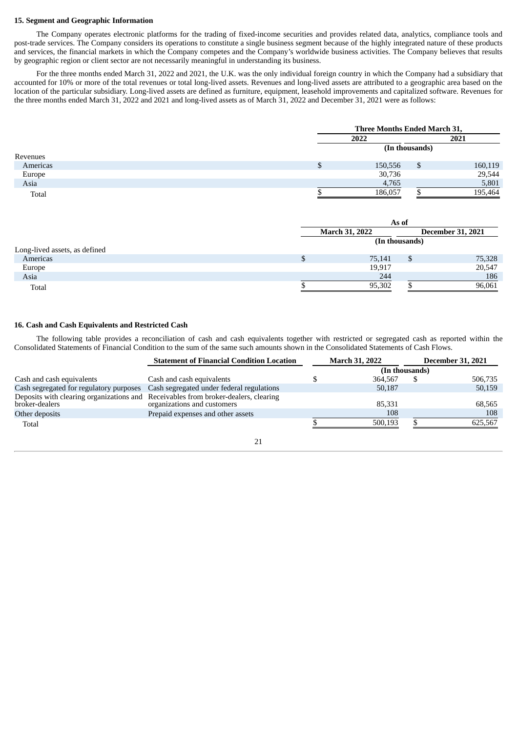## **15. Segment and Geographic Information**

The Company operates electronic platforms for the trading of fixed-income securities and provides related data, analytics, compliance tools and post-trade services. The Company considers its operations to constitute a single business segment because of the highly integrated nature of these products and services, the financial markets in which the Company competes and the Company's worldwide business activities. The Company believes that results by geographic region or client sector are not necessarily meaningful in understanding its business.

For the three months ended March 31, 2022 and 2021, the U.K. was the only individual foreign country in which the Company had a subsidiary that accounted for 10% or more of the total revenues or total long-lived assets. Revenues and long-lived assets are attributed to a geographic area based on the location of the particular subsidiary. Long-lived assets are defined as furniture, equipment, leasehold improvements and capitalized software. Revenues for the three months ended March 31, 2022 and 2021 and long-lived assets as of March 31, 2022 and December 31, 2021 were as follows:

|          |    | Three Months Ended March 31, |                |   |         |  |  |  |
|----------|----|------------------------------|----------------|---|---------|--|--|--|
|          |    | 2022                         |                |   | 2021    |  |  |  |
|          |    |                              | (In thousands) |   |         |  |  |  |
| Revenues |    |                              |                |   |         |  |  |  |
| Americas | ۰D |                              | 150,556        | D | 160,119 |  |  |  |
| Europe   |    |                              | 30,736         |   | 29,544  |  |  |  |
| Asia     |    |                              | 4,765          |   | 5,801   |  |  |  |
| Total    |    |                              | 186,057        |   | 195,464 |  |  |  |

|                               |   | As of                 |                |                          |  |  |  |  |
|-------------------------------|---|-----------------------|----------------|--------------------------|--|--|--|--|
|                               |   | <b>March 31, 2022</b> |                | <b>December 31, 2021</b> |  |  |  |  |
|                               |   |                       | (In thousands) |                          |  |  |  |  |
| Long-lived assets, as defined |   |                       |                |                          |  |  |  |  |
| Americas                      | w | 75,141                |                | 75,328                   |  |  |  |  |
| Europe                        |   | 19,917                |                | 20,547                   |  |  |  |  |
| Asia                          |   | 244                   |                | 186                      |  |  |  |  |
| Total                         |   | 95,302                |                | 96,061                   |  |  |  |  |

## **16. Cash and Cash Equivalents and Restricted Cash**

The following table provides a reconciliation of cash and cash equivalents together with restricted or segregated cash as reported within the Consolidated Statements of Financial Condition to the sum of the same such amounts shown in the Consolidated Statements of Cash Flows.

|                           | <b>Statement of Financial Condition Location</b>                                                                  | <b>March 31, 2022</b> | <b>December 31, 2021</b> |
|---------------------------|-------------------------------------------------------------------------------------------------------------------|-----------------------|--------------------------|
|                           |                                                                                                                   | (In thousands)        |                          |
| Cash and cash equivalents | Cash and cash equivalents                                                                                         | 364.567               | 506,735                  |
|                           | Cash segregated for regulatory purposes Cash segregated under federal regulations                                 | 50,187                | 50,159                   |
| broker-dealers            | Deposits with clearing organizations and Receivables from broker-dealers, clearing<br>organizations and customers | 85.331                | 68,565                   |
| Other deposits            | Prepaid expenses and other assets                                                                                 | 108                   | 108                      |
| Total                     |                                                                                                                   | 500,193               | 625,567                  |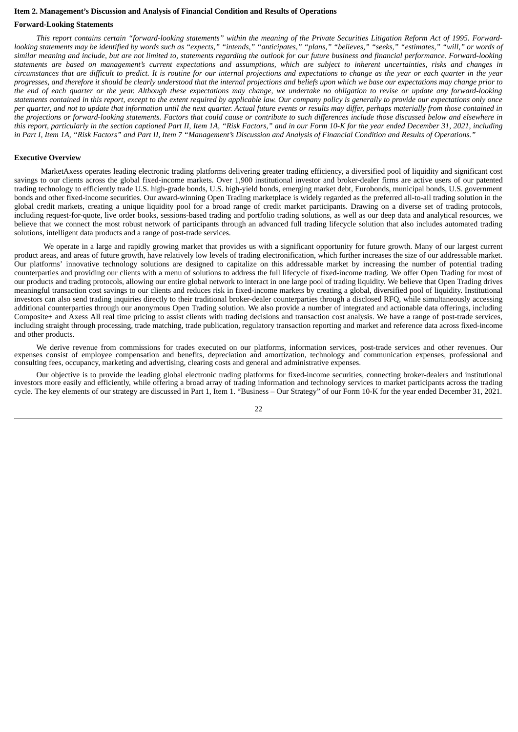## <span id="page-21-0"></span>**Item 2. Management's Discussion and Analysis of Financial Condition and Results of Operations**

## **Forward-Looking Statements**

This report contains certain "forward-looking statements" within the meaning of the Private Securities Litigation Reform Act of 1995. Forwardlooking statements may be identified by words such as "expects," "intends," "anticipates," "plans," "believes," "seeks," "estimates," "will," or words of similar meaning and include, but are not limited to, statements regarding the outlook for our future business and financial performance. Forward-looking statements are based on management's current expectations and assumptions, which are subject to inherent uncertainties, risks and changes in circumstances that are difficult to predict. It is routine for our internal projections and expectations to change as the vear or each quarter in the vear progresses, and therefore it should be clearly understood that the internal projections and beliefs upon which we base our expectations may change prior to the end of each quarter or the year. Although these expectations may change, we undertake no obligation to revise or update any forward-looking statements contained in this report, except to the extent required by applicable law. Our company policy is generally to provide our expectations only once per quarter, and not to update that information until the next quarter. Actual future events or results may differ, perhaps materially from those contained in the projections or forward-looking statements. Factors that could cause or contribute to such differences include those discussed below and elsewhere in this report, particularly in the section captioned Part II, Item 1A, "Risk Factors," and in our Form 10-K for the year ended December 31, 2021, including in Part I, Item 1A, "Risk Factors" and Part II, Item 7 "Management's Discussion and Analysis of Financial Condition and Results of Operations."

#### **Executive Overview**

MarketAxess operates leading electronic trading platforms delivering greater trading efficiency, a diversified pool of liquidity and significant cost savings to our clients across the global fixed-income markets. Over 1,900 institutional investor and broker-dealer firms are active users of our patented trading technology to efficiently trade U.S. high-grade bonds, U.S. high-yield bonds, emerging market debt, Eurobonds, municipal bonds, U.S. government bonds and other fixed-income securities. Our award-winning Open Trading marketplace is widely regarded as the preferred all-to-all trading solution in the global credit markets, creating a unique liquidity pool for a broad range of credit market participants. Drawing on a diverse set of trading protocols, including request-for-quote, live order books, sessions-based trading and portfolio trading solutions, as well as our deep data and analytical resources, we believe that we connect the most robust network of participants through an advanced full trading lifecycle solution that also includes automated trading solutions, intelligent data products and a range of post-trade services.

We operate in a large and rapidly growing market that provides us with a significant opportunity for future growth. Many of our largest current product areas, and areas of future growth, have relatively low levels of trading electronification, which further increases the size of our addressable market. Our platforms' innovative technology solutions are designed to capitalize on this addressable market by increasing the number of potential trading counterparties and providing our clients with a menu of solutions to address the full lifecycle of fixed-income trading. We offer Open Trading for most of our products and trading protocols, allowing our entire global network to interact in one large pool of trading liquidity. We believe that Open Trading drives meaningful transaction cost savings to our clients and reduces risk in fixed-income markets by creating a global, diversified pool of liquidity. Institutional investors can also send trading inquiries directly to their traditional broker-dealer counterparties through a disclosed RFQ, while simultaneously accessing additional counterparties through our anonymous Open Trading solution. We also provide a number of integrated and actionable data offerings, including Composite+ and Axess All real time pricing to assist clients with trading decisions and transaction cost analysis. We have a range of post-trade services, including straight through processing, trade matching, trade publication, regulatory transaction reporting and market and reference data across fixed-income and other products.

We derive revenue from commissions for trades executed on our platforms, information services, post-trade services and other revenues. Our expenses consist of employee compensation and benefits, depreciation and amortization, technology and communication expenses, professional and consulting fees, occupancy, marketing and advertising, clearing costs and general and administrative expenses.

Our objective is to provide the leading global electronic trading platforms for fixed-income securities, connecting broker-dealers and institutional investors more easily and efficiently, while offering a broad array of trading information and technology services to market participants across the trading cycle. The key elements of our strategy are discussed in Part 1, Item 1. "Business – Our Strategy" of our Form 10-K for the year ended December 31, 2021.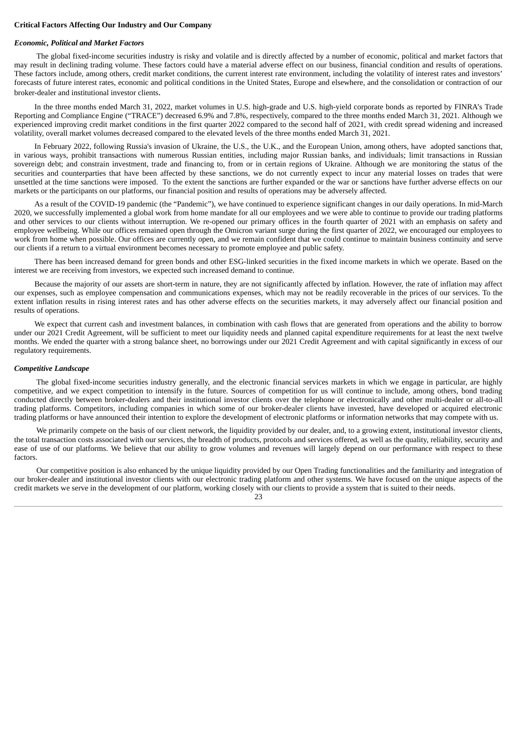## **Critical Factors Affecting Our Industry and Our Company**

#### *Economic, Political and Market Factors*

The global fixed-income securities industry is risky and volatile and is directly affected by a number of economic, political and market factors that may result in declining trading volume. These factors could have a material adverse effect on our business, financial condition and results of operations. These factors include, among others, credit market conditions, the current interest rate environment, including the volatility of interest rates and investors' forecasts of future interest rates, economic and political conditions in the United States, Europe and elsewhere, and the consolidation or contraction of our broker-dealer and institutional investor clients.

In the three months ended March 31, 2022, market volumes in U.S. high-grade and U.S. high-yield corporate bonds as reported by FINRA's Trade Reporting and Compliance Engine ("TRACE") decreased 6.9% and 7.8%, respectively, compared to the three months ended March 31, 2021. Although we experienced improving credit market conditions in the first quarter 2022 compared to the second half of 2021, with credit spread widening and increased volatility, overall market volumes decreased compared to the elevated levels of the three months ended March 31, 2021.

In February 2022, following Russia's invasion of Ukraine, the U.S., the U.K., and the European Union, among others, have adopted sanctions that, in various ways, prohibit transactions with numerous Russian entities, including major Russian banks, and individuals; limit transactions in Russian sovereign debt; and constrain investment, trade and financing to, from or in certain regions of Ukraine. Although we are monitoring the status of the securities and counterparties that have been affected by these sanctions, we do not currently expect to incur any material losses on trades that were unsettled at the time sanctions were imposed. To the extent the sanctions are further expanded or the war or sanctions have further adverse effects on our markets or the participants on our platforms, our financial position and results of operations may be adversely affected.

As a result of the COVID-19 pandemic (the "Pandemic"), we have continued to experience significant changes in our daily operations. In mid-March 2020, we successfully implemented a global work from home mandate for all our employees and we were able to continue to provide our trading platforms and other services to our clients without interruption. We re-opened our primary offices in the fourth quarter of 2021 with an emphasis on safety and employee wellbeing. While our offices remained open through the Omicron variant surge during the first quarter of 2022, we encouraged our employees to work from home when possible. Our offices are currently open, and we remain confident that we could continue to maintain business continuity and serve our clients if a return to a virtual environment becomes necessary to promote employee and public safety.

There has been increased demand for green bonds and other ESG-linked securities in the fixed income markets in which we operate. Based on the interest we are receiving from investors, we expected such increased demand to continue.

Because the majority of our assets are short-term in nature, they are not significantly affected by inflation. However, the rate of inflation may affect our expenses, such as employee compensation and communications expenses, which may not be readily recoverable in the prices of our services. To the extent inflation results in rising interest rates and has other adverse effects on the securities markets, it may adversely affect our financial position and results of operations.

We expect that current cash and investment balances, in combination with cash flows that are generated from operations and the ability to borrow under our 2021 Credit Agreement, will be sufficient to meet our liquidity needs and planned capital expenditure requirements for at least the next twelve months. We ended the quarter with a strong balance sheet, no borrowings under our 2021 Credit Agreement and with capital significantly in excess of our regulatory requirements.

#### *Competitive Landscape*

The global fixed-income securities industry generally, and the electronic financial services markets in which we engage in particular, are highly competitive, and we expect competition to intensify in the future. Sources of competition for us will continue to include, among others, bond trading conducted directly between broker-dealers and their institutional investor clients over the telephone or electronically and other multi-dealer or all-to-all trading platforms. Competitors, including companies in which some of our broker-dealer clients have invested, have developed or acquired electronic trading platforms or have announced their intention to explore the development of electronic platforms or information networks that may compete with us.

We primarily compete on the basis of our client network, the liquidity provided by our dealer, and, to a growing extent, institutional investor clients, the total transaction costs associated with our services, the breadth of products, protocols and services offered, as well as the quality, reliability, security and ease of use of our platforms. We believe that our ability to grow volumes and revenues will largely depend on our performance with respect to these factors.

Our competitive position is also enhanced by the unique liquidity provided by our Open Trading functionalities and the familiarity and integration of our broker-dealer and institutional investor clients with our electronic trading platform and other systems. We have focused on the unique aspects of the credit markets we serve in the development of our platform, working closely with our clients to provide a system that is suited to their needs.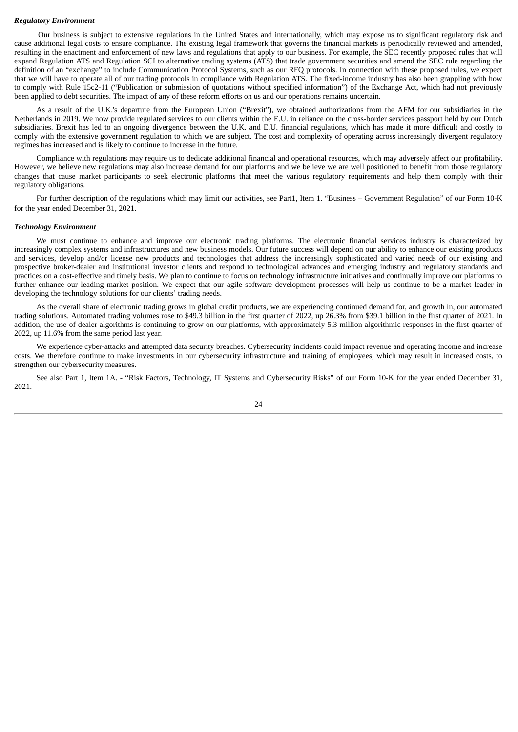#### *Regulatory Environment*

Our business is subject to extensive regulations in the United States and internationally, which may expose us to significant regulatory risk and cause additional legal costs to ensure compliance. The existing legal framework that governs the financial markets is periodically reviewed and amended, resulting in the enactment and enforcement of new laws and regulations that apply to our business. For example, the SEC recently proposed rules that will expand Regulation ATS and Regulation SCI to alternative trading systems (ATS) that trade government securities and amend the SEC rule regarding the definition of an "exchange" to include Communication Protocol Systems, such as our RFQ protocols. In connection with these proposed rules, we expect that we will have to operate all of our trading protocols in compliance with Regulation ATS. The fixed-income industry has also been grappling with how to comply with Rule 15c2-11 ("Publication or submission of quotations without specified information") of the Exchange Act, which had not previously been applied to debt securities. The impact of any of these reform efforts on us and our operations remains uncertain.

As a result of the U.K.'s departure from the European Union ("Brexit"), we obtained authorizations from the AFM for our subsidiaries in the Netherlands in 2019. We now provide regulated services to our clients within the E.U. in reliance on the cross-border services passport held by our Dutch subsidiaries. Brexit has led to an ongoing divergence between the U.K. and E.U. financial regulations, which has made it more difficult and costly to comply with the extensive government regulation to which we are subject. The cost and complexity of operating across increasingly divergent regulatory regimes has increased and is likely to continue to increase in the future.

Compliance with regulations may require us to dedicate additional financial and operational resources, which may adversely affect our profitability. However, we believe new regulations may also increase demand for our platforms and we believe we are well positioned to benefit from those regulatory changes that cause market participants to seek electronic platforms that meet the various regulatory requirements and help them comply with their regulatory obligations.

For further description of the regulations which may limit our activities, see Part1, Item 1. "Business – Government Regulation" of our Form 10-K for the year ended December 31, 2021.

#### *Technology Environment*

We must continue to enhance and improve our electronic trading platforms. The electronic financial services industry is characterized by increasingly complex systems and infrastructures and new business models. Our future success will depend on our ability to enhance our existing products and services, develop and/or license new products and technologies that address the increasingly sophisticated and varied needs of our existing and prospective broker-dealer and institutional investor clients and respond to technological advances and emerging industry and regulatory standards and practices on a cost-effective and timely basis. We plan to continue to focus on technology infrastructure initiatives and continually improve our platforms to further enhance our leading market position. We expect that our agile software development processes will help us continue to be a market leader in developing the technology solutions for our clients' trading needs.

As the overall share of electronic trading grows in global credit products, we are experiencing continued demand for, and growth in, our automated trading solutions. Automated trading volumes rose to \$49.3 billion in the first quarter of 2022, up 26.3% from \$39.1 billion in the first quarter of 2021. In addition, the use of dealer algorithms is continuing to grow on our platforms, with approximately 5.3 million algorithmic responses in the first quarter of 2022, up 11.6% from the same period last year.

We experience cyber-attacks and attempted data security breaches. Cybersecurity incidents could impact revenue and operating income and increase costs. We therefore continue to make investments in our cybersecurity infrastructure and training of employees, which may result in increased costs, to strengthen our cybersecurity measures.

See also Part 1, Item 1A. - "Risk Factors, Technology, IT Systems and Cybersecurity Risks" of our Form 10-K for the year ended December 31, 2021.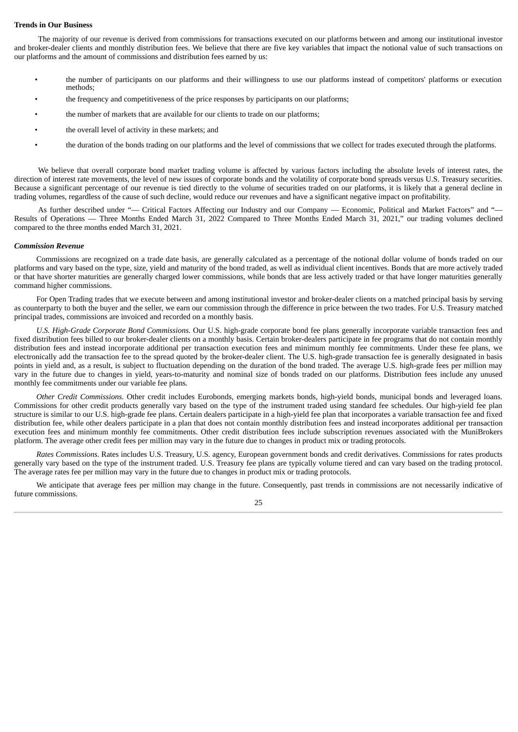#### **Trends in Our Business**

The majority of our revenue is derived from commissions for transactions executed on our platforms between and among our institutional investor and broker-dealer clients and monthly distribution fees. We believe that there are five key variables that impact the notional value of such transactions on our platforms and the amount of commissions and distribution fees earned by us:

- the number of participants on our platforms and their willingness to use our platforms instead of competitors' platforms or execution methods;
- the frequency and competitiveness of the price responses by participants on our platforms;
- the number of markets that are available for our clients to trade on our platforms;
- the overall level of activity in these markets; and
- the duration of the bonds trading on our platforms and the level of commissions that we collect for trades executed through the platforms.

We believe that overall corporate bond market trading volume is affected by various factors including the absolute levels of interest rates, the direction of interest rate movements, the level of new issues of corporate bonds and the volatility of corporate bond spreads versus U.S. Treasury securities. Because a significant percentage of our revenue is tied directly to the volume of securities traded on our platforms, it is likely that a general decline in trading volumes, regardless of the cause of such decline, would reduce our revenues and have a significant negative impact on profitability.

As further described under "— Critical Factors Affecting our Industry and our Company — Economic, Political and Market Factors" and "— Results of Operations — Three Months Ended March 31, 2022 Compared to Three Months Ended March 31, 2021," our trading volumes declined compared to the three months ended March 31, 2021.

#### *Commission Revenue*

Commissions are recognized on a trade date basis, are generally calculated as a percentage of the notional dollar volume of bonds traded on our platforms and vary based on the type, size, yield and maturity of the bond traded, as well as individual client incentives. Bonds that are more actively traded or that have shorter maturities are generally charged lower commissions, while bonds that are less actively traded or that have longer maturities generally command higher commissions.

For Open Trading trades that we execute between and among institutional investor and broker-dealer clients on a matched principal basis by serving as counterparty to both the buyer and the seller, we earn our commission through the difference in price between the two trades. For U.S. Treasury matched principal trades, commissions are invoiced and recorded on a monthly basis.

*U.S. High-Grade Corporate Bond Commissions.* Our U.S. high-grade corporate bond fee plans generally incorporate variable transaction fees and fixed distribution fees billed to our broker-dealer clients on a monthly basis. Certain broker-dealers participate in fee programs that do not contain monthly distribution fees and instead incorporate additional per transaction execution fees and minimum monthly fee commitments. Under these fee plans, we electronically add the transaction fee to the spread quoted by the broker-dealer client. The U.S. high-grade transaction fee is generally designated in basis points in yield and, as a result, is subject to fluctuation depending on the duration of the bond traded. The average U.S. high-grade fees per million may vary in the future due to changes in yield, years-to-maturity and nominal size of bonds traded on our platforms. Distribution fees include any unused monthly fee commitments under our variable fee plans.

*Other Credit Commissions.* Other credit includes Eurobonds, emerging markets bonds, high-yield bonds, municipal bonds and leveraged loans. Commissions for other credit products generally vary based on the type of the instrument traded using standard fee schedules. Our high-yield fee plan structure is similar to our U.S. high-grade fee plans. Certain dealers participate in a high-yield fee plan that incorporates a variable transaction fee and fixed distribution fee, while other dealers participate in a plan that does not contain monthly distribution fees and instead incorporates additional per transaction execution fees and minimum monthly fee commitments. Other credit distribution fees include subscription revenues associated with the MuniBrokers platform. The average other credit fees per million may vary in the future due to changes in product mix or trading protocols.

*Rates Commissions.* Rates includes U.S. Treasury, U.S. agency, European government bonds and credit derivatives. Commissions for rates products generally vary based on the type of the instrument traded. U.S. Treasury fee plans are typically volume tiered and can vary based on the trading protocol. The average rates fee per million may vary in the future due to changes in product mix or trading protocols.

We anticipate that average fees per million may change in the future. Consequently, past trends in commissions are not necessarily indicative of future commissions.

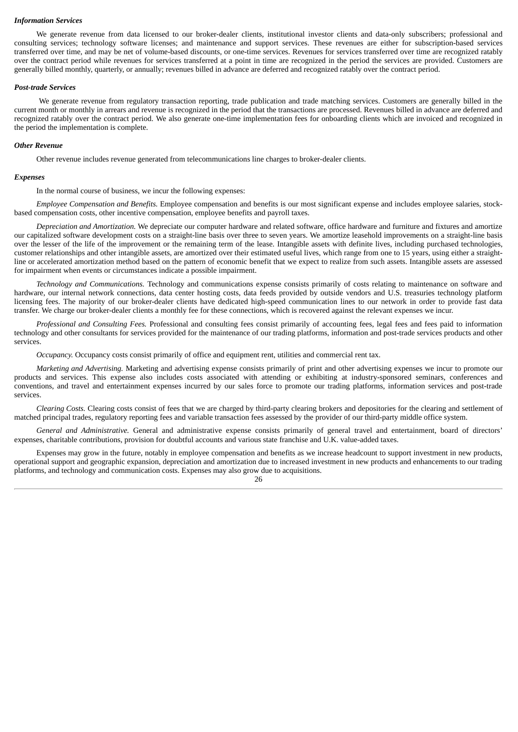## *Information Services*

We generate revenue from data licensed to our broker-dealer clients, institutional investor clients and data-only subscribers; professional and consulting services; technology software licenses; and maintenance and support services. These revenues are either for subscription-based services transferred over time, and may be net of volume-based discounts, or one-time services. Revenues for services transferred over time are recognized ratably over the contract period while revenues for services transferred at a point in time are recognized in the period the services are provided. Customers are generally billed monthly, quarterly, or annually; revenues billed in advance are deferred and recognized ratably over the contract period.

#### *Post-trade Services*

We generate revenue from regulatory transaction reporting, trade publication and trade matching services. Customers are generally billed in the current month or monthly in arrears and revenue is recognized in the period that the transactions are processed. Revenues billed in advance are deferred and recognized ratably over the contract period. We also generate one-time implementation fees for onboarding clients which are invoiced and recognized in the period the implementation is complete.

#### *Other Revenue*

Other revenue includes revenue generated from telecommunications line charges to broker-dealer clients.

#### *Expenses*

In the normal course of business, we incur the following expenses:

*Employee Compensation and Benefits.* Employee compensation and benefits is our most significant expense and includes employee salaries, stockbased compensation costs, other incentive compensation, employee benefits and payroll taxes.

*Depreciation and Amortization.* We depreciate our computer hardware and related software, office hardware and furniture and fixtures and amortize our capitalized software development costs on a straight-line basis over three to seven years. We amortize leasehold improvements on a straight-line basis over the lesser of the life of the improvement or the remaining term of the lease. Intangible assets with definite lives, including purchased technologies, customer relationships and other intangible assets, are amortized over their estimated useful lives, which range from one to 15 years, using either a straightline or accelerated amortization method based on the pattern of economic benefit that we expect to realize from such assets. Intangible assets are assessed for impairment when events or circumstances indicate a possible impairment.

*Technology and Communications.* Technology and communications expense consists primarily of costs relating to maintenance on software and hardware, our internal network connections, data center hosting costs, data feeds provided by outside vendors and U.S. treasuries technology platform licensing fees. The majority of our broker-dealer clients have dedicated high-speed communication lines to our network in order to provide fast data transfer. We charge our broker-dealer clients a monthly fee for these connections, which is recovered against the relevant expenses we incur.

*Professional and Consulting Fees.* Professional and consulting fees consist primarily of accounting fees, legal fees and fees paid to information technology and other consultants for services provided for the maintenance of our trading platforms, information and post-trade services products and other services.

*Occupancy.* Occupancy costs consist primarily of office and equipment rent, utilities and commercial rent tax.

*Marketing and Advertising.* Marketing and advertising expense consists primarily of print and other advertising expenses we incur to promote our products and services. This expense also includes costs associated with attending or exhibiting at industry-sponsored seminars, conferences and conventions, and travel and entertainment expenses incurred by our sales force to promote our trading platforms, information services and post-trade services.

*Clearing Costs.* Clearing costs consist of fees that we are charged by third-party clearing brokers and depositories for the clearing and settlement of matched principal trades, regulatory reporting fees and variable transaction fees assessed by the provider of our third-party middle office system.

*General and Administrative.* General and administrative expense consists primarily of general travel and entertainment, board of directors' expenses, charitable contributions, provision for doubtful accounts and various state franchise and U.K. value-added taxes.

Expenses may grow in the future, notably in employee compensation and benefits as we increase headcount to support investment in new products, operational support and geographic expansion, depreciation and amortization due to increased investment in new products and enhancements to our trading platforms, and technology and communication costs. Expenses may also grow due to acquisitions.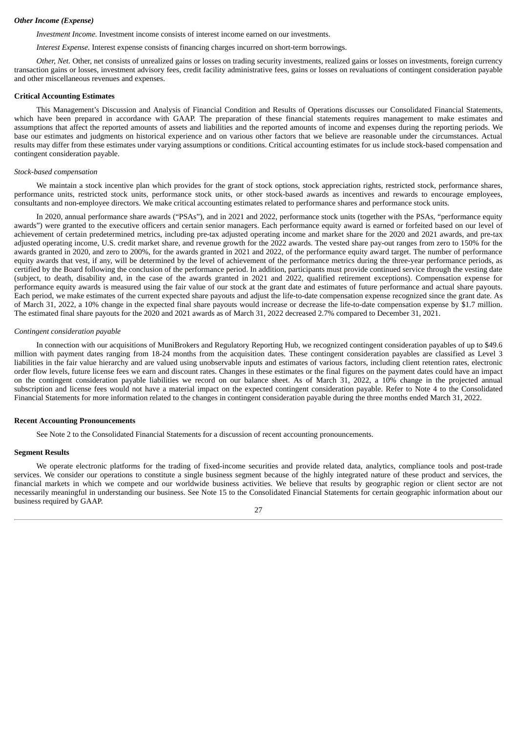#### *Other Income (Expense)*

*Investment Income.* Investment income consists of interest income earned on our investments.

*Interest Expense.* Interest expense consists of financing charges incurred on short-term borrowings.

*Other, Net.* Other, net consists of unrealized gains or losses on trading security investments, realized gains or losses on investments, foreign currency transaction gains or losses, investment advisory fees, credit facility administrative fees, gains or losses on revaluations of contingent consideration payable and other miscellaneous revenues and expenses.

#### **Critical Accounting Estimates**

This Management's Discussion and Analysis of Financial Condition and Results of Operations discusses our Consolidated Financial Statements, which have been prepared in accordance with GAAP. The preparation of these financial statements requires management to make estimates and assumptions that affect the reported amounts of assets and liabilities and the reported amounts of income and expenses during the reporting periods. We base our estimates and judgments on historical experience and on various other factors that we believe are reasonable under the circumstances. Actual results may differ from these estimates under varying assumptions or conditions. Critical accounting estimates for us include stock-based compensation and contingent consideration payable.

#### *Stock-based compensation*

We maintain a stock incentive plan which provides for the grant of stock options, stock appreciation rights, restricted stock, performance shares, performance units, restricted stock units, performance stock units, or other stock-based awards as incentives and rewards to encourage employees, consultants and non-employee directors. We make critical accounting estimates related to performance shares and performance stock units.

In 2020, annual performance share awards ("PSAs"), and in 2021 and 2022, performance stock units (together with the PSAs, "performance equity awards") were granted to the executive officers and certain senior managers. Each performance equity award is earned or forfeited based on our level of achievement of certain predetermined metrics, including pre-tax adjusted operating income and market share for the 2020 and 2021 awards, and pre-tax adjusted operating income, U.S. credit market share, and revenue growth for the 2022 awards. The vested share pay-out ranges from zero to 150% for the awards granted in 2020, and zero to 200%, for the awards granted in 2021 and 2022, of the performance equity award target. The number of performance equity awards that vest, if any, will be determined by the level of achievement of the performance metrics during the three-year performance periods, as certified by the Board following the conclusion of the performance period. In addition, participants must provide continued service through the vesting date (subject, to death, disability and, in the case of the awards granted in 2021 and 2022, qualified retirement exceptions). Compensation expense for performance equity awards is measured using the fair value of our stock at the grant date and estimates of future performance and actual share payouts. Each period, we make estimates of the current expected share payouts and adjust the life-to-date compensation expense recognized since the grant date. As of March 31, 2022, a 10% change in the expected final share payouts would increase or decrease the life-to-date compensation expense by \$1.7 million. The estimated final share payouts for the 2020 and 2021 awards as of March 31, 2022 decreased 2.7% compared to December 31, 2021.

#### *Contingent consideration payable*

In connection with our acquisitions of MuniBrokers and Regulatory Reporting Hub, we recognized contingent consideration payables of up to \$49.6 million with payment dates ranging from 18-24 months from the acquisition dates. These contingent consideration payables are classified as Level 3 liabilities in the fair value hierarchy and are valued using unobservable inputs and estimates of various factors, including client retention rates, electronic order flow levels, future license fees we earn and discount rates. Changes in these estimates or the final figures on the payment dates could have an impact on the contingent consideration payable liabilities we record on our balance sheet. As of March 31, 2022, a 10% change in the projected annual subscription and license fees would not have a material impact on the expected contingent consideration payable. Refer to Note 4 to the Consolidated Financial Statements for more information related to the changes in contingent consideration payable during the three months ended March 31, 2022.

#### **Recent Accounting Pronouncements**

See Note 2 to the Consolidated Financial Statements for a discussion of recent accounting pronouncements.

#### **Segment Results**

We operate electronic platforms for the trading of fixed-income securities and provide related data, analytics, compliance tools and post-trade services. We consider our operations to constitute a single business segment because of the highly integrated nature of these product and services, the financial markets in which we compete and our worldwide business activities. We believe that results by geographic region or client sector are not necessarily meaningful in understanding our business. See Note 15 to the Consolidated Financial Statements for certain geographic information about our business required by GAAP.

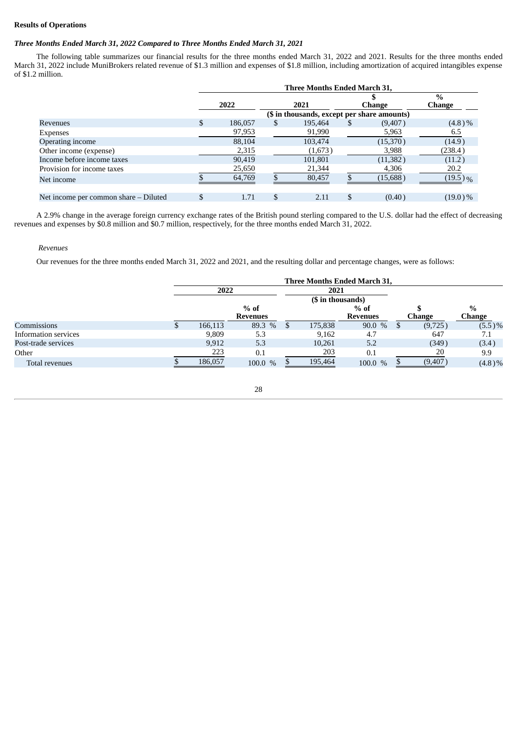## **Results of Operations**

## *Three Months Ended March 31, 2022 Compared to Three Months Ended March 31, 2021*

The following table summarizes our financial results for the three months ended March 31, 2022 and 2021. Results for the three months ended March 31, 2022 include MuniBrokers related revenue of \$1.3 million and expenses of \$1.8 million, including amortization of acquired intangibles expense of \$1.2 million.

|                                       | Three Months Ended March 31, |         |    |                                             |    |           |                         |  |  |  |
|---------------------------------------|------------------------------|---------|----|---------------------------------------------|----|-----------|-------------------------|--|--|--|
|                                       |                              | 2022    |    | 2021                                        |    | Change    | $\frac{0}{0}$<br>Change |  |  |  |
|                                       |                              |         |    | (\$ in thousands, except per share amounts) |    |           |                         |  |  |  |
| <b>Revenues</b>                       | \$                           | 186,057 | \$ | 195,464                                     | S. | (9,407)   | $(4.8) \%$              |  |  |  |
| Expenses                              |                              | 97,953  |    | 91,990                                      |    | 5,963     | 6.5                     |  |  |  |
| Operating income                      |                              | 88,104  |    | 103,474                                     |    | (15, 370) | (14.9)                  |  |  |  |
| Other income (expense)                |                              | 2,315   |    | (1,673)                                     |    | 3,988     | (238.4)                 |  |  |  |
| Income before income taxes            |                              | 90,419  |    | 101,801                                     |    | (11, 382) | (11.2)                  |  |  |  |
| Provision for income taxes            |                              | 25,650  |    | 21,344                                      |    | 4,306     | 20.2                    |  |  |  |
| Net income                            |                              | 64,769  |    | 80,457                                      |    | (15,688)  | $(19.5)\%$              |  |  |  |
|                                       |                              |         |    |                                             |    |           |                         |  |  |  |
| Net income per common share – Diluted | \$                           | 1.71    | \$ | 2.11                                        | \$ | (0.40)    | $(19.0)\%$              |  |  |  |

A 2.9% change in the average foreign currency exchange rates of the British pound sterling compared to the U.S. dollar had the effect of decreasing revenues and expenses by \$0.8 million and \$0.7 million, respectively, for the three months ended March 31, 2022.

#### *Revenues*

Our revenues for the three months ended March 31, 2022 and 2021, and the resulting dollar and percentage changes, were as follows:

|                      | Three Months Ended March 31, |                           |  |                   |                           |  |         |                |  |  |  |
|----------------------|------------------------------|---------------------------|--|-------------------|---------------------------|--|---------|----------------|--|--|--|
|                      | 2022                         |                           |  | 2021              |                           |  |         |                |  |  |  |
|                      |                              |                           |  | (\$ in thousands) |                           |  |         |                |  |  |  |
|                      |                              | $%$ of<br><b>Revenues</b> |  |                   | $%$ of<br><b>Revenues</b> |  | Change  | $\%$<br>Change |  |  |  |
| Commissions          | 166,113                      | 89.3 %                    |  | 175,838           | 90.0 $%$                  |  | (9,725) | $(5.5)$ %      |  |  |  |
| Information services | 9,809                        | 5.3                       |  | 9,162             | 4.7                       |  | 647     | 7.1            |  |  |  |
| Post-trade services  | 9,912                        | 5.3                       |  | 10,261            | 5.2                       |  | (349)   | (3.4)          |  |  |  |
| Other                | 223                          | 0.1                       |  | 203               | 0.1                       |  | 20      | 9.9            |  |  |  |
| Total revenues       | 186,057                      | 100.0 %                   |  | 195,464           | 100.0 %                   |  | (9,407) | (4.8)%         |  |  |  |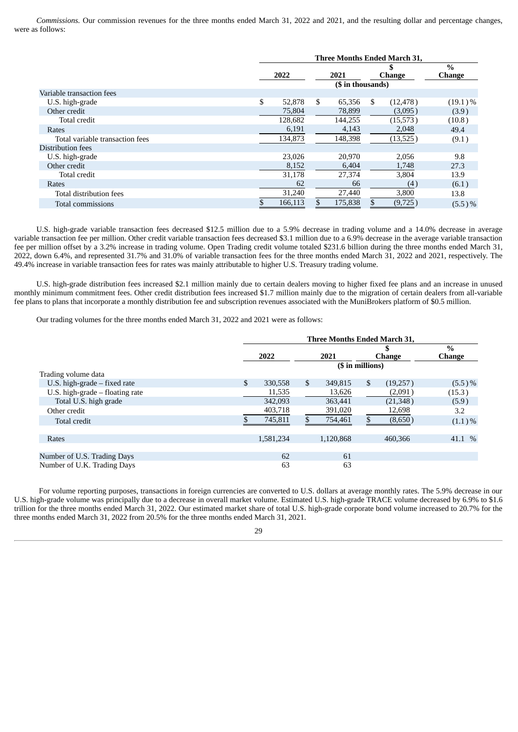*Commissions.* Our commission revenues for the three months ended March 31, 2022 and 2021, and the resulting dollar and percentage changes, were as follows:

|                                 | <b>Three Months Ended March 31,</b> |    |                           |    |               |                       |  |  |
|---------------------------------|-------------------------------------|----|---------------------------|----|---------------|-----------------------|--|--|
|                                 | 2022                                |    | 2021<br>(\$ in thousands) |    | <b>Change</b> | $\%$<br><b>Change</b> |  |  |
| Variable transaction fees       |                                     |    |                           |    |               |                       |  |  |
| U.S. high-grade                 | \$<br>52,878                        | \$ | 65,356                    | \$ | (12, 478)     | $(19.1)\%$            |  |  |
| Other credit                    | 75,804                              |    | 78,899                    |    | (3,095)       | (3.9)                 |  |  |
| <b>Total credit</b>             | 128,682                             |    | 144,255                   |    | (15, 573)     | (10.8)                |  |  |
| Rates                           | 6,191                               |    | 4,143                     |    | 2,048         | 49.4                  |  |  |
| Total variable transaction fees | 134,873                             |    | 148,398                   |    | (13,525)      | (9.1)                 |  |  |
| Distribution fees               |                                     |    |                           |    |               |                       |  |  |
| U.S. high-grade                 | 23,026                              |    | 20,970                    |    | 2,056         | 9.8                   |  |  |
| Other credit                    | 8,152                               |    | 6,404                     |    | 1,748         | 27.3                  |  |  |
| Total credit                    | 31,178                              |    | 27,374                    |    | 3,804         | 13.9                  |  |  |
| Rates                           | 62                                  |    | 66                        |    | (4)           | (6.1)                 |  |  |
| Total distribution fees         | 31,240                              |    | 27,440                    |    | 3,800         | 13.8                  |  |  |
| Total commissions               | 166,113                             |    | 175,838                   |    | (9,725)       | $(5.5) \%$            |  |  |

U.S. high-grade variable transaction fees decreased \$12.5 million due to a 5.9% decrease in trading volume and a 14.0% decrease in average variable transaction fee per million. Other credit variable transaction fees decreased \$3.1 million due to a 6.9% decrease in the average variable transaction fee per million offset by a 3.2% increase in trading volume. Open Trading credit volume totaled \$231.6 billion during the three months ended March 31, 2022, down 6.4%, and represented 31.7% and 31.0% of variable transaction fees for the three months ended March 31, 2022 and 2021, respectively. The 49.4% increase in variable transaction fees for rates was mainly attributable to higher U.S. Treasury trading volume.

U.S. high-grade distribution fees increased \$2.1 million mainly due to certain dealers moving to higher fixed fee plans and an increase in unused monthly minimum commitment fees. Other credit distribution fees increased \$1.7 million mainly due to the migration of certain dealers from all-variable fee plans to plans that incorporate a monthly distribution fee and subscription revenues associated with the MuniBrokers platform of \$0.5 million.

Our trading volumes for the three months ended March 31, 2022 and 2021 were as follows:

|                                   | <b>Three Months Ended March 31.</b> |           |    |           |                  |               |                       |  |  |  |
|-----------------------------------|-------------------------------------|-----------|----|-----------|------------------|---------------|-----------------------|--|--|--|
|                                   |                                     | 2022      |    | 2021      | (\$ in millions) | <b>Change</b> | $\%$<br><b>Change</b> |  |  |  |
| Trading volume data               |                                     |           |    |           |                  |               |                       |  |  |  |
| U.S. high-grade $-$ fixed rate    | \$                                  | 330,558   | \$ | 349,815   | \$               | (19,257)      | $(5.5)$ %             |  |  |  |
| U.S. high-grade $-$ floating rate |                                     | 11,535    |    | 13,626    |                  | (2,091)       | (15.3)                |  |  |  |
| Total U.S. high grade             |                                     | 342,093   |    | 363,441   |                  | (21,348)      | (5.9)                 |  |  |  |
| Other credit                      |                                     | 403,718   |    | 391,020   |                  | 12,698        | 3.2                   |  |  |  |
| Total credit                      |                                     | 745,811   | \$ | 754,461   | \$               | (8,650)       | $(1.1)\%$             |  |  |  |
| Rates                             |                                     | 1,581,234 |    | 1,120,868 |                  | 460,366       | 41.1 %                |  |  |  |
| Number of U.S. Trading Days       |                                     | 62        |    | 61        |                  |               |                       |  |  |  |
| Number of U.K. Trading Days       |                                     | 63        |    | 63        |                  |               |                       |  |  |  |

For volume reporting purposes, transactions in foreign currencies are converted to U.S. dollars at average monthly rates. The 5.9% decrease in our U.S. high-grade volume was principally due to a decrease in overall market volume. Estimated U.S. high-grade TRACE volume decreased by 6.9% to \$1.6 trillion for the three months ended March 31, 2022. Our estimated market share of total U.S. high-grade corporate bond volume increased to 20.7% for the three months ended March 31, 2022 from 20.5% for the three months ended March 31, 2021.

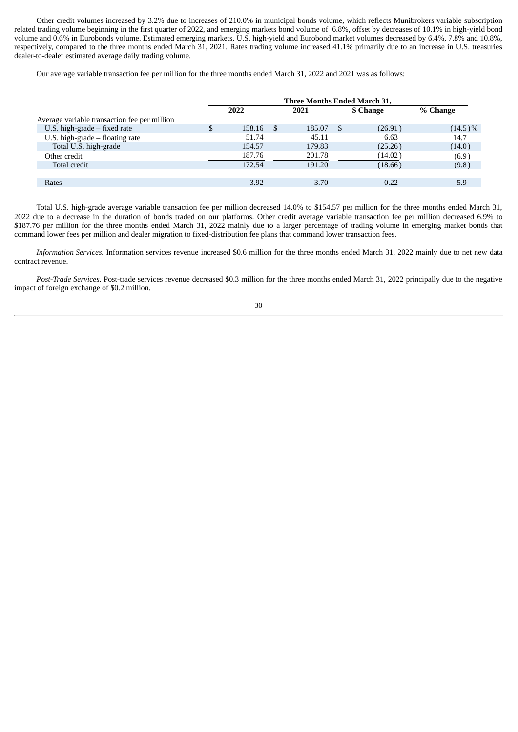Other credit volumes increased by 3.2% due to increases of 210.0% in municipal bonds volume, which reflects Munibrokers variable subscription related trading volume beginning in the first quarter of 2022, and emerging markets bond volume of 6.8%, offset by decreases of 10.1% in high-yield bond volume and 0.6% in Eurobonds volume. Estimated emerging markets, U.S. high-yield and Eurobond market volumes decreased by 6.4%, 7.8% and 10.8%, respectively, compared to the three months ended March 31, 2021. Rates trading volume increased 41.1% primarily due to an increase in U.S. treasuries dealer-to-dealer estimated average daily trading volume.

Our average variable transaction fee per million for the three months ended March 31, 2022 and 2021 was as follows:

|                                              | Three Months Ended March 31, |        |      |        |           |         |            |  |  |  |
|----------------------------------------------|------------------------------|--------|------|--------|-----------|---------|------------|--|--|--|
|                                              | 2022                         |        |      | 2021   | \$ Change |         | % Change   |  |  |  |
| Average variable transaction fee per million |                              |        |      |        |           |         |            |  |  |  |
| U.S. high-grade - fixed rate                 |                              | 158.16 | - \$ | 185.07 |           | (26.91) | $(14.5)\%$ |  |  |  |
| U.S. high-grade $-$ floating rate            |                              | 51.74  |      | 45.11  |           | 6.63    | 14.7       |  |  |  |
| Total U.S. high-grade                        |                              | 154.57 |      | 179.83 |           | (25.26) | (14.0)     |  |  |  |
| Other credit                                 |                              | 187.76 |      | 201.78 |           | (14.02) | (6.9)      |  |  |  |
| Total credit                                 |                              | 172.54 |      | 191.20 |           | (18.66) | (9.8)      |  |  |  |
|                                              |                              |        |      |        |           |         |            |  |  |  |
| Rates                                        |                              | 3.92   |      | 3.70   |           | 0.22    | 5.9        |  |  |  |
|                                              |                              |        |      |        |           |         |            |  |  |  |

Total U.S. high-grade average variable transaction fee per million decreased 14.0% to \$154.57 per million for the three months ended March 31, 2022 due to a decrease in the duration of bonds traded on our platforms. Other credit average variable transaction fee per million decreased 6.9% to \$187.76 per million for the three months ended March 31, 2022 mainly due to a larger percentage of trading volume in emerging market bonds that command lower fees per million and dealer migration to fixed-distribution fee plans that command lower transaction fees.

*Information Services.* Information services revenue increased \$0.6 million for the three months ended March 31, 2022 mainly due to net new data contract revenue.

*Post-Trade Services.* Post-trade services revenue decreased \$0.3 million for the three months ended March 31, 2022 principally due to the negative impact of foreign exchange of \$0.2 million.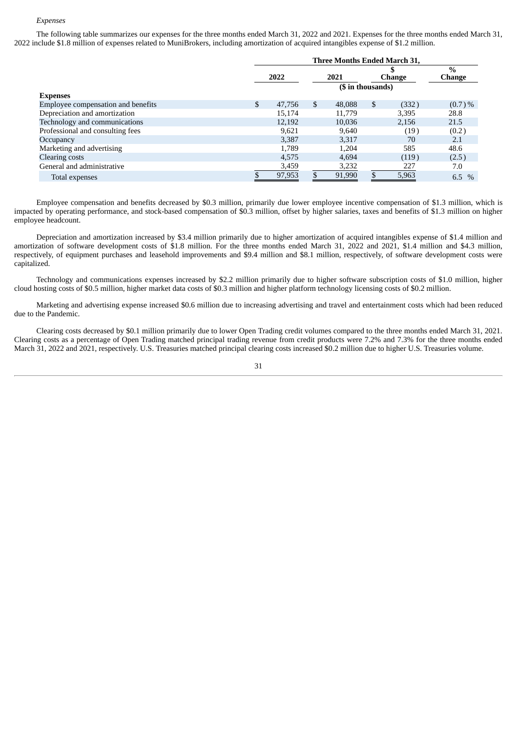## *Expenses*

The following table summarizes our expenses for the three months ended March 31, 2022 and 2021. Expenses for the three months ended March 31, 2022 include \$1.8 million of expenses related to MuniBrokers, including amortization of acquired intangibles expense of \$1.2 million.

|                                    | <b>Three Months Ended March 31,</b> |        |     |                   |    |        |                                |  |
|------------------------------------|-------------------------------------|--------|-----|-------------------|----|--------|--------------------------------|--|
|                                    | 2022                                |        |     | 2021              |    | Change | $\frac{0}{0}$<br><b>Change</b> |  |
|                                    |                                     |        |     | (\$ in thousands) |    |        |                                |  |
| <b>Expenses</b>                    |                                     |        |     |                   |    |        |                                |  |
| Employee compensation and benefits | \$                                  | 47,756 | \$. | 48,088            | \$ | (332)  | $(0.7) \%$                     |  |
| Depreciation and amortization      |                                     | 15,174 |     | 11,779            |    | 3,395  | 28.8                           |  |
| Technology and communications      |                                     | 12,192 |     | 10,036            |    | 2,156  | 21.5                           |  |
| Professional and consulting fees   |                                     | 9.621  |     | 9.640             |    | (19)   | (0.2)                          |  |
| Occupancy                          |                                     | 3,387  |     | 3,317             |    | 70     | 2.1                            |  |
| Marketing and advertising          |                                     | 1.789  |     | 1.204             |    | 585    | 48.6                           |  |
| Clearing costs                     |                                     | 4,575  |     | 4,694             |    | (119)  | (2.5)                          |  |
| General and administrative         |                                     | 3,459  |     | 3,232             |    | 227    | 7.0                            |  |
| Total expenses                     |                                     | 97,953 |     | 91,990            |    | 5,963  | 6.5<br>$\%$                    |  |

Employee compensation and benefits decreased by \$0.3 million, primarily due lower employee incentive compensation of \$1.3 million, which is impacted by operating performance, and stock-based compensation of \$0.3 million, offset by higher salaries, taxes and benefits of \$1.3 million on higher employee headcount.

Depreciation and amortization increased by \$3.4 million primarily due to higher amortization of acquired intangibles expense of \$1.4 million and amortization of software development costs of \$1.8 million. For the three months ended March 31, 2022 and 2021, \$1.4 million and \$4.3 million, respectively, of equipment purchases and leasehold improvements and \$9.4 million and \$8.1 million, respectively, of software development costs were capitalized.

Technology and communications expenses increased by \$2.2 million primarily due to higher software subscription costs of \$1.0 million, higher cloud hosting costs of \$0.5 million, higher market data costs of \$0.3 million and higher platform technology licensing costs of \$0.2 million.

Marketing and advertising expense increased \$0.6 million due to increasing advertising and travel and entertainment costs which had been reduced due to the Pandemic.

Clearing costs decreased by \$0.1 million primarily due to lower Open Trading credit volumes compared to the three months ended March 31, 2021. Clearing costs as a percentage of Open Trading matched principal trading revenue from credit products were 7.2% and 7.3% for the three months ended March 31, 2022 and 2021, respectively. U.S. Treasuries matched principal clearing costs increased \$0.2 million due to higher U.S. Treasuries volume.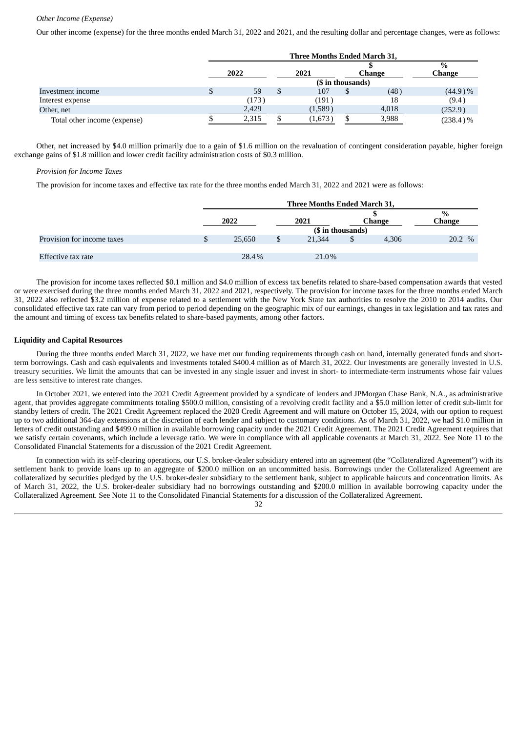## *Other Income (Expense)*

Our other income (expense) for the three months ended March 31, 2022 and 2021, and the resulting dollar and percentage changes, were as follows:

|                              | Three Months Ended March 31, |       |      |         |               |       |                       |  |
|------------------------------|------------------------------|-------|------|---------|---------------|-------|-----------------------|--|
|                              | 2022                         |       | 2021 |         | <b>Change</b> |       | $\%$<br><b>Change</b> |  |
|                              | (\$ in thousands)            |       |      |         |               |       |                       |  |
| Investment income            |                              | 59    | D    | 107     |               | (48)  | $(44.9)\%$            |  |
| Interest expense             |                              | (173) |      | (191)   |               | 18    | (9.4)                 |  |
| Other, net                   |                              | 2,429 |      | (1,589) |               | 4,018 | (252.9)               |  |
| Total other income (expense) |                              | 2,315 |      | (1,673) |               | 3,988 | $(238.4)\%$           |  |

Other, net increased by \$4.0 million primarily due to a gain of \$1.6 million on the revaluation of contingent consideration payable, higher foreign exchange gains of \$1.8 million and lower credit facility administration costs of \$0.3 million.

## *Provision for Income Taxes*

The provision for income taxes and effective tax rate for the three months ended March 31, 2022 and 2021 were as follows:

|                            | <b>Three Months Ended March 31,</b> |                   |  |        |  |        |             |
|----------------------------|-------------------------------------|-------------------|--|--------|--|--------|-------------|
|                            |                                     | 2022              |  | 2021   |  | Change | %<br>Change |
|                            |                                     | (\$ in thousands) |  |        |  |        |             |
| Provision for income taxes | C                                   | 25,650            |  | 21,344 |  | 4.306  | 20.2%       |
| Effective tax rate         |                                     | 28.4%             |  | 21.0%  |  |        |             |

The provision for income taxes reflected \$0.1 million and \$4.0 million of excess tax benefits related to share-based compensation awards that vested or were exercised during the three months ended March 31, 2022 and 2021, respectively. The provision for income taxes for the three months ended March 31, 2022 also reflected \$3.2 million of expense related to a settlement with the New York State tax authorities to resolve the 2010 to 2014 audits. Our consolidated effective tax rate can vary from period to period depending on the geographic mix of our earnings, changes in tax legislation and tax rates and the amount and timing of excess tax benefits related to share-based payments, among other factors.

## **Liquidity and Capital Resources**

During the three months ended March 31, 2022, we have met our funding requirements through cash on hand, internally generated funds and shortterm borrowings. Cash and cash equivalents and investments totaled \$400.4 million as of March 31, 2022. Our investments are generally invested in U.S. treasury securities. We limit the amounts that can be invested in any single issuer and invest in short- to intermediate-term instruments whose fair values are less sensitive to interest rate changes.

In October 2021, we entered into the 2021 Credit Agreement provided by a syndicate of lenders and JPMorgan Chase Bank, N.A., as administrative agent, that provides aggregate commitments totaling \$500.0 million, consisting of a revolving credit facility and a \$5.0 million letter of credit sub-limit for standby letters of credit. The 2021 Credit Agreement replaced the 2020 Credit Agreement and will mature on October 15, 2024, with our option to request up to two additional 364-day extensions at the discretion of each lender and subject to customary conditions. As of March 31, 2022, we had \$1.0 million in letters of credit outstanding and \$499.0 million in available borrowing capacity under the 2021 Credit Agreement. The 2021 Credit Agreement requires that we satisfy certain covenants, which include a leverage ratio. We were in compliance with all applicable covenants at March 31, 2022. See Note 11 to the Consolidated Financial Statements for a discussion of the 2021 Credit Agreement.

In connection with its self-clearing operations, our U.S. broker-dealer subsidiary entered into an agreement (the "Collateralized Agreement") with its settlement bank to provide loans up to an aggregate of \$200.0 million on an uncommitted basis. Borrowings under the Collateralized Agreement are collateralized by securities pledged by the U.S. broker-dealer subsidiary to the settlement bank, subject to applicable haircuts and concentration limits. As of March 31, 2022, the U.S. broker-dealer subsidiary had no borrowings outstanding and \$200.0 million in available borrowing capacity under the Collateralized Agreement. See Note 11 to the Consolidated Financial Statements for a discussion of the Collateralized Agreement.

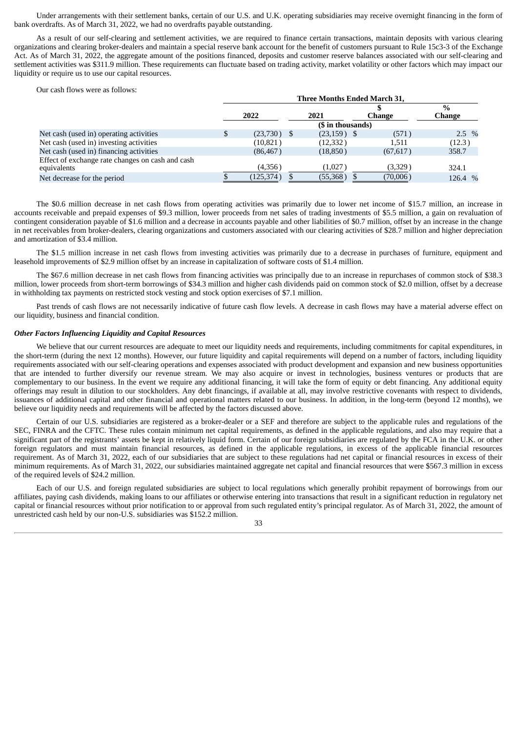Under arrangements with their settlement banks, certain of our U.S. and U.K. operating subsidiaries may receive overnight financing in the form of bank overdrafts. As of March 31, 2022, we had no overdrafts payable outstanding.

As a result of our self-clearing and settlement activities, we are required to finance certain transactions, maintain deposits with various clearing organizations and clearing broker-dealers and maintain a special reserve bank account for the benefit of customers pursuant to Rule 15c3-3 of the Exchange Act. As of March 31, 2022, the aggregate amount of the positions financed, deposits and customer reserve balances associated with our self-clearing and settlement activities was \$311.9 million. These requirements can fluctuate based on trading activity, market volatility or other factors which may impact our liquidity or require us to use our capital resources.

Our cash flows were as follows:

|                                                                 | Three Months Ended March 31, |            |  |                   |  |               |                                |
|-----------------------------------------------------------------|------------------------------|------------|--|-------------------|--|---------------|--------------------------------|
|                                                                 |                              | 2022       |  | 2021              |  | <b>Change</b> | $\frac{0}{0}$<br><b>Change</b> |
|                                                                 |                              |            |  | (\$ in thousands) |  |               |                                |
| Net cash (used in) operating activities                         | S                            | (23,730)   |  | $(23, 159)$ \$    |  | (571)         | $2.5\%$                        |
| Net cash (used in) investing activities                         |                              | (10, 821)  |  | (12, 332)         |  | 1,511         | (12.3)                         |
| Net cash (used in) financing activities                         |                              | (86, 467)  |  | (18, 850)         |  | (67, 617)     | 358.7                          |
| Effect of exchange rate changes on cash and cash<br>equivalents |                              | (4,356)    |  | (1,027)           |  | (3,329)       | 324.1                          |
| Net decrease for the period                                     |                              | (125, 374) |  | (55,368)          |  | (70,006)      | 126.4 %                        |

The \$0.6 million decrease in net cash flows from operating activities was primarily due to lower net income of \$15.7 million, an increase in accounts receivable and prepaid expenses of \$9.3 million, lower proceeds from net sales of trading investments of \$5.5 million, a gain on revaluation of contingent consideration payable of \$1.6 million and a decrease in accounts payable and other liabilities of \$0.7 million, offset by an increase in the change in net receivables from broker-dealers, clearing organizations and customers associated with our clearing activities of \$28.7 million and higher depreciation and amortization of \$3.4 million.

The \$1.5 million increase in net cash flows from investing activities was primarily due to a decrease in purchases of furniture, equipment and leasehold improvements of \$2.9 million offset by an increase in capitalization of software costs of \$1.4 million.

The \$67.6 million decrease in net cash flows from financing activities was principally due to an increase in repurchases of common stock of \$38.3 million, lower proceeds from short-term borrowings of \$34.3 million and higher cash dividends paid on common stock of \$2.0 million, offset by a decrease in withholding tax payments on restricted stock vesting and stock option exercises of \$7.1 million.

Past trends of cash flows are not necessarily indicative of future cash flow levels. A decrease in cash flows may have a material adverse effect on our liquidity, business and financial condition.

## *Other Factors Influencing Liquidity and Capital Resources*

We believe that our current resources are adequate to meet our liquidity needs and requirements, including commitments for capital expenditures, in the short-term (during the next 12 months). However, our future liquidity and capital requirements will depend on a number of factors, including liquidity requirements associated with our self-clearing operations and expenses associated with product development and expansion and new business opportunities that are intended to further diversify our revenue stream. We may also acquire or invest in technologies, business ventures or products that are complementary to our business. In the event we require any additional financing, it will take the form of equity or debt financing. Any additional equity offerings may result in dilution to our stockholders. Any debt financings, if available at all, may involve restrictive covenants with respect to dividends, issuances of additional capital and other financial and operational matters related to our business. In addition, in the long-term (beyond 12 months), we believe our liquidity needs and requirements will be affected by the factors discussed above.

Certain of our U.S. subsidiaries are registered as a broker-dealer or a SEF and therefore are subject to the applicable rules and regulations of the SEC, FINRA and the CFTC. These rules contain minimum net capital requirements, as defined in the applicable regulations, and also may require that a significant part of the registrants' assets be kept in relatively liquid form. Certain of our foreign subsidiaries are regulated by the FCA in the U.K. or other foreign regulators and must maintain financial resources, as defined in the applicable regulations, in excess of the applicable financial resources requirement. As of March 31, 2022, each of our subsidiaries that are subject to these regulations had net capital or financial resources in excess of their minimum requirements. As of March 31, 2022, our subsidiaries maintained aggregate net capital and financial resources that were \$567.3 million in excess of the required levels of \$24.2 million.

Each of our U.S. and foreign regulated subsidiaries are subject to local regulations which generally prohibit repayment of borrowings from our affiliates, paying cash dividends, making loans to our affiliates or otherwise entering into transactions that result in a significant reduction in regulatory net capital or financial resources without prior notification to or approval from such regulated entity's principal regulator. As of March 31, 2022, the amount of unrestricted cash held by our non-U.S. subsidiaries was \$152.2 million.

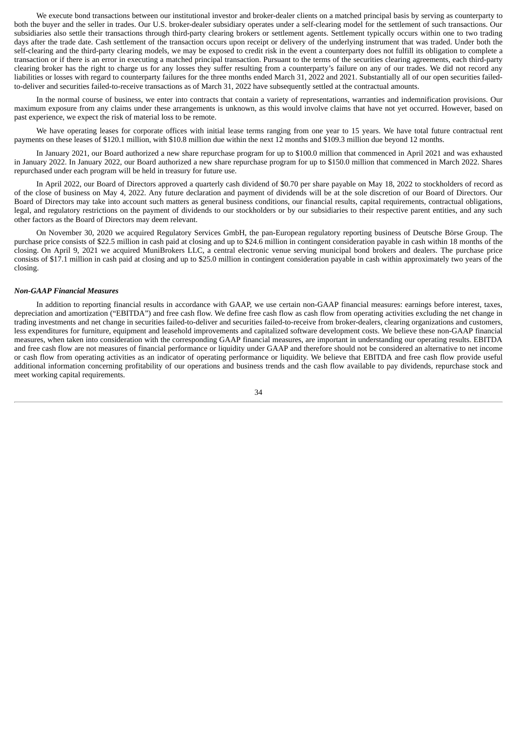We execute bond transactions between our institutional investor and broker-dealer clients on a matched principal basis by serving as counterparty to both the buyer and the seller in trades. Our U.S. broker-dealer subsidiary operates under a self-clearing model for the settlement of such transactions. Our subsidiaries also settle their transactions through third-party clearing brokers or settlement agents. Settlement typically occurs within one to two trading days after the trade date. Cash settlement of the transaction occurs upon receipt or delivery of the underlying instrument that was traded. Under both the self-clearing and the third-party clearing models, we may be exposed to credit risk in the event a counterparty does not fulfill its obligation to complete a transaction or if there is an error in executing a matched principal transaction. Pursuant to the terms of the securities clearing agreements, each third-party clearing broker has the right to charge us for any losses they suffer resulting from a counterparty's failure on any of our trades. We did not record any liabilities or losses with regard to counterparty failures for the three months ended March 31, 2022 and 2021. Substantially all of our open securities failedto-deliver and securities failed-to-receive transactions as of March 31, 2022 have subsequently settled at the contractual amounts.

In the normal course of business, we enter into contracts that contain a variety of representations, warranties and indemnification provisions. Our maximum exposure from any claims under these arrangements is unknown, as this would involve claims that have not yet occurred. However, based on past experience, we expect the risk of material loss to be remote.

We have operating leases for corporate offices with initial lease terms ranging from one year to 15 years. We have total future contractual rent payments on these leases of \$120.1 million, with \$10.8 million due within the next 12 months and \$109.3 million due beyond 12 months.

In January 2021, our Board authorized a new share repurchase program for up to \$100.0 million that commenced in April 2021 and was exhausted in January 2022. In January 2022, our Board authorized a new share repurchase program for up to \$150.0 million that commenced in March 2022. Shares repurchased under each program will be held in treasury for future use.

In April 2022, our Board of Directors approved a quarterly cash dividend of \$0.70 per share payable on May 18, 2022 to stockholders of record as of the close of business on May 4, 2022. Any future declaration and payment of dividends will be at the sole discretion of our Board of Directors. Our Board of Directors may take into account such matters as general business conditions, our financial results, capital requirements, contractual obligations, legal, and regulatory restrictions on the payment of dividends to our stockholders or by our subsidiaries to their respective parent entities, and any such other factors as the Board of Directors may deem relevant.

On November 30, 2020 we acquired Regulatory Services GmbH, the pan-European regulatory reporting business of Deutsche Börse Group. The purchase price consists of \$22.5 million in cash paid at closing and up to \$24.6 million in contingent consideration payable in cash within 18 months of the closing. On April 9, 2021 we acquired MuniBrokers LLC, a central electronic venue serving municipal bond brokers and dealers. The purchase price consists of \$17.1 million in cash paid at closing and up to \$25.0 million in contingent consideration payable in cash within approximately two years of the closing.

## *Non-GAAP Financial Measures*

In addition to reporting financial results in accordance with GAAP, we use certain non-GAAP financial measures: earnings before interest, taxes, depreciation and amortization ("EBITDA") and free cash flow. We define free cash flow as cash flow from operating activities excluding the net change in trading investments and net change in securities failed-to-deliver and securities failed-to-receive from broker-dealers, clearing organizations and customers, less expenditures for furniture, equipment and leasehold improvements and capitalized software development costs. We believe these non-GAAP financial measures, when taken into consideration with the corresponding GAAP financial measures, are important in understanding our operating results. EBITDA and free cash flow are not measures of financial performance or liquidity under GAAP and therefore should not be considered an alternative to net income or cash flow from operating activities as an indicator of operating performance or liquidity. We believe that EBITDA and free cash flow provide useful additional information concerning profitability of our operations and business trends and the cash flow available to pay dividends, repurchase stock and meet working capital requirements.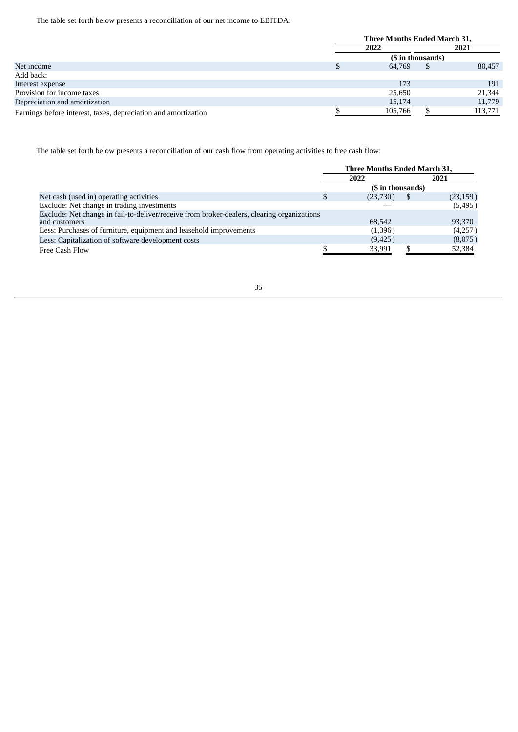The table set forth below presents a reconciliation of our net income to EBITDA:

|                                                                | Three Months Ended March 31, |  |         |  |  |
|----------------------------------------------------------------|------------------------------|--|---------|--|--|
|                                                                | 2022                         |  | 2021    |  |  |
|                                                                | (\$ in thousands)            |  |         |  |  |
| Net income                                                     | 64,769                       |  | 80,457  |  |  |
| Add back:                                                      |                              |  |         |  |  |
| Interest expense                                               | 173                          |  | 191     |  |  |
| Provision for income taxes                                     | 25,650                       |  | 21,344  |  |  |
| Depreciation and amortization                                  | 15,174                       |  | 11,779  |  |  |
| Earnings before interest, taxes, depreciation and amortization | 105,766                      |  | 113,771 |  |  |

The table set forth below presents a reconciliation of our cash flow from operating activities to free cash flow:

|                                                                                            |   | Three Months Ended March 31, |  |           |  |  |
|--------------------------------------------------------------------------------------------|---|------------------------------|--|-----------|--|--|
|                                                                                            |   | 2022                         |  | 2021      |  |  |
|                                                                                            |   | (\$ in thousands)            |  |           |  |  |
| Net cash (used in) operating activities                                                    | S | (23,730)                     |  | (23, 159) |  |  |
| Exclude: Net change in trading investments                                                 |   |                              |  | (5, 495)  |  |  |
| Exclude: Net change in fail-to-deliver/receive from broker-dealers, clearing organizations |   |                              |  |           |  |  |
| and customers                                                                              |   | 68.542                       |  | 93,370    |  |  |
| Less: Purchases of furniture, equipment and leasehold improvements                         |   | (1,396)                      |  | (4,257)   |  |  |
| Less: Capitalization of software development costs                                         |   | (9,425)                      |  | (8,075)   |  |  |
| Free Cash Flow                                                                             |   | 33,991                       |  | 52,384    |  |  |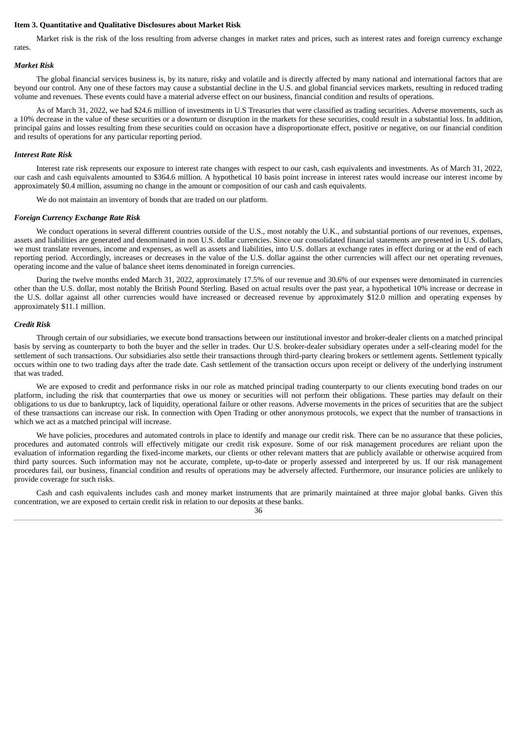#### <span id="page-35-0"></span>**Item 3. Quantitative and Qualitative Disclosures about Market Risk**

Market risk is the risk of the loss resulting from adverse changes in market rates and prices, such as interest rates and foreign currency exchange rates.

#### *Market Risk*

The global financial services business is, by its nature, risky and volatile and is directly affected by many national and international factors that are beyond our control. Any one of these factors may cause a substantial decline in the U.S. and global financial services markets, resulting in reduced trading volume and revenues. These events could have a material adverse effect on our business, financial condition and results of operations.

As of March 31, 2022, we had \$24.6 million of investments in U.S Treasuries that were classified as trading securities. Adverse movements, such as a 10% decrease in the value of these securities or a downturn or disruption in the markets for these securities, could result in a substantial loss. In addition, principal gains and losses resulting from these securities could on occasion have a disproportionate effect, positive or negative, on our financial condition and results of operations for any particular reporting period.

#### *Interest Rate Risk*

Interest rate risk represents our exposure to interest rate changes with respect to our cash, cash equivalents and investments. As of March 31, 2022, our cash and cash equivalents amounted to \$364.6 million. A hypothetical 10 basis point increase in interest rates would increase our interest income by approximately \$0.4 million, assuming no change in the amount or composition of our cash and cash equivalents.

We do not maintain an inventory of bonds that are traded on our platform.

#### *Foreign Currency Exchange Rate Risk*

We conduct operations in several different countries outside of the U.S., most notably the U.K., and substantial portions of our revenues, expenses, assets and liabilities are generated and denominated in non U.S. dollar currencies. Since our consolidated financial statements are presented in U.S. dollars, we must translate revenues, income and expenses, as well as assets and liabilities, into U.S. dollars at exchange rates in effect during or at the end of each reporting period. Accordingly, increases or decreases in the value of the U.S. dollar against the other currencies will affect our net operating revenues, operating income and the value of balance sheet items denominated in foreign currencies.

During the twelve months ended March 31, 2022, approximately 17.5% of our revenue and 30.6% of our expenses were denominated in currencies other than the U.S. dollar, most notably the British Pound Sterling. Based on actual results over the past year, a hypothetical 10% increase or decrease in the U.S. dollar against all other currencies would have increased or decreased revenue by approximately \$12.0 million and operating expenses by approximately \$11.1 million.

#### *Credit Risk*

Through certain of our subsidiaries, we execute bond transactions between our institutional investor and broker-dealer clients on a matched principal basis by serving as counterparty to both the buyer and the seller in trades. Our U.S. broker-dealer subsidiary operates under a self-clearing model for the settlement of such transactions. Our subsidiaries also settle their transactions through third-party clearing brokers or settlement agents. Settlement typically occurs within one to two trading days after the trade date. Cash settlement of the transaction occurs upon receipt or delivery of the underlying instrument that was traded.

We are exposed to credit and performance risks in our role as matched principal trading counterparty to our clients executing bond trades on our platform, including the risk that counterparties that owe us money or securities will not perform their obligations. These parties may default on their obligations to us due to bankruptcy, lack of liquidity, operational failure or other reasons. Adverse movements in the prices of securities that are the subject of these transactions can increase our risk. In connection with Open Trading or other anonymous protocols, we expect that the number of transactions in which we act as a matched principal will increase.

We have policies, procedures and automated controls in place to identify and manage our credit risk. There can be no assurance that these policies, procedures and automated controls will effectively mitigate our credit risk exposure. Some of our risk management procedures are reliant upon the evaluation of information regarding the fixed-income markets, our clients or other relevant matters that are publicly available or otherwise acquired from third party sources. Such information may not be accurate, complete, up-to-date or properly assessed and interpreted by us. If our risk management procedures fail, our business, financial condition and results of operations may be adversely affected. Furthermore, our insurance policies are unlikely to provide coverage for such risks.

Cash and cash equivalents includes cash and money market instruments that are primarily maintained at three major global banks. Given this concentration, we are exposed to certain credit risk in relation to our deposits at these banks.

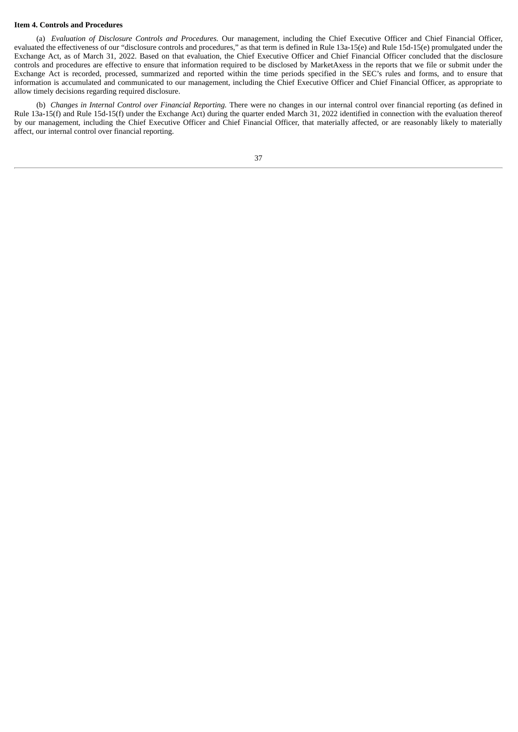#### **Item 4. Controls and Procedures**

(a) *Evaluation of Disclosure Controls and Procedures.* Our management, including the Chief Executive Officer and Chief Financial Officer, evaluated the effectiveness of our "disclosure controls and procedures," as that term is defined in Rule 13a-15(e) and Rule 15d-15(e) promulgated under the Exchange Act, as of March 31, 2022. Based on that evaluation, the Chief Executive Officer and Chief Financial Officer concluded that the disclosure controls and procedures are effective to ensure that information required to be disclosed by MarketAxess in the reports that we file or submit under the Exchange Act is recorded, processed, summarized and reported within the time periods specified in the SEC's rules and forms, and to ensure that information is accumulated and communicated to our management, including the Chief Executive Officer and Chief Financial Officer, as appropriate to allow timely decisions regarding required disclosure.

(b) *Changes in Internal Control over Financial Reporting.* There were no changes in our internal control over financial reporting (as defined in Rule 13a-15(f) and Rule 15d-15(f) under the Exchange Act) during the quarter ended March 31, 2022 identified in connection with the evaluation thereof by our management, including the Chief Executive Officer and Chief Financial Officer, that materially affected, or are reasonably likely to materially affect, our internal control over financial reporting.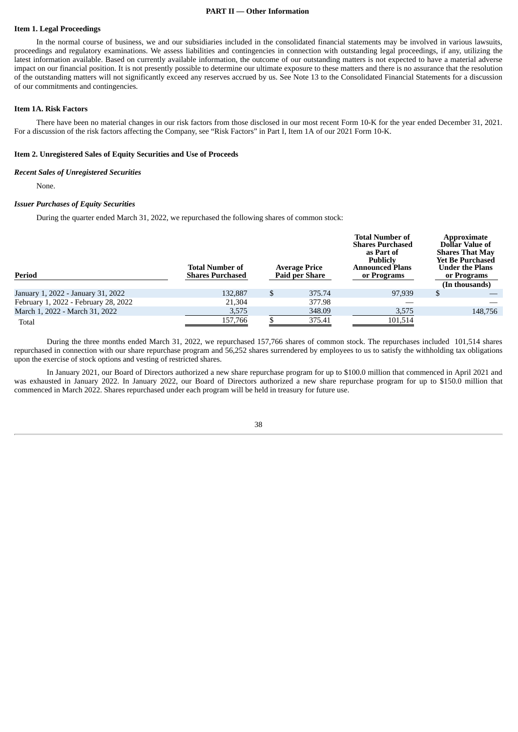#### **PART II — Other Information**

#### **Item 1. Legal Proceedings**

In the normal course of business, we and our subsidiaries included in the consolidated financial statements may be involved in various lawsuits, proceedings and regulatory examinations. We assess liabilities and contingencies in connection with outstanding legal proceedings, if any, utilizing the latest information available. Based on currently available information, the outcome of our outstanding matters is not expected to have a material adverse impact on our financial position. It is not presently possible to determine our ultimate exposure to these matters and there is no assurance that the resolution of the outstanding matters will not significantly exceed any reserves accrued by us. See Note 13 to the Consolidated Financial Statements for a discussion of our commitments and contingencies.

#### **Item 1A. Risk Factors**

There have been no material changes in our risk factors from those disclosed in our most recent Form 10-K for the year ended December 31, 2021. For a discussion of the risk factors affecting the Company, see "Risk Factors" in Part I, Item 1A of our 2021 Form 10-K.

#### **Item 2. Unregistered Sales of Equity Securities and Use of Proceeds**

#### *Recent Sales of Unregistered Securities*

None.

#### *Issuer Purchases of Equity Securities*

During the quarter ended March 31, 2022, we repurchased the following shares of common stock:

| Period                               | <b>Total Number of</b><br><b>Shares Purchased</b> |     | <b>Average Price</b><br>Paid per Share | <b>Total Number of</b><br><b>Shares Purchased</b><br>as Part of<br><b>Publicly</b><br><b>Announced Plans</b><br>or Programs | Approximate<br><b>Dollar Value of</b><br><b>Shares That May</b><br><b>Yet Be Purchased</b><br><b>Under the Plans</b><br>or Programs<br>(In thousands) |  |
|--------------------------------------|---------------------------------------------------|-----|----------------------------------------|-----------------------------------------------------------------------------------------------------------------------------|-------------------------------------------------------------------------------------------------------------------------------------------------------|--|
| January 1, 2022 - January 31, 2022   | 132,887                                           | \$. | 375.74                                 | 97,939                                                                                                                      |                                                                                                                                                       |  |
| February 1, 2022 - February 28, 2022 | 21,304                                            |     | 377.98                                 |                                                                                                                             |                                                                                                                                                       |  |
| March 1, 2022 - March 31, 2022       | 3,575                                             |     | 348.09                                 | 3,575                                                                                                                       | 148,756                                                                                                                                               |  |
| Total                                | 157,766                                           |     | 375.41                                 | 101,514                                                                                                                     |                                                                                                                                                       |  |

During the three months ended March 31, 2022, we repurchased 157,766 shares of common stock. The repurchases included 101,514 shares repurchased in connection with our share repurchase program and 56,252 shares surrendered by employees to us to satisfy the withholding tax obligations upon the exercise of stock options and vesting of restricted shares.

In January 2021, our Board of Directors authorized a new share repurchase program for up to \$100.0 million that commenced in April 2021 and was exhausted in January 2022. In January 2022, our Board of Directors authorized a new share repurchase program for up to \$150.0 million that commenced in March 2022. Shares repurchased under each program will be held in treasury for future use.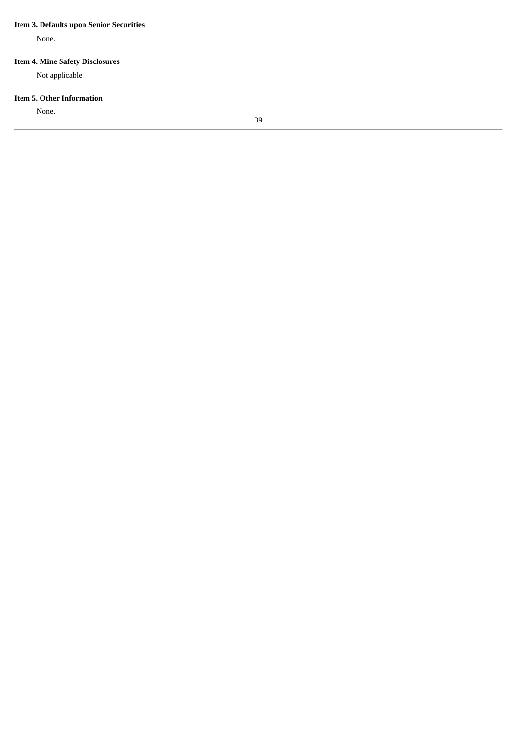#### **Item 3. Defaults upon Senior Securities**

None.

#### **Item 4. Mine Safety Disclosures**

Not applicable.

#### **Item 5. Other Information**

None.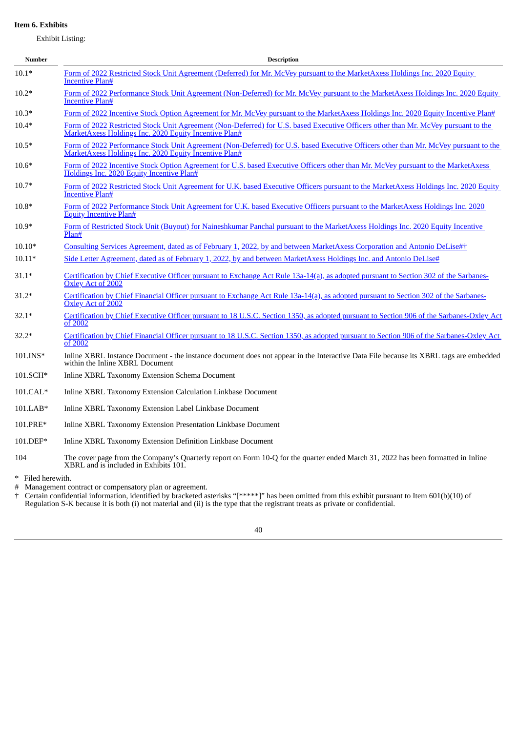#### **Item 6. Exhibits**

Exhibit Listing:

| Number     | <b>Description</b>                                                                                                                                                                           |
|------------|----------------------------------------------------------------------------------------------------------------------------------------------------------------------------------------------|
| $10.1*$    | Form of 2022 Restricted Stock Unit Agreement (Deferred) for Mr. McVey pursuant to the MarketAxess Holdings Inc. 2020 Equity<br><b>Incentive Plan#</b>                                        |
| $10.2*$    | Form of 2022 Performance Stock Unit Agreement (Non-Deferred) for Mr. McVey pursuant to the MarketAxess Holdings Inc. 2020 Equity<br><b>Incentive Plan#</b>                                   |
| $10.3*$    | Form of 2022 Incentive Stock Option Agreement for Mr. McVey pursuant to the MarketAxess Holdings Inc. 2020 Equity Incentive Plan#                                                            |
| $10.4*$    | Form of 2022 Restricted Stock Unit Agreement (Non-Deferred) for U.S. based Executive Officers other than Mr. McVey pursuant to the<br>MarketAxess Holdings Inc. 2020 Equity Incentive Plan#  |
| $10.5*$    | Form of 2022 Performance Stock Unit Agreement (Non-Deferred) for U.S. based Executive Officers other than Mr. McVey pursuant to the<br>MarketAxess Holdings Inc. 2020 Equity Incentive Plan# |
| $10.6*$    | Form of 2022 Incentive Stock Option Agreement for U.S. based Executive Officers other than Mr. McVey pursuant to the MarketAxess<br>Holdings Inc. 2020 Equity Incentive Plan#                |
| $10.7*$    | Form of 2022 Restricted Stock Unit Agreement for U.K. based Executive Officers pursuant to the MarketAxess Holdings Inc. 2020 Equity<br><b>Incentive Plan#</b>                               |
| $10.8*$    | Form of 2022 Performance Stock Unit Agreement for U.K. based Executive Officers pursuant to the MarketAxess Holdings Inc. 2020<br><b>Equity Incentive Plan#</b>                              |
| $10.9*$    | Form of Restricted Stock Unit (Buyout) for Naineshkumar Panchal pursuant to the MarketAxess Holdings Inc. 2020 Equity Incentive<br>Plan#                                                     |
| $10.10*$   | Consulting Services Agreement, dated as of February 1, 2022, by and between MarketAxess Corporation and Antonio DeLise#†                                                                     |
| $10.11*$   | Side Letter Agreement, dated as of February 1, 2022, by and between MarketAxess Holdings Inc. and Antonio DeLise#                                                                            |
| $31.1*$    | Certification by Chief Executive Officer pursuant to Exchange Act Rule 13a-14(a), as adopted pursuant to Section 302 of the Sarbanes-<br>Oxley Act of 2002                                   |
| $31.2*$    | Certification by Chief Financial Officer pursuant to Exchange Act Rule 13a-14(a), as adopted pursuant to Section 302 of the Sarbanes-<br>Oxley Act of 2002                                   |
| $32.1*$    | Certification by Chief Executive Officer pursuant to 18 U.S.C. Section 1350, as adopted pursuant to Section 906 of the Sarbanes-Oxley Act<br>of 2002                                         |
| $32.2*$    | Certification by Chief Financial Officer pursuant to 18 U.S.C. Section 1350, as adopted pursuant to Section 906 of the Sarbanes-Oxley Act<br>of $200\overline{2}$                            |
| $101.INS*$ | Inline XBRL Instance Document - the instance document does not appear in the Interactive Data File because its XBRL tags are embedded<br>within the Inline XBRL Document                     |
| 101.SCH*   | Inline XBRL Taxonomy Extension Schema Document                                                                                                                                               |
| $101.CAL*$ | Inline XBRL Taxonomy Extension Calculation Linkbase Document                                                                                                                                 |
| 101.LAB*   | Inline XBRL Taxonomy Extension Label Linkbase Document                                                                                                                                       |
| 101.PRE*   | Inline XBRL Taxonomy Extension Presentation Linkbase Document                                                                                                                                |
| 101.DEF*   | Inline XBRL Taxonomy Extension Definition Linkbase Document                                                                                                                                  |

104 The cover page from the Company's Quarterly report on Form 10-Q for the quarter ended March 31, 2022 has been formatted in Inline XBRL and is included in Exhibits 101.

\* Filed herewith.

# Management contract or compensatory plan or agreement.

† Certain confidential information, identified by bracketed asterisks "[\*\*\*\*\*]" has been omitted from this exhibit pursuant to Item 601(b)(10) of Regulation S-K because it is both (i) not material and (ii) is the type that the registrant treats as private or confidential.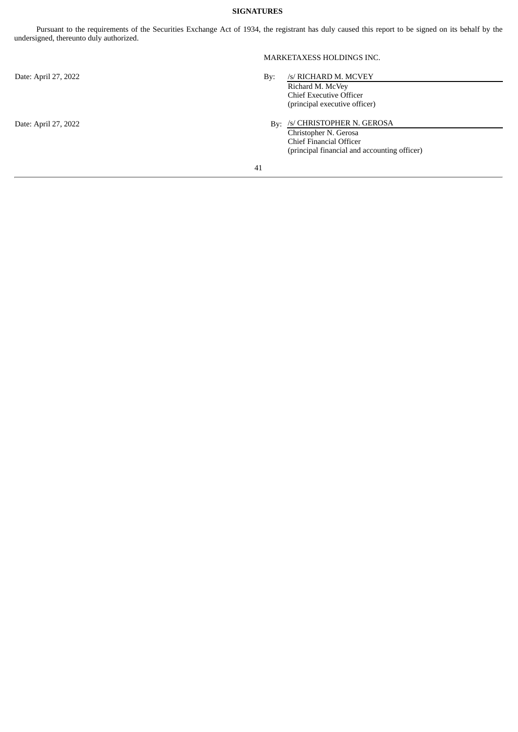#### **SIGNATURES**

Pursuant to the requirements of the Securities Exchange Act of 1934, the registrant has duly caused this report to be signed on its behalf by the undersigned, thereunto duly authorized.

#### MARKETAXESS HOLDINGS INC.

Date: April 27, 2022 By: /s/ RICHARD M. MCVEY Richard M. McVey Chief Executive Officer (principal executive officer) Date: April 27, 2022 By: /s/ CHRISTOPHER N. GEROSA Christopher N. Gerosa Chief Financial Officer

(principal financial and accounting officer)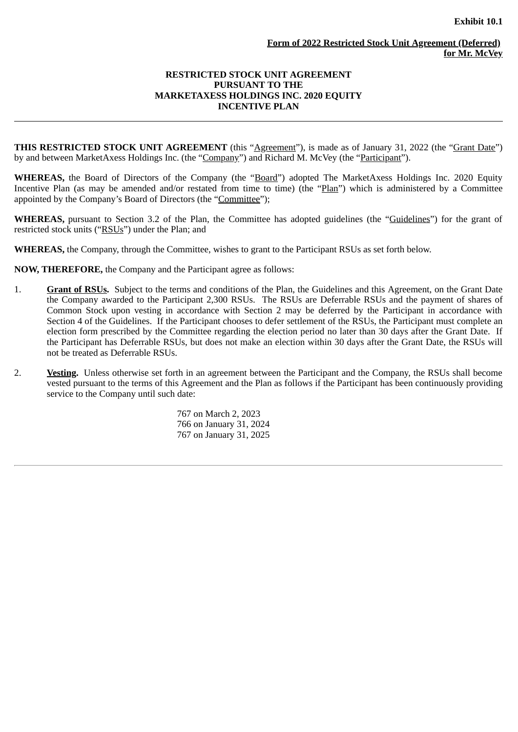#### **RESTRICTED STOCK UNIT AGREEMENT PURSUANT TO THE MARKETAXESS HOLDINGS INC. 2020 EQUITY INCENTIVE PLAN**

<span id="page-41-0"></span>**THIS RESTRICTED STOCK UNIT AGREEMENT** (this "Agreement"), is made as of January 31, 2022 (the "Grant Date") by and between MarketAxess Holdings Inc. (the "Company") and Richard M. McVey (the "Participant").

**WHEREAS,** the Board of Directors of the Company (the "Board") adopted The MarketAxess Holdings Inc. 2020 Equity Incentive Plan (as may be amended and/or restated from time to time) (the "Plan") which is administered by a Committee appointed by the Company's Board of Directors (the "Committee");

**WHEREAS,** pursuant to Section 3.2 of the Plan, the Committee has adopted guidelines (the "Guidelines") for the grant of restricted stock units ("RSUs") under the Plan; and

**WHEREAS,** the Company, through the Committee, wishes to grant to the Participant RSUs as set forth below.

**NOW, THEREFORE,** the Company and the Participant agree as follows:

- 1. **Grant of RSUs.** Subject to the terms and conditions of the Plan, the Guidelines and this Agreement, on the Grant Date the Company awarded to the Participant 2,300 RSUs. The RSUs are Deferrable RSUs and the payment of shares of Common Stock upon vesting in accordance with Section 2 may be deferred by the Participant in accordance with Section 4 of the Guidelines. If the Participant chooses to defer settlement of the RSUs, the Participant must complete an election form prescribed by the Committee regarding the election period no later than 30 days after the Grant Date. If the Participant has Deferrable RSUs, but does not make an election within 30 days after the Grant Date, the RSUs will not be treated as Deferrable RSUs.
- 2. **Vesting.** Unless otherwise set forth in an agreement between the Participant and the Company, the RSUs shall become vested pursuant to the terms of this Agreement and the Plan as follows if the Participant has been continuously providing service to the Company until such date:

767 on March 2, 2023 766 on January 31, 2024 767 on January 31, 2025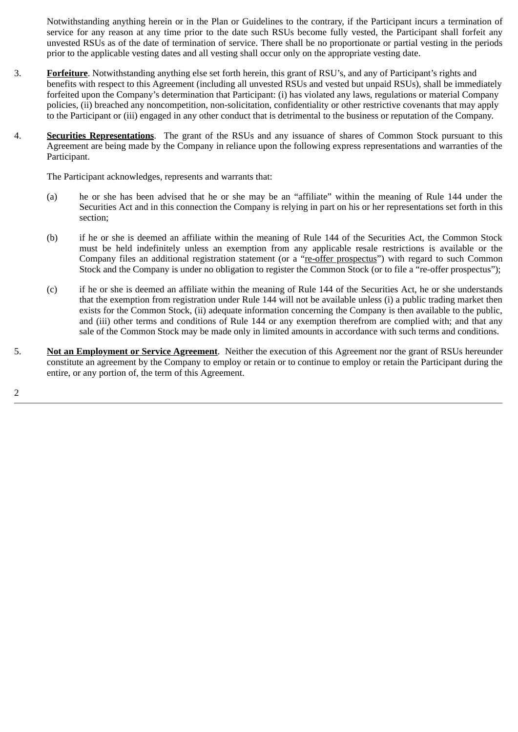Notwithstanding anything herein or in the Plan or Guidelines to the contrary, if the Participant incurs a termination of service for any reason at any time prior to the date such RSUs become fully vested, the Participant shall forfeit any unvested RSUs as of the date of termination of service. There shall be no proportionate or partial vesting in the periods prior to the applicable vesting dates and all vesting shall occur only on the appropriate vesting date.

- 3. **Forfeiture**. Notwithstanding anything else set forth herein, this grant of RSU's, and any of Participant's rights and benefits with respect to this Agreement (including all unvested RSUs and vested but unpaid RSUs), shall be immediately forfeited upon the Company's determination that Participant: (i) has violated any laws, regulations or material Company policies, (ii) breached any noncompetition, non-solicitation, confidentiality or other restrictive covenants that may apply to the Participant or (iii) engaged in any other conduct that is detrimental to the business or reputation of the Company.
- 4. **Securities Representations**. The grant of the RSUs and any issuance of shares of Common Stock pursuant to this Agreement are being made by the Company in reliance upon the following express representations and warranties of the Participant.

The Participant acknowledges, represents and warrants that:

- (a) he or she has been advised that he or she may be an "affiliate" within the meaning of Rule 144 under the Securities Act and in this connection the Company is relying in part on his or her representations set forth in this section;
- (b) if he or she is deemed an affiliate within the meaning of Rule 144 of the Securities Act, the Common Stock must be held indefinitely unless an exemption from any applicable resale restrictions is available or the Company files an additional registration statement (or a "re-offer prospectus") with regard to such Common Stock and the Company is under no obligation to register the Common Stock (or to file a "re-offer prospectus");
- (c) if he or she is deemed an affiliate within the meaning of Rule 144 of the Securities Act, he or she understands that the exemption from registration under Rule 144 will not be available unless (i) a public trading market then exists for the Common Stock, (ii) adequate information concerning the Company is then available to the public, and (iii) other terms and conditions of Rule 144 or any exemption therefrom are complied with; and that any sale of the Common Stock may be made only in limited amounts in accordance with such terms and conditions.
- 5. **Not an Employment or Service Agreement**. Neither the execution of this Agreement nor the grant of RSUs hereunder constitute an agreement by the Company to employ or retain or to continue to employ or retain the Participant during the entire, or any portion of, the term of this Agreement.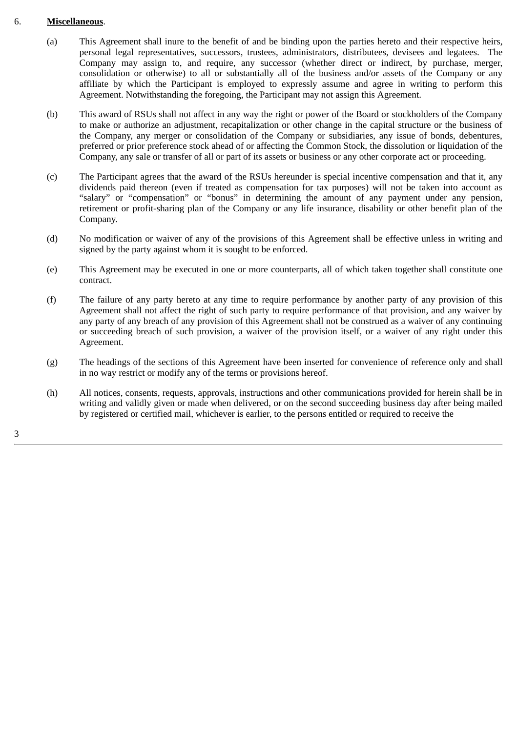# 6. **Miscellaneous**.

- (a) This Agreement shall inure to the benefit of and be binding upon the parties hereto and their respective heirs, personal legal representatives, successors, trustees, administrators, distributees, devisees and legatees. The Company may assign to, and require, any successor (whether direct or indirect, by purchase, merger, consolidation or otherwise) to all or substantially all of the business and/or assets of the Company or any affiliate by which the Participant is employed to expressly assume and agree in writing to perform this Agreement. Notwithstanding the foregoing, the Participant may not assign this Agreement.
- (b) This award of RSUs shall not affect in any way the right or power of the Board or stockholders of the Company to make or authorize an adjustment, recapitalization or other change in the capital structure or the business of the Company, any merger or consolidation of the Company or subsidiaries, any issue of bonds, debentures, preferred or prior preference stock ahead of or affecting the Common Stock, the dissolution or liquidation of the Company, any sale or transfer of all or part of its assets or business or any other corporate act or proceeding.
- (c) The Participant agrees that the award of the RSUs hereunder is special incentive compensation and that it, any dividends paid thereon (even if treated as compensation for tax purposes) will not be taken into account as "salary" or "compensation" or "bonus" in determining the amount of any payment under any pension, retirement or profit-sharing plan of the Company or any life insurance, disability or other benefit plan of the Company.
- (d) No modification or waiver of any of the provisions of this Agreement shall be effective unless in writing and signed by the party against whom it is sought to be enforced.
- (e) This Agreement may be executed in one or more counterparts, all of which taken together shall constitute one contract.
- (f) The failure of any party hereto at any time to require performance by another party of any provision of this Agreement shall not affect the right of such party to require performance of that provision, and any waiver by any party of any breach of any provision of this Agreement shall not be construed as a waiver of any continuing or succeeding breach of such provision, a waiver of the provision itself, or a waiver of any right under this Agreement.
- (g) The headings of the sections of this Agreement have been inserted for convenience of reference only and shall in no way restrict or modify any of the terms or provisions hereof.
- (h) All notices, consents, requests, approvals, instructions and other communications provided for herein shall be in writing and validly given or made when delivered, or on the second succeeding business day after being mailed by registered or certified mail, whichever is earlier, to the persons entitled or required to receive the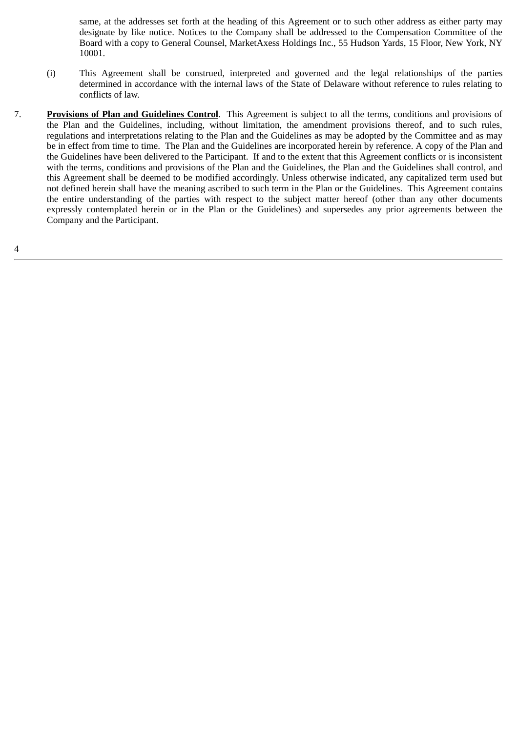same, at the addresses set forth at the heading of this Agreement or to such other address as either party may designate by like notice. Notices to the Company shall be addressed to the Compensation Committee of the Board with a copy to General Counsel, MarketAxess Holdings Inc., 55 Hudson Yards, 15 Floor, New York, NY 10001.

- (i) This Agreement shall be construed, interpreted and governed and the legal relationships of the parties determined in accordance with the internal laws of the State of Delaware without reference to rules relating to conflicts of law.
- 7. **Provisions of Plan and Guidelines Control**. This Agreement is subject to all the terms, conditions and provisions of the Plan and the Guidelines, including, without limitation, the amendment provisions thereof, and to such rules, regulations and interpretations relating to the Plan and the Guidelines as may be adopted by the Committee and as may be in effect from time to time. The Plan and the Guidelines are incorporated herein by reference. A copy of the Plan and the Guidelines have been delivered to the Participant. If and to the extent that this Agreement conflicts or is inconsistent with the terms, conditions and provisions of the Plan and the Guidelines, the Plan and the Guidelines shall control, and this Agreement shall be deemed to be modified accordingly. Unless otherwise indicated, any capitalized term used but not defined herein shall have the meaning ascribed to such term in the Plan or the Guidelines. This Agreement contains the entire understanding of the parties with respect to the subject matter hereof (other than any other documents expressly contemplated herein or in the Plan or the Guidelines) and supersedes any prior agreements between the Company and the Participant.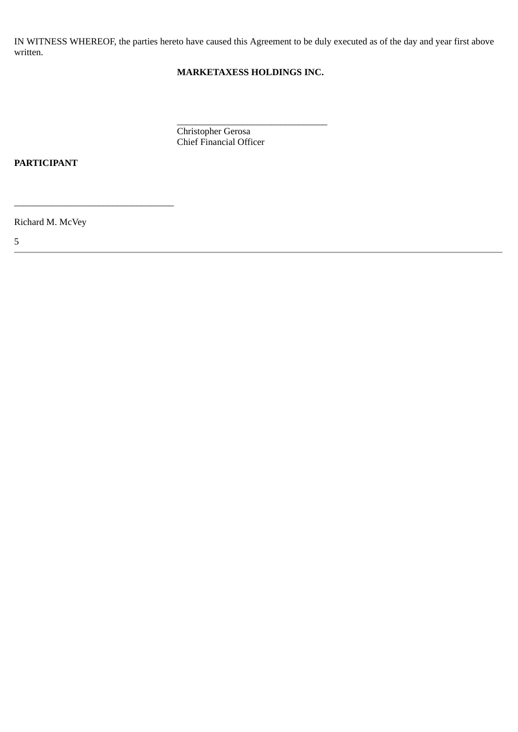IN WITNESS WHEREOF, the parties hereto have caused this Agreement to be duly executed as of the day and year first above written.

# **MARKETAXESS HOLDINGS INC.**

\_\_\_\_\_\_\_\_\_\_\_\_\_\_\_\_\_\_\_\_\_\_\_\_\_\_\_\_\_\_\_\_

Christopher Gerosa Chief Financial Officer

**PARTICIPANT**

Richard M. McVey

\_\_\_\_\_\_\_\_\_\_\_\_\_\_\_\_\_\_\_\_\_\_\_\_\_\_\_\_\_\_\_\_\_\_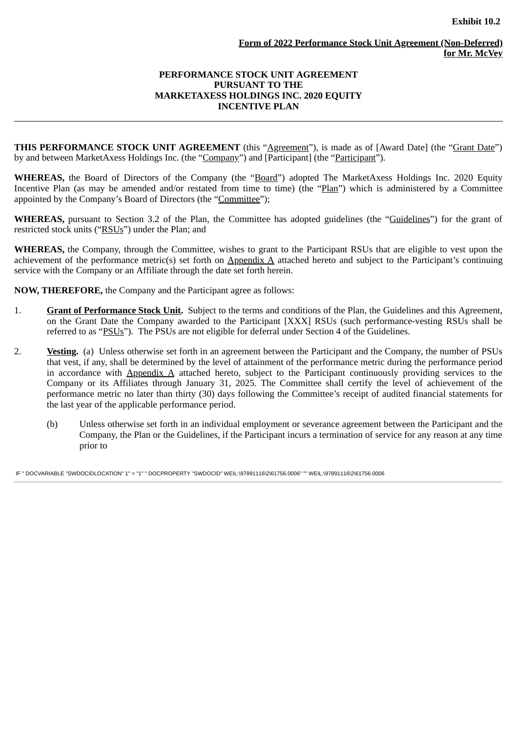#### **PERFORMANCE STOCK UNIT AGREEMENT PURSUANT TO THE MARKETAXESS HOLDINGS INC. 2020 EQUITY INCENTIVE PLAN**

<span id="page-46-0"></span>**THIS PERFORMANCE STOCK UNIT AGREEMENT** (this "Agreement"), is made as of [Award Date] (the "Grant Date") by and between MarketAxess Holdings Inc. (the "Company") and [Participant] (the "Participant").

**WHEREAS,** the Board of Directors of the Company (the "Board") adopted The MarketAxess Holdings Inc. 2020 Equity Incentive Plan (as may be amended and/or restated from time to time) (the "Plan") which is administered by a Committee appointed by the Company's Board of Directors (the "Committee");

**WHEREAS,** pursuant to Section 3.2 of the Plan, the Committee has adopted guidelines (the "Guidelines") for the grant of restricted stock units ("RSUs") under the Plan; and

**WHEREAS,** the Company, through the Committee, wishes to grant to the Participant RSUs that are eligible to vest upon the achievement of the performance metric(s) set forth on  $\Delta$ ppendix  $\Delta$  attached hereto and subject to the Participant's continuing service with the Company or an Affiliate through the date set forth herein.

**NOW, THEREFORE,** the Company and the Participant agree as follows:

- 1. **Grant of Performance Stock Unit.** Subject to the terms and conditions of the Plan, the Guidelines and this Agreement, on the Grant Date the Company awarded to the Participant [XXX] RSUs (such performance-vesting RSUs shall be referred to as "PSUs"). The PSUs are not eligible for deferral under Section 4 of the Guidelines.
- 2. **Vesting.** (a) Unless otherwise set forth in an agreement between the Participant and the Company, the number of PSUs that vest, if any, shall be determined by the level of attainment of the performance metric during the performance period in accordance with  $\Delta$  attached hereto, subject to the Participant continuously providing services to the Company or its Affiliates through January 31, 2025. The Committee shall certify the level of achievement of the performance metric no later than thirty (30) days following the Committee's receipt of audited financial statements for the last year of the applicable performance period.
	- (b) Unless otherwise set forth in an individual employment or severance agreement between the Participant and the Company, the Plan or the Guidelines, if the Participant incurs a termination of service for any reason at any time prior to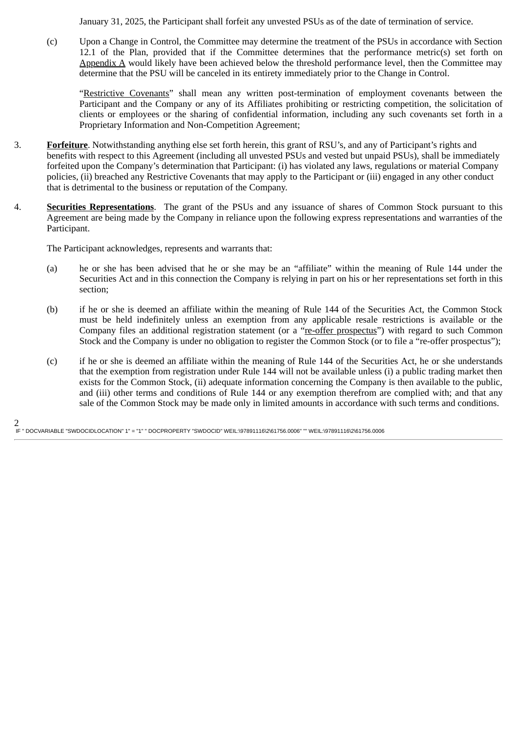January 31, 2025, the Participant shall forfeit any unvested PSUs as of the date of termination of service.

(c) Upon a Change in Control, the Committee may determine the treatment of the PSUs in accordance with Section 12.1 of the Plan, provided that if the Committee determines that the performance metric(s) set forth on Appendix A would likely have been achieved below the threshold performance level, then the Committee may determine that the PSU will be canceled in its entirety immediately prior to the Change in Control.

"Restrictive Covenants" shall mean any written post-termination of employment covenants between the Participant and the Company or any of its Affiliates prohibiting or restricting competition, the solicitation of clients or employees or the sharing of confidential information, including any such covenants set forth in a Proprietary Information and Non-Competition Agreement;

- 3. **Forfeiture**. Notwithstanding anything else set forth herein, this grant of RSU's, and any of Participant's rights and benefits with respect to this Agreement (including all unvested PSUs and vested but unpaid PSUs), shall be immediately forfeited upon the Company's determination that Participant: (i) has violated any laws, regulations or material Company policies, (ii) breached any Restrictive Covenants that may apply to the Participant or (iii) engaged in any other conduct that is detrimental to the business or reputation of the Company.
- 4. **Securities Representations**. The grant of the PSUs and any issuance of shares of Common Stock pursuant to this Agreement are being made by the Company in reliance upon the following express representations and warranties of the Participant.

The Participant acknowledges, represents and warrants that:

- (a) he or she has been advised that he or she may be an "affiliate" within the meaning of Rule 144 under the Securities Act and in this connection the Company is relying in part on his or her representations set forth in this section;
- (b) if he or she is deemed an affiliate within the meaning of Rule 144 of the Securities Act, the Common Stock must be held indefinitely unless an exemption from any applicable resale restrictions is available or the Company files an additional registration statement (or a "re-offer prospectus") with regard to such Common Stock and the Company is under no obligation to register the Common Stock (or to file a "re-offer prospectus");
- (c) if he or she is deemed an affiliate within the meaning of Rule 144 of the Securities Act, he or she understands that the exemption from registration under Rule 144 will not be available unless (i) a public trading market then exists for the Common Stock, (ii) adequate information concerning the Company is then available to the public, and (iii) other terms and conditions of Rule 144 or any exemption therefrom are complied with; and that any sale of the Common Stock may be made only in limited amounts in accordance with such terms and conditions.

 $\mathcal{D}$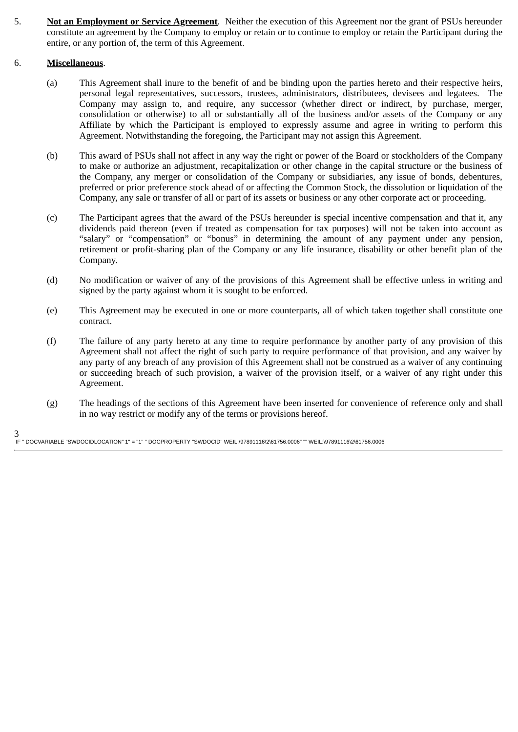5. **Not an Employment or Service Agreement**. Neither the execution of this Agreement nor the grant of PSUs hereunder constitute an agreement by the Company to employ or retain or to continue to employ or retain the Participant during the entire, or any portion of, the term of this Agreement.

### 6. **Miscellaneous**.

3

- (a) This Agreement shall inure to the benefit of and be binding upon the parties hereto and their respective heirs, personal legal representatives, successors, trustees, administrators, distributees, devisees and legatees. The Company may assign to, and require, any successor (whether direct or indirect, by purchase, merger, consolidation or otherwise) to all or substantially all of the business and/or assets of the Company or any Affiliate by which the Participant is employed to expressly assume and agree in writing to perform this Agreement. Notwithstanding the foregoing, the Participant may not assign this Agreement.
- (b) This award of PSUs shall not affect in any way the right or power of the Board or stockholders of the Company to make or authorize an adjustment, recapitalization or other change in the capital structure or the business of the Company, any merger or consolidation of the Company or subsidiaries, any issue of bonds, debentures, preferred or prior preference stock ahead of or affecting the Common Stock, the dissolution or liquidation of the Company, any sale or transfer of all or part of its assets or business or any other corporate act or proceeding.
- (c) The Participant agrees that the award of the PSUs hereunder is special incentive compensation and that it, any dividends paid thereon (even if treated as compensation for tax purposes) will not be taken into account as "salary" or "compensation" or "bonus" in determining the amount of any payment under any pension, retirement or profit-sharing plan of the Company or any life insurance, disability or other benefit plan of the Company.
- (d) No modification or waiver of any of the provisions of this Agreement shall be effective unless in writing and signed by the party against whom it is sought to be enforced.
- (e) This Agreement may be executed in one or more counterparts, all of which taken together shall constitute one contract.
- (f) The failure of any party hereto at any time to require performance by another party of any provision of this Agreement shall not affect the right of such party to require performance of that provision, and any waiver by any party of any breach of any provision of this Agreement shall not be construed as a waiver of any continuing or succeeding breach of such provision, a waiver of the provision itself, or a waiver of any right under this Agreement.
- (g) The headings of the sections of this Agreement have been inserted for convenience of reference only and shall in no way restrict or modify any of the terms or provisions hereof.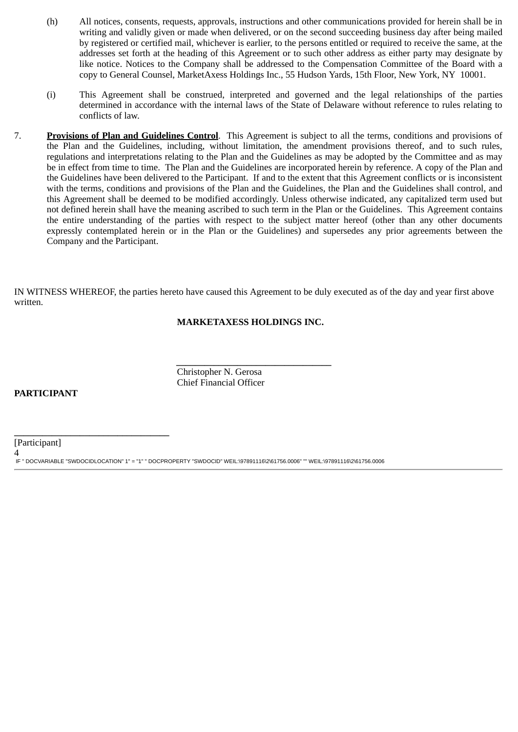- (h) All notices, consents, requests, approvals, instructions and other communications provided for herein shall be in writing and validly given or made when delivered, or on the second succeeding business day after being mailed by registered or certified mail, whichever is earlier, to the persons entitled or required to receive the same, at the addresses set forth at the heading of this Agreement or to such other address as either party may designate by like notice. Notices to the Company shall be addressed to the Compensation Committee of the Board with a copy to General Counsel, MarketAxess Holdings Inc., 55 Hudson Yards, 15th Floor, New York, NY 10001.
- (i) This Agreement shall be construed, interpreted and governed and the legal relationships of the parties determined in accordance with the internal laws of the State of Delaware without reference to rules relating to conflicts of law.
- 7. **Provisions of Plan and Guidelines Control**. This Agreement is subject to all the terms, conditions and provisions of the Plan and the Guidelines, including, without limitation, the amendment provisions thereof, and to such rules, regulations and interpretations relating to the Plan and the Guidelines as may be adopted by the Committee and as may be in effect from time to time. The Plan and the Guidelines are incorporated herein by reference. A copy of the Plan and the Guidelines have been delivered to the Participant. If and to the extent that this Agreement conflicts or is inconsistent with the terms, conditions and provisions of the Plan and the Guidelines, the Plan and the Guidelines shall control, and this Agreement shall be deemed to be modified accordingly. Unless otherwise indicated, any capitalized term used but not defined herein shall have the meaning ascribed to such term in the Plan or the Guidelines. This Agreement contains the entire understanding of the parties with respect to the subject matter hereof (other than any other documents expressly contemplated herein or in the Plan or the Guidelines) and supersedes any prior agreements between the Company and the Participant.

IN WITNESS WHEREOF, the parties hereto have caused this Agreement to be duly executed as of the day and year first above written.

### **MARKETAXESS HOLDINGS INC.**

 **\_\_\_\_\_\_\_\_\_\_\_\_\_\_\_\_\_\_\_\_\_\_\_\_\_\_\_\_\_\_\_\_\_** Christopher N. Gerosa Chief Financial Officer

**PARTICIPANT**

**\_\_\_\_\_\_\_\_\_\_\_\_\_\_\_\_\_\_\_\_\_\_\_\_\_\_\_\_\_\_\_\_\_**

[Participant] 4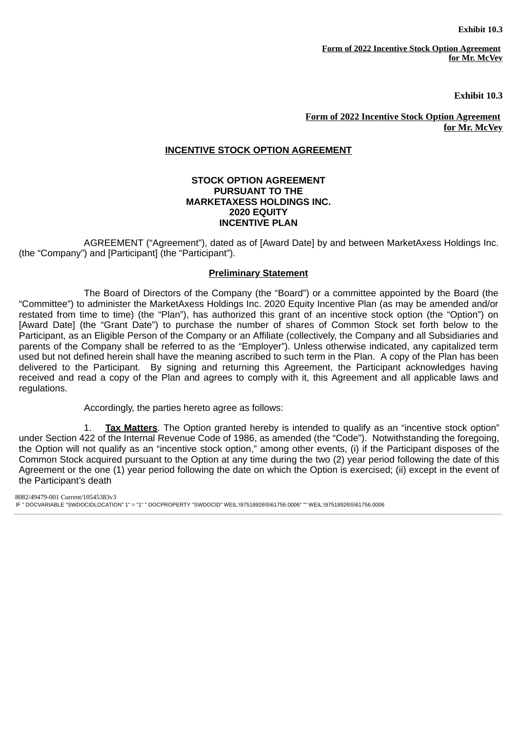**Exhibit 10.3**

**Form of 2022 Incentive Stock Option Agreement for Mr. McVey**

**Exhibit 10.3**

## **Form of 2022 Incentive Stock Option Agreement for Mr. McVey**

# <span id="page-50-0"></span>**INCENTIVE STOCK OPTION AGREEMENT**

### **STOCK OPTION AGREEMENT PURSUANT TO THE MARKETAXESS HOLDINGS INC. 2020 EQUITY INCENTIVE PLAN**

AGREEMENT ("Agreement"), dated as of [Award Date] by and between MarketAxess Holdings Inc. (the "Company") and [Participant] (the "Participant").

## **Preliminary Statement**

The Board of Directors of the Company (the "Board") or a committee appointed by the Board (the "Committee") to administer the MarketAxess Holdings Inc. 2020 Equity Incentive Plan (as may be amended and/or restated from time to time) (the "Plan"), has authorized this grant of an incentive stock option (the "Option") on [Award Date] (the "Grant Date") to purchase the number of shares of Common Stock set forth below to the Participant, as an Eligible Person of the Company or an Affiliate (collectively, the Company and all Subsidiaries and parents of the Company shall be referred to as the "Employer"). Unless otherwise indicated, any capitalized term used but not defined herein shall have the meaning ascribed to such term in the Plan. A copy of the Plan has been delivered to the Participant. By signing and returning this Agreement, the Participant acknowledges having received and read a copy of the Plan and agrees to comply with it, this Agreement and all applicable laws and regulations.

Accordingly, the parties hereto agree as follows:

1. **Tax Matters**. The Option granted hereby is intended to qualify as an "incentive stock option" under Section 422 of the Internal Revenue Code of 1986, as amended (the "Code"). Notwithstanding the foregoing, the Option will not qualify as an "incentive stock option," among other events, (i) if the Participant disposes of the Common Stock acquired pursuant to the Option at any time during the two (2) year period following the date of this Agreement or the one (1) year period following the date on which the Option is exercised; (ii) except in the event of the Participant's death

8082/49479-001 Current/10545383v3 IF " DOCVARIABLE "SWDOCIDLOCATION" 1" = "1" " DOCPROPERTY "SWDOCID" WEIL:\97518926\5\61756.0006" "" WEIL:\97518926\5\61756.0006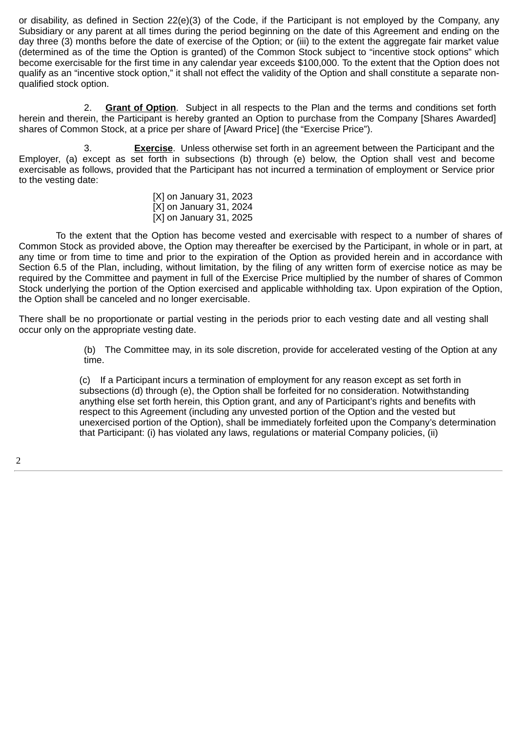or disability, as defined in Section 22(e)(3) of the Code, if the Participant is not employed by the Company, any Subsidiary or any parent at all times during the period beginning on the date of this Agreement and ending on the day three (3) months before the date of exercise of the Option; or (iii) to the extent the aggregate fair market value (determined as of the time the Option is granted) of the Common Stock subject to "incentive stock options" which become exercisable for the first time in any calendar year exceeds \$100,000. To the extent that the Option does not qualify as an "incentive stock option," it shall not effect the validity of the Option and shall constitute a separate nonqualified stock option.

2. **Grant of Option**. Subject in all respects to the Plan and the terms and conditions set forth herein and therein, the Participant is hereby granted an Option to purchase from the Company [Shares Awarded] shares of Common Stock, at a price per share of [Award Price] (the "Exercise Price").

3. **Exercise**. Unless otherwise set forth in an agreement between the Participant and the Employer, (a) except as set forth in subsections (b) through (e) below, the Option shall vest and become exercisable as follows, provided that the Participant has not incurred a termination of employment or Service prior to the vesting date:

> [X] on January 31, 2023 [X] on January 31, 2024 [X] on January 31, 2025

To the extent that the Option has become vested and exercisable with respect to a number of shares of Common Stock as provided above, the Option may thereafter be exercised by the Participant, in whole or in part, at any time or from time to time and prior to the expiration of the Option as provided herein and in accordance with Section 6.5 of the Plan, including, without limitation, by the filing of any written form of exercise notice as may be required by the Committee and payment in full of the Exercise Price multiplied by the number of shares of Common Stock underlying the portion of the Option exercised and applicable withholding tax. Upon expiration of the Option, the Option shall be canceled and no longer exercisable.

There shall be no proportionate or partial vesting in the periods prior to each vesting date and all vesting shall occur only on the appropriate vesting date.

> (b) The Committee may, in its sole discretion, provide for accelerated vesting of the Option at any time.

> (c) If a Participant incurs a termination of employment for any reason except as set forth in subsections (d) through (e), the Option shall be forfeited for no consideration. Notwithstanding anything else set forth herein, this Option grant, and any of Participant's rights and benefits with respect to this Agreement (including any unvested portion of the Option and the vested but unexercised portion of the Option), shall be immediately forfeited upon the Company's determination that Participant: (i) has violated any laws, regulations or material Company policies, (ii)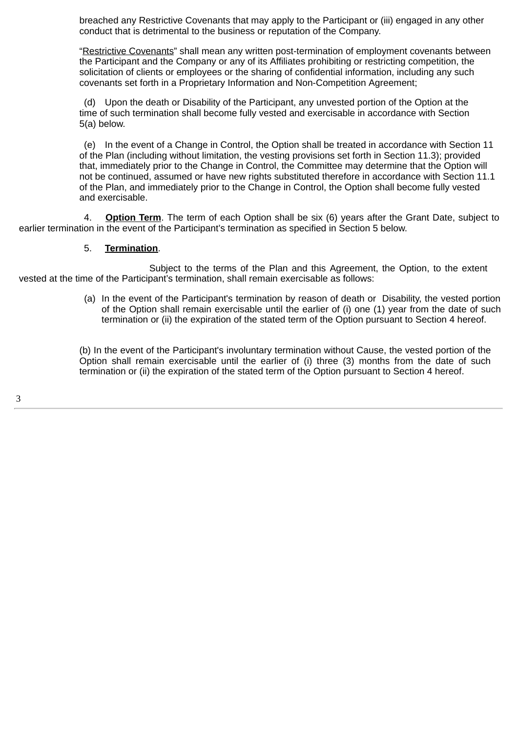breached any Restrictive Covenants that may apply to the Participant or (iii) engaged in any other conduct that is detrimental to the business or reputation of the Company.

"Restrictive Covenants" shall mean any written post-termination of employment covenants between the Participant and the Company or any of its Affiliates prohibiting or restricting competition, the solicitation of clients or employees or the sharing of confidential information, including any such covenants set forth in a Proprietary Information and Non-Competition Agreement;

(d) Upon the death or Disability of the Participant, any unvested portion of the Option at the time of such termination shall become fully vested and exercisable in accordance with Section 5(a) below.

(e) In the event of a Change in Control, the Option shall be treated in accordance with Section 11 of the Plan (including without limitation, the vesting provisions set forth in Section 11.3); provided that, immediately prior to the Change in Control, the Committee may determine that the Option will not be continued, assumed or have new rights substituted therefore in accordance with Section 11.1 of the Plan, and immediately prior to the Change in Control, the Option shall become fully vested and exercisable.

4. **Option Term**. The term of each Option shall be six (6) years after the Grant Date, subject to earlier termination in the event of the Participant's termination as specified in Section 5 below.

### 5. **Termination**.

Subject to the terms of the Plan and this Agreement, the Option, to the extent vested at the time of the Participant's termination, shall remain exercisable as follows:

> (a) In the event of the Participant's termination by reason of death or Disability, the vested portion of the Option shall remain exercisable until the earlier of (i) one (1) year from the date of such termination or (ii) the expiration of the stated term of the Option pursuant to Section 4 hereof.

(b) In the event of the Participant's involuntary termination without Cause, the vested portion of the Option shall remain exercisable until the earlier of (i) three (3) months from the date of such termination or (ii) the expiration of the stated term of the Option pursuant to Section 4 hereof.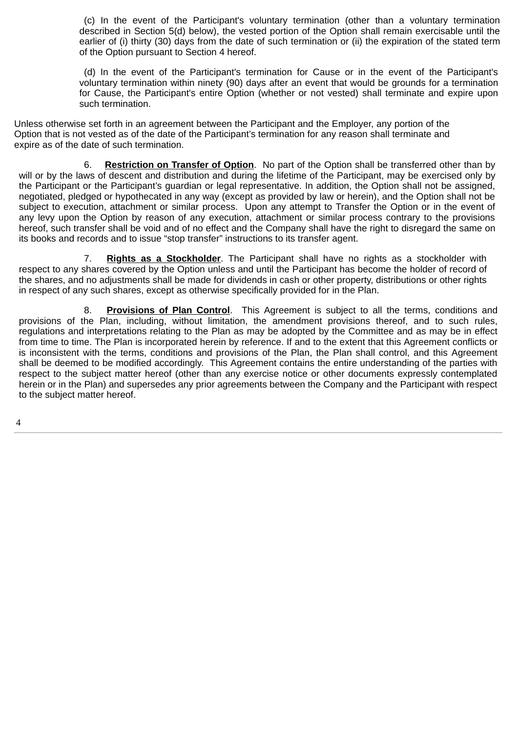(c) In the event of the Participant's voluntary termination (other than a voluntary termination described in Section 5(d) below), the vested portion of the Option shall remain exercisable until the earlier of (i) thirty (30) days from the date of such termination or (ii) the expiration of the stated term of the Option pursuant to Section 4 hereof.

(d) In the event of the Participant's termination for Cause or in the event of the Participant's voluntary termination within ninety (90) days after an event that would be grounds for a termination for Cause, the Participant's entire Option (whether or not vested) shall terminate and expire upon such termination.

Unless otherwise set forth in an agreement between the Participant and the Employer, any portion of the Option that is not vested as of the date of the Participant's termination for any reason shall terminate and expire as of the date of such termination.

6. **Restriction on Transfer of Option**. No part of the Option shall be transferred other than by will or by the laws of descent and distribution and during the lifetime of the Participant, may be exercised only by the Participant or the Participant's guardian or legal representative. In addition, the Option shall not be assigned, negotiated, pledged or hypothecated in any way (except as provided by law or herein), and the Option shall not be subject to execution, attachment or similar process. Upon any attempt to Transfer the Option or in the event of any levy upon the Option by reason of any execution, attachment or similar process contrary to the provisions hereof, such transfer shall be void and of no effect and the Company shall have the right to disregard the same on its books and records and to issue "stop transfer" instructions to its transfer agent.

7. **Rights as a Stockholder**. The Participant shall have no rights as a stockholder with respect to any shares covered by the Option unless and until the Participant has become the holder of record of the shares, and no adjustments shall be made for dividends in cash or other property, distributions or other rights in respect of any such shares, except as otherwise specifically provided for in the Plan.

8. **Provisions of Plan Control**. This Agreement is subject to all the terms, conditions and provisions of the Plan, including, without limitation, the amendment provisions thereof, and to such rules, regulations and interpretations relating to the Plan as may be adopted by the Committee and as may be in effect from time to time. The Plan is incorporated herein by reference. If and to the extent that this Agreement conflicts or is inconsistent with the terms, conditions and provisions of the Plan, the Plan shall control, and this Agreement shall be deemed to be modified accordingly. This Agreement contains the entire understanding of the parties with respect to the subject matter hereof (other than any exercise notice or other documents expressly contemplated herein or in the Plan) and supersedes any prior agreements between the Company and the Participant with respect to the subject matter hereof.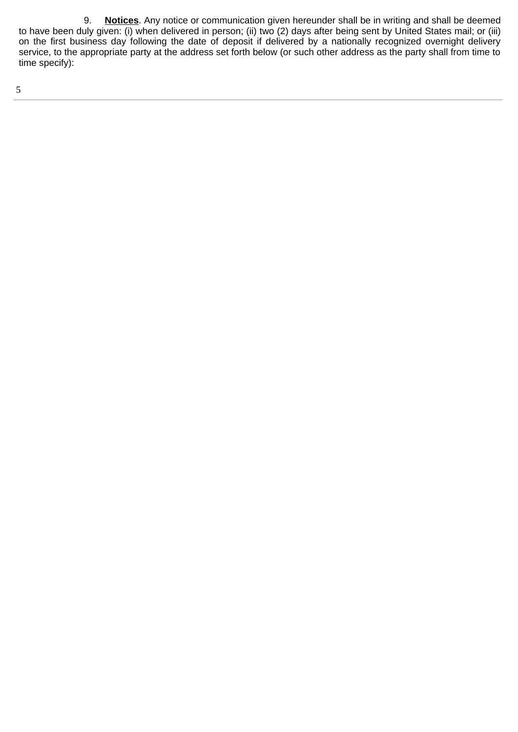9. **Notices**. Any notice or communication given hereunder shall be in writing and shall be deemed to have been duly given: (i) when delivered in person; (ii) two (2) days after being sent by United States mail; or (iii) on the first business day following the date of deposit if delivered by a nationally recognized overnight delivery service, to the appropriate party at the address set forth below (or such other address as the party shall from time to time specify):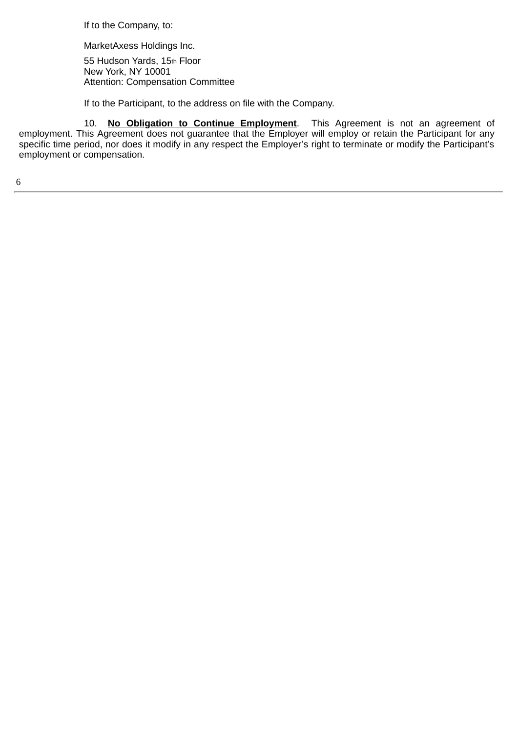If to the Company, to:

MarketAxess Holdings Inc.

55 Hudson Yards, 15th Floor New York, NY 10001 Attention: Compensation Committee

If to the Participant, to the address on file with the Company.

10. **No Obligation to Continue Employment**. This Agreement is not an agreement of employment. This Agreement does not guarantee that the Employer will employ or retain the Participant for any specific time period, nor does it modify in any respect the Employer's right to terminate or modify the Participant's employment or compensation.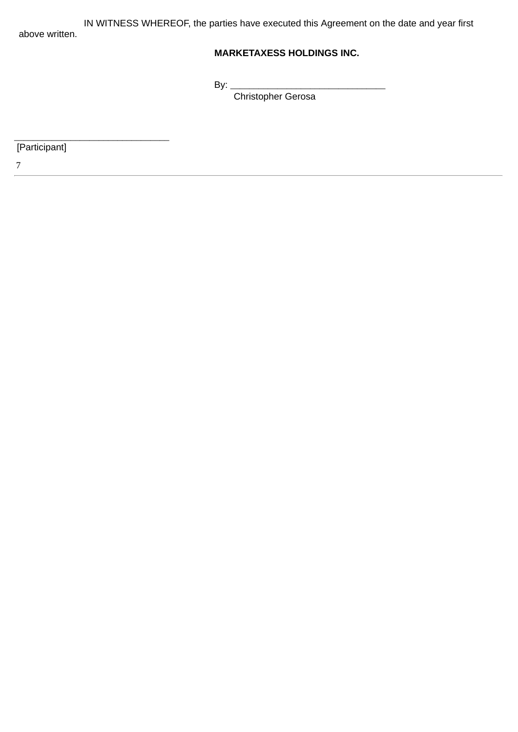# **MARKETAXESS HOLDINGS INC.**

By: \_\_\_\_\_\_\_\_\_\_\_\_\_\_\_\_\_\_\_\_\_\_\_\_\_\_\_\_\_\_\_\_\_ Christopher Gerosa

\_\_\_\_\_\_\_\_\_\_\_\_\_\_\_\_\_\_\_\_\_\_\_\_\_\_\_\_\_\_\_\_\_ [Participant]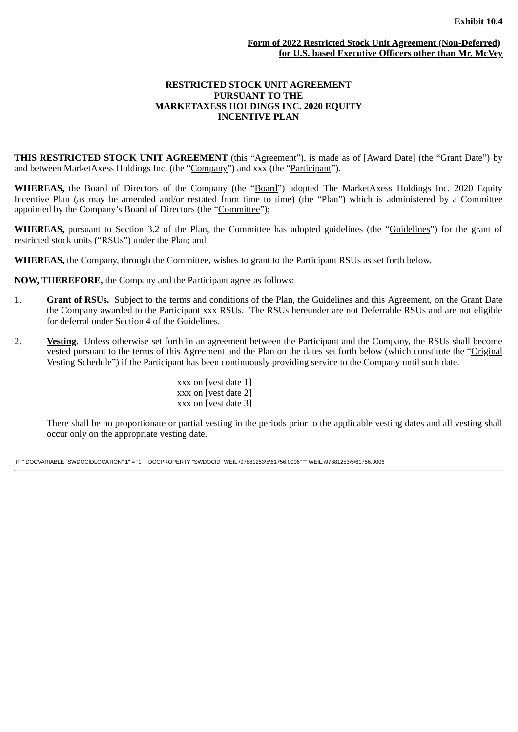### **RESTRICTED STOCK UNIT AGREEMENT PURSUANT TO THE MARKETAXESS HOLDINGS INC. 2020 EQUITY INCENTIVE PLAN**

<span id="page-57-0"></span>**THIS RESTRICTED STOCK UNIT AGREEMENT** (this "Agreement"), is made as of [Award Date] (the "Grant Date") by and between MarketAxess Holdings Inc. (the "Company") and xxx (the "Participant").

**WHEREAS,** the Board of Directors of the Company (the "Board") adopted The MarketAxess Holdings Inc. 2020 Equity Incentive Plan (as may be amended and/or restated from time to time) (the "Plan") which is administered by a Committee appointed by the Company's Board of Directors (the "Committee");

**WHEREAS,** pursuant to Section 3.2 of the Plan, the Committee has adopted guidelines (the "Guidelines") for the grant of restricted stock units ("RSUs") under the Plan; and

**WHEREAS,** the Company, through the Committee, wishes to grant to the Participant RSUs as set forth below.

**NOW, THEREFORE,** the Company and the Participant agree as follows:

- 1. **Grant of RSUs.** Subject to the terms and conditions of the Plan, the Guidelines and this Agreement, on the Grant Date the Company awarded to the Participant xxx RSUs. The RSUs hereunder are not Deferrable RSUs and are not eligible for deferral under Section 4 of the Guidelines.
- 2. **Vesting.** Unless otherwise set forth in an agreement between the Participant and the Company, the RSUs shall become vested pursuant to the terms of this Agreement and the Plan on the dates set forth below (which constitute the "Original Vesting Schedule") if the Participant has been continuously providing service to the Company until such date.

xxx on [vest date 1] xxx on [vest date 2] xxx on [vest date 3]

There shall be no proportionate or partial vesting in the periods prior to the applicable vesting dates and all vesting shall occur only on the appropriate vesting date.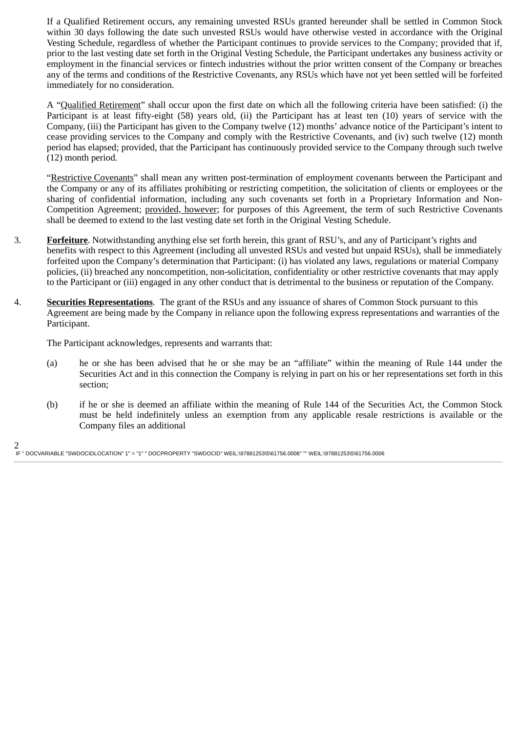If a Qualified Retirement occurs, any remaining unvested RSUs granted hereunder shall be settled in Common Stock within 30 days following the date such unvested RSUs would have otherwise vested in accordance with the Original Vesting Schedule, regardless of whether the Participant continues to provide services to the Company; provided that if, prior to the last vesting date set forth in the Original Vesting Schedule, the Participant undertakes any business activity or employment in the financial services or fintech industries without the prior written consent of the Company or breaches any of the terms and conditions of the Restrictive Covenants, any RSUs which have not yet been settled will be forfeited immediately for no consideration.

A "Qualified Retirement" shall occur upon the first date on which all the following criteria have been satisfied: (i) the Participant is at least fifty-eight (58) years old, (ii) the Participant has at least ten (10) years of service with the Company, (iii) the Participant has given to the Company twelve (12) months' advance notice of the Participant's intent to cease providing services to the Company and comply with the Restrictive Covenants, and (iv) such twelve (12) month period has elapsed; provided, that the Participant has continuously provided service to the Company through such twelve (12) month period.

"Restrictive Covenants" shall mean any written post-termination of employment covenants between the Participant and the Company or any of its affiliates prohibiting or restricting competition, the solicitation of clients or employees or the sharing of confidential information, including any such covenants set forth in a Proprietary Information and Non-Competition Agreement; provided, however; for purposes of this Agreement, the term of such Restrictive Covenants shall be deemed to extend to the last vesting date set forth in the Original Vesting Schedule.

- 3. **Forfeiture**. Notwithstanding anything else set forth herein, this grant of RSU's, and any of Participant's rights and benefits with respect to this Agreement (including all unvested RSUs and vested but unpaid RSUs), shall be immediately forfeited upon the Company's determination that Participant: (i) has violated any laws, regulations or material Company policies, (ii) breached any noncompetition, non-solicitation, confidentiality or other restrictive covenants that may apply to the Participant or (iii) engaged in any other conduct that is detrimental to the business or reputation of the Company.
- 4. **Securities Representations**. The grant of the RSUs and any issuance of shares of Common Stock pursuant to this Agreement are being made by the Company in reliance upon the following express representations and warranties of the Participant.

The Participant acknowledges, represents and warrants that:

 $\mathcal{D}$ 

- (a) he or she has been advised that he or she may be an "affiliate" within the meaning of Rule 144 under the Securities Act and in this connection the Company is relying in part on his or her representations set forth in this section;
- (b) if he or she is deemed an affiliate within the meaning of Rule 144 of the Securities Act, the Common Stock must be held indefinitely unless an exemption from any applicable resale restrictions is available or the Company files an additional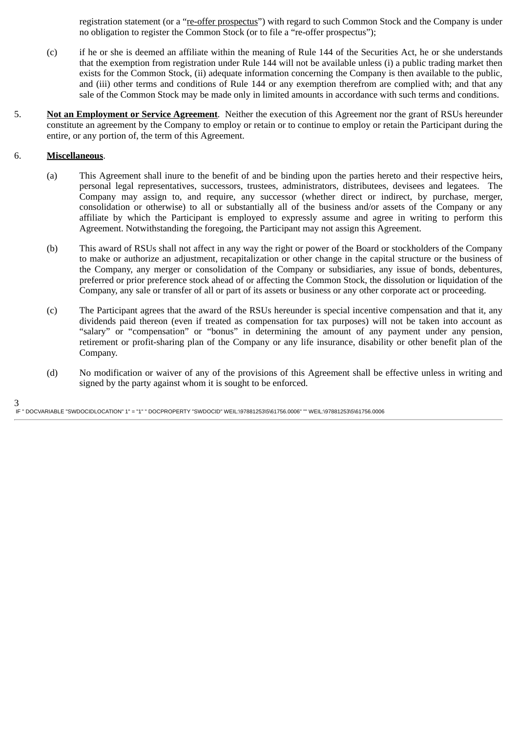registration statement (or a "re-offer prospectus") with regard to such Common Stock and the Company is under no obligation to register the Common Stock (or to file a "re-offer prospectus");

- (c) if he or she is deemed an affiliate within the meaning of Rule 144 of the Securities Act, he or she understands that the exemption from registration under Rule 144 will not be available unless (i) a public trading market then exists for the Common Stock, (ii) adequate information concerning the Company is then available to the public, and (iii) other terms and conditions of Rule 144 or any exemption therefrom are complied with; and that any sale of the Common Stock may be made only in limited amounts in accordance with such terms and conditions.
- 5. **Not an Employment or Service Agreement**. Neither the execution of this Agreement nor the grant of RSUs hereunder constitute an agreement by the Company to employ or retain or to continue to employ or retain the Participant during the entire, or any portion of, the term of this Agreement.

### 6. **Miscellaneous**.

- (a) This Agreement shall inure to the benefit of and be binding upon the parties hereto and their respective heirs, personal legal representatives, successors, trustees, administrators, distributees, devisees and legatees. The Company may assign to, and require, any successor (whether direct or indirect, by purchase, merger, consolidation or otherwise) to all or substantially all of the business and/or assets of the Company or any affiliate by which the Participant is employed to expressly assume and agree in writing to perform this Agreement. Notwithstanding the foregoing, the Participant may not assign this Agreement.
- (b) This award of RSUs shall not affect in any way the right or power of the Board or stockholders of the Company to make or authorize an adjustment, recapitalization or other change in the capital structure or the business of the Company, any merger or consolidation of the Company or subsidiaries, any issue of bonds, debentures, preferred or prior preference stock ahead of or affecting the Common Stock, the dissolution or liquidation of the Company, any sale or transfer of all or part of its assets or business or any other corporate act or proceeding.
- (c) The Participant agrees that the award of the RSUs hereunder is special incentive compensation and that it, any dividends paid thereon (even if treated as compensation for tax purposes) will not be taken into account as "salary" or "compensation" or "bonus" in determining the amount of any payment under any pension, retirement or profit-sharing plan of the Company or any life insurance, disability or other benefit plan of the Company.
- (d) No modification or waiver of any of the provisions of this Agreement shall be effective unless in writing and signed by the party against whom it is sought to be enforced.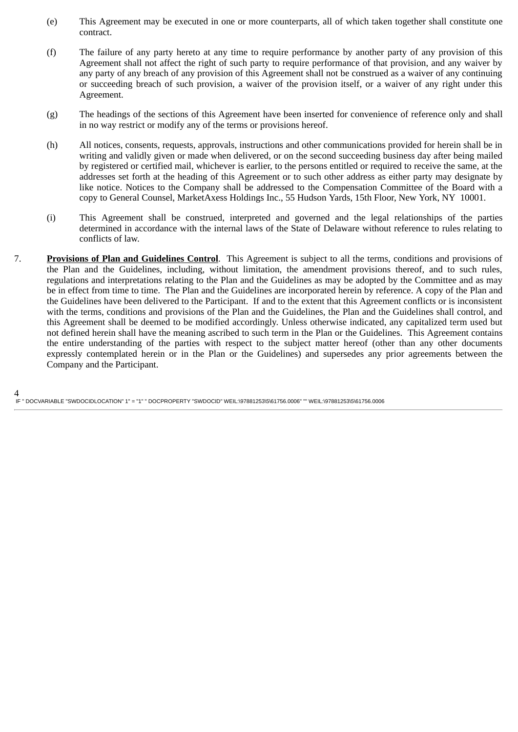- (e) This Agreement may be executed in one or more counterparts, all of which taken together shall constitute one contract.
- (f) The failure of any party hereto at any time to require performance by another party of any provision of this Agreement shall not affect the right of such party to require performance of that provision, and any waiver by any party of any breach of any provision of this Agreement shall not be construed as a waiver of any continuing or succeeding breach of such provision, a waiver of the provision itself, or a waiver of any right under this Agreement.
- (g) The headings of the sections of this Agreement have been inserted for convenience of reference only and shall in no way restrict or modify any of the terms or provisions hereof.
- (h) All notices, consents, requests, approvals, instructions and other communications provided for herein shall be in writing and validly given or made when delivered, or on the second succeeding business day after being mailed by registered or certified mail, whichever is earlier, to the persons entitled or required to receive the same, at the addresses set forth at the heading of this Agreement or to such other address as either party may designate by like notice. Notices to the Company shall be addressed to the Compensation Committee of the Board with a copy to General Counsel, MarketAxess Holdings Inc., 55 Hudson Yards, 15th Floor, New York, NY 10001.
- (i) This Agreement shall be construed, interpreted and governed and the legal relationships of the parties determined in accordance with the internal laws of the State of Delaware without reference to rules relating to conflicts of law.
- 7. **Provisions of Plan and Guidelines Control**. This Agreement is subject to all the terms, conditions and provisions of the Plan and the Guidelines, including, without limitation, the amendment provisions thereof, and to such rules, regulations and interpretations relating to the Plan and the Guidelines as may be adopted by the Committee and as may be in effect from time to time. The Plan and the Guidelines are incorporated herein by reference. A copy of the Plan and the Guidelines have been delivered to the Participant. If and to the extent that this Agreement conflicts or is inconsistent with the terms, conditions and provisions of the Plan and the Guidelines, the Plan and the Guidelines shall control, and this Agreement shall be deemed to be modified accordingly. Unless otherwise indicated, any capitalized term used but not defined herein shall have the meaning ascribed to such term in the Plan or the Guidelines. This Agreement contains the entire understanding of the parties with respect to the subject matter hereof (other than any other documents expressly contemplated herein or in the Plan or the Guidelines) and supersedes any prior agreements between the Company and the Participant.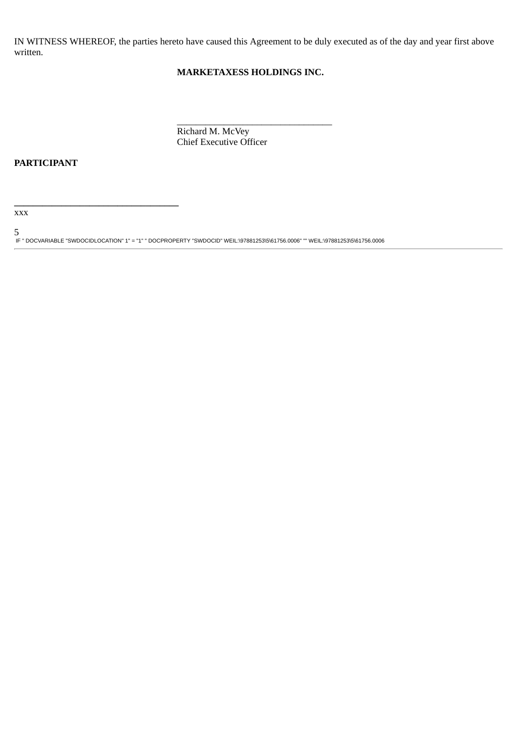IN WITNESS WHEREOF, the parties hereto have caused this Agreement to be duly executed as of the day and year first above written.

# **MARKETAXESS HOLDINGS INC.**

 $\_$ 

Richard M. McVey Chief Executive Officer

**PARTICIPANT**

**\_\_\_\_\_\_\_\_\_\_\_\_\_\_\_\_\_\_\_\_\_\_\_\_\_\_\_\_\_\_\_\_\_\_\_**

xxx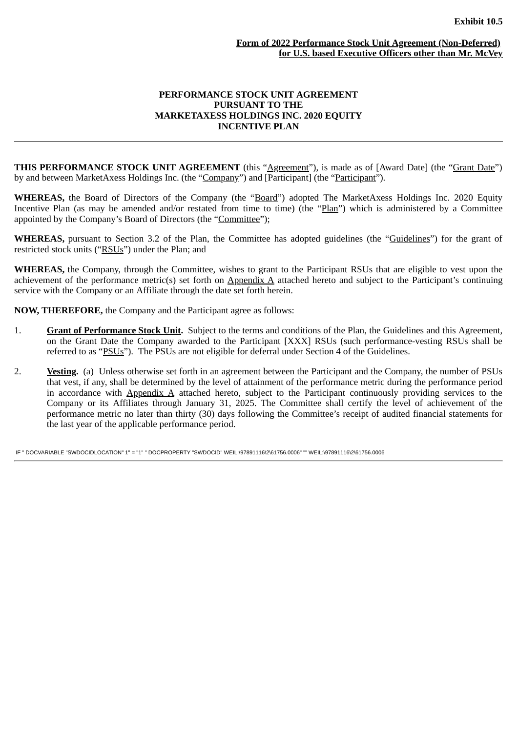#### **PERFORMANCE STOCK UNIT AGREEMENT PURSUANT TO THE MARKETAXESS HOLDINGS INC. 2020 EQUITY INCENTIVE PLAN**

<span id="page-62-0"></span>**THIS PERFORMANCE STOCK UNIT AGREEMENT** (this "Agreement"), is made as of [Award Date] (the "Grant Date") by and between MarketAxess Holdings Inc. (the "Company") and [Participant] (the "Participant").

**WHEREAS,** the Board of Directors of the Company (the "Board") adopted The MarketAxess Holdings Inc. 2020 Equity Incentive Plan (as may be amended and/or restated from time to time) (the "Plan") which is administered by a Committee appointed by the Company's Board of Directors (the "Committee");

**WHEREAS,** pursuant to Section 3.2 of the Plan, the Committee has adopted guidelines (the "Guidelines") for the grant of restricted stock units ("RSUs") under the Plan; and

**WHEREAS,** the Company, through the Committee, wishes to grant to the Participant RSUs that are eligible to vest upon the achievement of the performance metric(s) set forth on  $\Delta$ ppendix  $\Delta$  attached hereto and subject to the Participant's continuing service with the Company or an Affiliate through the date set forth herein.

**NOW, THEREFORE,** the Company and the Participant agree as follows:

- 1. **Grant of Performance Stock Unit.** Subject to the terms and conditions of the Plan, the Guidelines and this Agreement, on the Grant Date the Company awarded to the Participant [XXX] RSUs (such performance-vesting RSUs shall be referred to as "PSUs"). The PSUs are not eligible for deferral under Section 4 of the Guidelines.
- 2. **Vesting.** (a) Unless otherwise set forth in an agreement between the Participant and the Company, the number of PSUs that vest, if any, shall be determined by the level of attainment of the performance metric during the performance period in accordance with Appendix A attached hereto, subject to the Participant continuously providing services to the Company or its Affiliates through January 31, 2025. The Committee shall certify the level of achievement of the performance metric no later than thirty (30) days following the Committee's receipt of audited financial statements for the last year of the applicable performance period.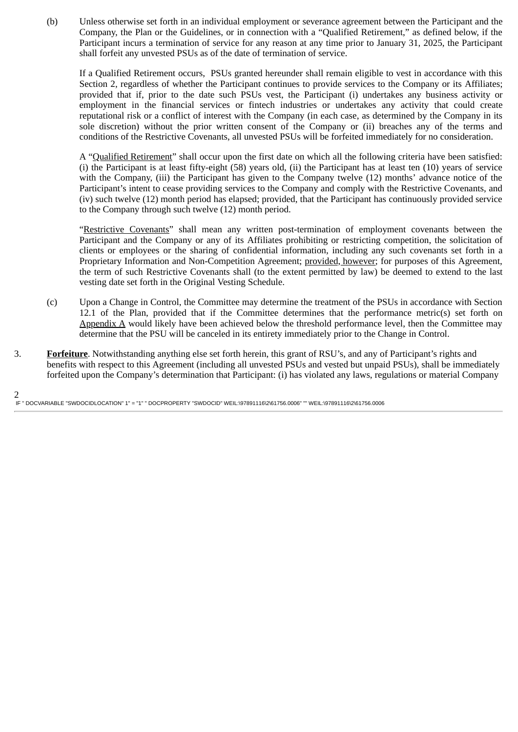(b) Unless otherwise set forth in an individual employment or severance agreement between the Participant and the Company, the Plan or the Guidelines, or in connection with a "Qualified Retirement," as defined below, if the Participant incurs a termination of service for any reason at any time prior to January 31, 2025, the Participant shall forfeit any unvested PSUs as of the date of termination of service.

If a Qualified Retirement occurs, PSUs granted hereunder shall remain eligible to vest in accordance with this Section 2, regardless of whether the Participant continues to provide services to the Company or its Affiliates; provided that if, prior to the date such PSUs vest, the Participant (i) undertakes any business activity or employment in the financial services or fintech industries or undertakes any activity that could create reputational risk or a conflict of interest with the Company (in each case, as determined by the Company in its sole discretion) without the prior written consent of the Company or (ii) breaches any of the terms and conditions of the Restrictive Covenants, all unvested PSUs will be forfeited immediately for no consideration.

A "Qualified Retirement" shall occur upon the first date on which all the following criteria have been satisfied: (i) the Participant is at least fifty-eight (58) years old, (ii) the Participant has at least ten (10) years of service with the Company, (iii) the Participant has given to the Company twelve (12) months' advance notice of the Participant's intent to cease providing services to the Company and comply with the Restrictive Covenants, and (iv) such twelve (12) month period has elapsed; provided, that the Participant has continuously provided service to the Company through such twelve (12) month period.

"Restrictive Covenants" shall mean any written post-termination of employment covenants between the Participant and the Company or any of its Affiliates prohibiting or restricting competition, the solicitation of clients or employees or the sharing of confidential information, including any such covenants set forth in a Proprietary Information and Non-Competition Agreement; provided, however; for purposes of this Agreement, the term of such Restrictive Covenants shall (to the extent permitted by law) be deemed to extend to the last vesting date set forth in the Original Vesting Schedule.

- (c) Upon a Change in Control, the Committee may determine the treatment of the PSUs in accordance with Section 12.1 of the Plan, provided that if the Committee determines that the performance metric(s) set forth on Appendix A would likely have been achieved below the threshold performance level, then the Committee may determine that the PSU will be canceled in its entirety immediately prior to the Change in Control.
- 3. **Forfeiture**. Notwithstanding anything else set forth herein, this grant of RSU's, and any of Participant's rights and benefits with respect to this Agreement (including all unvested PSUs and vested but unpaid PSUs), shall be immediately forfeited upon the Company's determination that Participant: (i) has violated any laws, regulations or material Company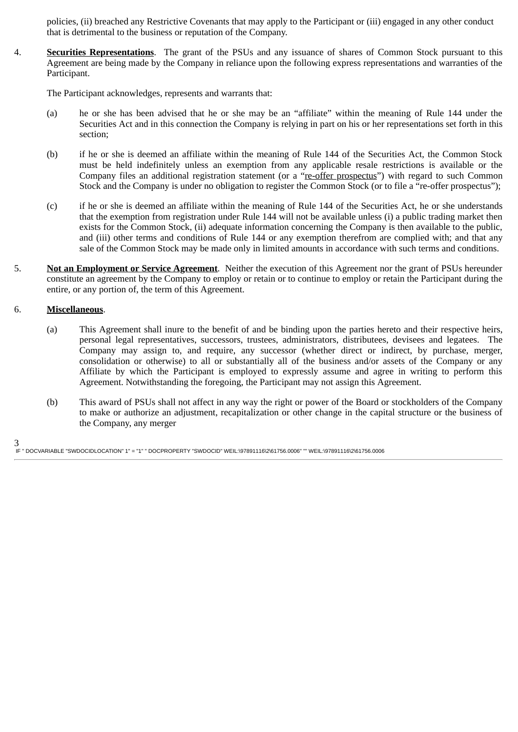policies, (ii) breached any Restrictive Covenants that may apply to the Participant or (iii) engaged in any other conduct that is detrimental to the business or reputation of the Company.

4. **Securities Representations**. The grant of the PSUs and any issuance of shares of Common Stock pursuant to this Agreement are being made by the Company in reliance upon the following express representations and warranties of the Participant.

The Participant acknowledges, represents and warrants that:

- (a) he or she has been advised that he or she may be an "affiliate" within the meaning of Rule 144 under the Securities Act and in this connection the Company is relying in part on his or her representations set forth in this section;
- (b) if he or she is deemed an affiliate within the meaning of Rule 144 of the Securities Act, the Common Stock must be held indefinitely unless an exemption from any applicable resale restrictions is available or the Company files an additional registration statement (or a "re-offer prospectus") with regard to such Common Stock and the Company is under no obligation to register the Common Stock (or to file a "re-offer prospectus");
- (c) if he or she is deemed an affiliate within the meaning of Rule 144 of the Securities Act, he or she understands that the exemption from registration under Rule 144 will not be available unless (i) a public trading market then exists for the Common Stock, (ii) adequate information concerning the Company is then available to the public, and (iii) other terms and conditions of Rule 144 or any exemption therefrom are complied with; and that any sale of the Common Stock may be made only in limited amounts in accordance with such terms and conditions.
- 5. **Not an Employment or Service Agreement**. Neither the execution of this Agreement nor the grant of PSUs hereunder constitute an agreement by the Company to employ or retain or to continue to employ or retain the Participant during the entire, or any portion of, the term of this Agreement.

### 6. **Miscellaneous**.

- (a) This Agreement shall inure to the benefit of and be binding upon the parties hereto and their respective heirs, personal legal representatives, successors, trustees, administrators, distributees, devisees and legatees. The Company may assign to, and require, any successor (whether direct or indirect, by purchase, merger, consolidation or otherwise) to all or substantially all of the business and/or assets of the Company or any Affiliate by which the Participant is employed to expressly assume and agree in writing to perform this Agreement. Notwithstanding the foregoing, the Participant may not assign this Agreement.
- (b) This award of PSUs shall not affect in any way the right or power of the Board or stockholders of the Company to make or authorize an adjustment, recapitalization or other change in the capital structure or the business of the Company, any merger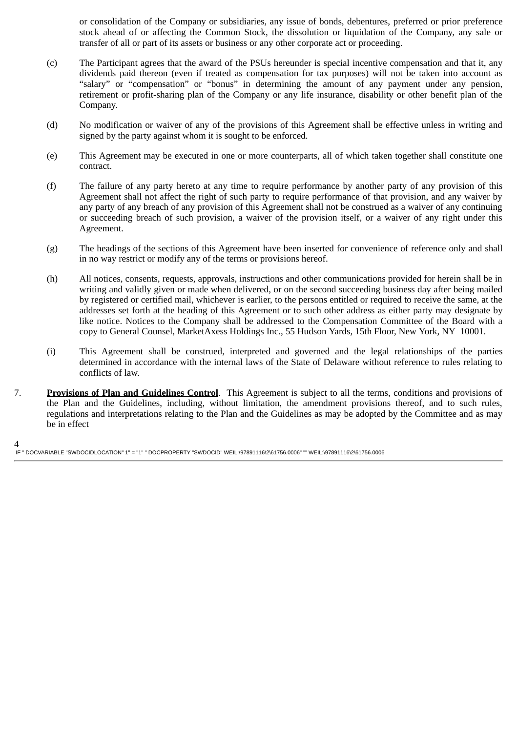or consolidation of the Company or subsidiaries, any issue of bonds, debentures, preferred or prior preference stock ahead of or affecting the Common Stock, the dissolution or liquidation of the Company, any sale or transfer of all or part of its assets or business or any other corporate act or proceeding.

- (c) The Participant agrees that the award of the PSUs hereunder is special incentive compensation and that it, any dividends paid thereon (even if treated as compensation for tax purposes) will not be taken into account as "salary" or "compensation" or "bonus" in determining the amount of any payment under any pension, retirement or profit-sharing plan of the Company or any life insurance, disability or other benefit plan of the Company.
- (d) No modification or waiver of any of the provisions of this Agreement shall be effective unless in writing and signed by the party against whom it is sought to be enforced.
- (e) This Agreement may be executed in one or more counterparts, all of which taken together shall constitute one contract.
- (f) The failure of any party hereto at any time to require performance by another party of any provision of this Agreement shall not affect the right of such party to require performance of that provision, and any waiver by any party of any breach of any provision of this Agreement shall not be construed as a waiver of any continuing or succeeding breach of such provision, a waiver of the provision itself, or a waiver of any right under this Agreement.
- (g) The headings of the sections of this Agreement have been inserted for convenience of reference only and shall in no way restrict or modify any of the terms or provisions hereof.
- (h) All notices, consents, requests, approvals, instructions and other communications provided for herein shall be in writing and validly given or made when delivered, or on the second succeeding business day after being mailed by registered or certified mail, whichever is earlier, to the persons entitled or required to receive the same, at the addresses set forth at the heading of this Agreement or to such other address as either party may designate by like notice. Notices to the Company shall be addressed to the Compensation Committee of the Board with a copy to General Counsel, MarketAxess Holdings Inc., 55 Hudson Yards, 15th Floor, New York, NY 10001.
- (i) This Agreement shall be construed, interpreted and governed and the legal relationships of the parties determined in accordance with the internal laws of the State of Delaware without reference to rules relating to conflicts of law.
- 7. **Provisions of Plan and Guidelines Control**. This Agreement is subject to all the terms, conditions and provisions of the Plan and the Guidelines, including, without limitation, the amendment provisions thereof, and to such rules, regulations and interpretations relating to the Plan and the Guidelines as may be adopted by the Committee and as may be in effect

 $\overline{\mathcal{A}}$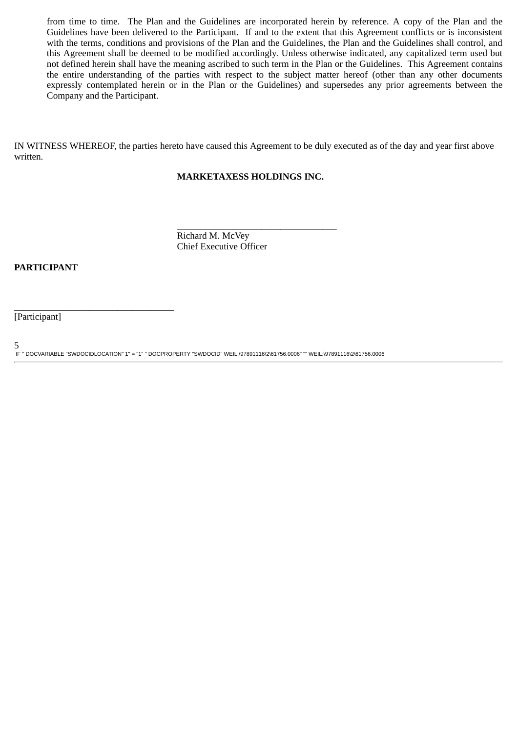from time to time. The Plan and the Guidelines are incorporated herein by reference. A copy of the Plan and the Guidelines have been delivered to the Participant. If and to the extent that this Agreement conflicts or is inconsistent with the terms, conditions and provisions of the Plan and the Guidelines, the Plan and the Guidelines shall control, and this Agreement shall be deemed to be modified accordingly. Unless otherwise indicated, any capitalized term used but not defined herein shall have the meaning ascribed to such term in the Plan or the Guidelines. This Agreement contains the entire understanding of the parties with respect to the subject matter hereof (other than any other documents expressly contemplated herein or in the Plan or the Guidelines) and supersedes any prior agreements between the Company and the Participant.

IN WITNESS WHEREOF, the parties hereto have caused this Agreement to be duly executed as of the day and year first above written.

# **MARKETAXESS HOLDINGS INC.**

 $\frac{1}{2}$  ,  $\frac{1}{2}$  ,  $\frac{1}{2}$  ,  $\frac{1}{2}$  ,  $\frac{1}{2}$  ,  $\frac{1}{2}$  ,  $\frac{1}{2}$  ,  $\frac{1}{2}$  ,  $\frac{1}{2}$  ,  $\frac{1}{2}$  ,  $\frac{1}{2}$  ,  $\frac{1}{2}$  ,  $\frac{1}{2}$  ,  $\frac{1}{2}$  ,  $\frac{1}{2}$  ,  $\frac{1}{2}$  ,  $\frac{1}{2}$  ,  $\frac{1}{2}$  ,  $\frac{1$ 

Richard M. McVey Chief Executive Officer

**PARTICIPANT**

**\_\_\_\_\_\_\_\_\_\_\_\_\_\_\_\_\_\_\_\_\_\_\_\_\_\_\_\_\_\_\_\_\_\_**

[Participant]

5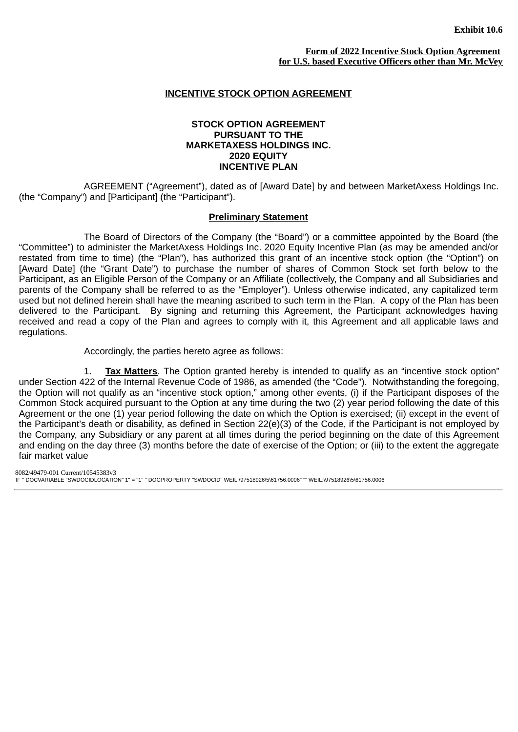## <span id="page-67-0"></span>**INCENTIVE STOCK OPTION AGREEMENT**

### **STOCK OPTION AGREEMENT PURSUANT TO THE MARKETAXESS HOLDINGS INC. 2020 EQUITY INCENTIVE PLAN**

AGREEMENT ("Agreement"), dated as of [Award Date] by and between MarketAxess Holdings Inc. (the "Company") and [Participant] (the "Participant").

### **Preliminary Statement**

The Board of Directors of the Company (the "Board") or a committee appointed by the Board (the "Committee") to administer the MarketAxess Holdings Inc. 2020 Equity Incentive Plan (as may be amended and/or restated from time to time) (the "Plan"), has authorized this grant of an incentive stock option (the "Option") on [Award Date] (the "Grant Date") to purchase the number of shares of Common Stock set forth below to the Participant, as an Eligible Person of the Company or an Affiliate (collectively, the Company and all Subsidiaries and parents of the Company shall be referred to as the "Employer"). Unless otherwise indicated, any capitalized term used but not defined herein shall have the meaning ascribed to such term in the Plan. A copy of the Plan has been delivered to the Participant. By signing and returning this Agreement, the Participant acknowledges having received and read a copy of the Plan and agrees to comply with it, this Agreement and all applicable laws and regulations.

Accordingly, the parties hereto agree as follows:

1. **Tax Matters**. The Option granted hereby is intended to qualify as an "incentive stock option" under Section 422 of the Internal Revenue Code of 1986, as amended (the "Code"). Notwithstanding the foregoing, the Option will not qualify as an "incentive stock option," among other events, (i) if the Participant disposes of the Common Stock acquired pursuant to the Option at any time during the two (2) year period following the date of this Agreement or the one (1) year period following the date on which the Option is exercised; (ii) except in the event of the Participant's death or disability, as defined in Section 22(e)(3) of the Code, if the Participant is not employed by the Company, any Subsidiary or any parent at all times during the period beginning on the date of this Agreement and ending on the day three (3) months before the date of exercise of the Option; or (iii) to the extent the aggregate fair market value

8082/49479-001 Current/10545383v3 IF " DOCVARIABLE "SWDOCIDLOCATION" 1" = "1" " DOCPROPERTY "SWDOCID" WEIL:\97518926\5\61756.0006" "" WEIL:\97518926\5\61756.0006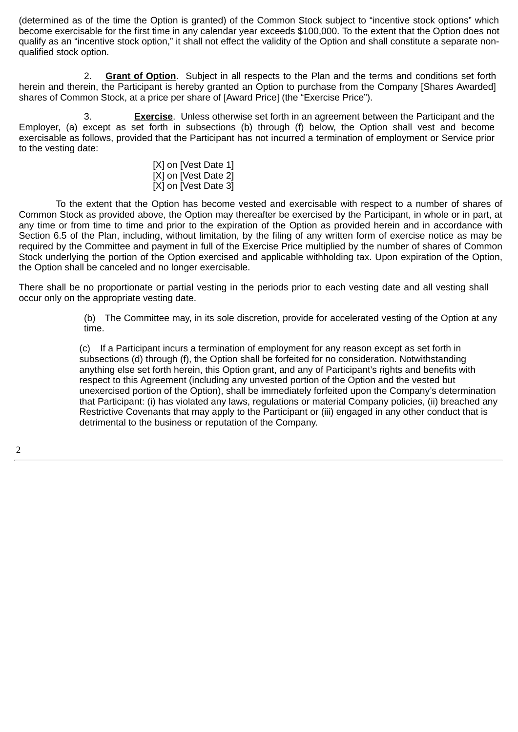(determined as of the time the Option is granted) of the Common Stock subject to "incentive stock options" which become exercisable for the first time in any calendar year exceeds \$100,000. To the extent that the Option does not qualify as an "incentive stock option," it shall not effect the validity of the Option and shall constitute a separate nonqualified stock option.

2. **Grant of Option**. Subject in all respects to the Plan and the terms and conditions set forth herein and therein, the Participant is hereby granted an Option to purchase from the Company [Shares Awarded] shares of Common Stock, at a price per share of [Award Price] (the "Exercise Price").

3. **Exercise**. Unless otherwise set forth in an agreement between the Participant and the Employer, (a) except as set forth in subsections (b) through (f) below, the Option shall vest and become exercisable as follows, provided that the Participant has not incurred a termination of employment or Service prior to the vesting date:

> [X] on [Vest Date 1] [X] on [Vest Date 2] [X] on [Vest Date 3]

To the extent that the Option has become vested and exercisable with respect to a number of shares of Common Stock as provided above, the Option may thereafter be exercised by the Participant, in whole or in part, at any time or from time to time and prior to the expiration of the Option as provided herein and in accordance with Section 6.5 of the Plan, including, without limitation, by the filing of any written form of exercise notice as may be required by the Committee and payment in full of the Exercise Price multiplied by the number of shares of Common Stock underlying the portion of the Option exercised and applicable withholding tax. Upon expiration of the Option, the Option shall be canceled and no longer exercisable.

There shall be no proportionate or partial vesting in the periods prior to each vesting date and all vesting shall occur only on the appropriate vesting date.

> (b) The Committee may, in its sole discretion, provide for accelerated vesting of the Option at any time.

(c) If a Participant incurs a termination of employment for any reason except as set forth in subsections (d) through (f), the Option shall be forfeited for no consideration. Notwithstanding anything else set forth herein, this Option grant, and any of Participant's rights and benefits with respect to this Agreement (including any unvested portion of the Option and the vested but unexercised portion of the Option), shall be immediately forfeited upon the Company's determination that Participant: (i) has violated any laws, regulations or material Company policies, (ii) breached any Restrictive Covenants that may apply to the Participant or (iii) engaged in any other conduct that is detrimental to the business or reputation of the Company.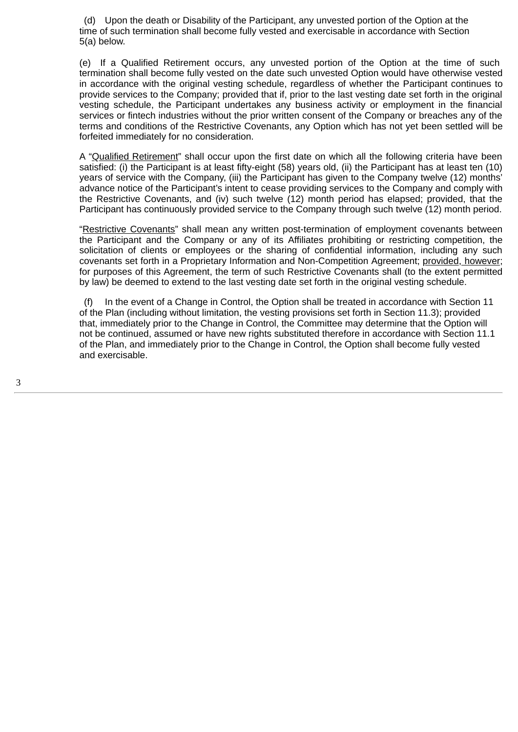(d) Upon the death or Disability of the Participant, any unvested portion of the Option at the time of such termination shall become fully vested and exercisable in accordance with Section 5(a) below.

(e) If a Qualified Retirement occurs, any unvested portion of the Option at the time of such termination shall become fully vested on the date such unvested Option would have otherwise vested in accordance with the original vesting schedule, regardless of whether the Participant continues to provide services to the Company; provided that if, prior to the last vesting date set forth in the original vesting schedule, the Participant undertakes any business activity or employment in the financial services or fintech industries without the prior written consent of the Company or breaches any of the terms and conditions of the Restrictive Covenants, any Option which has not yet been settled will be forfeited immediately for no consideration.

A "Qualified Retirement" shall occur upon the first date on which all the following criteria have been satisfied: (i) the Participant is at least fifty-eight (58) years old, (ii) the Participant has at least ten (10) years of service with the Company, (iii) the Participant has given to the Company twelve (12) months' advance notice of the Participant's intent to cease providing services to the Company and comply with the Restrictive Covenants, and (iv) such twelve (12) month period has elapsed; provided, that the Participant has continuously provided service to the Company through such twelve (12) month period.

"Restrictive Covenants" shall mean any written post-termination of employment covenants between the Participant and the Company or any of its Affiliates prohibiting or restricting competition, the solicitation of clients or employees or the sharing of confidential information, including any such covenants set forth in a Proprietary Information and Non-Competition Agreement; provided, however; for purposes of this Agreement, the term of such Restrictive Covenants shall (to the extent permitted by law) be deemed to extend to the last vesting date set forth in the original vesting schedule.

(f) In the event of a Change in Control, the Option shall be treated in accordance with Section 11 of the Plan (including without limitation, the vesting provisions set forth in Section 11.3); provided that, immediately prior to the Change in Control, the Committee may determine that the Option will not be continued, assumed or have new rights substituted therefore in accordance with Section 11.1 of the Plan, and immediately prior to the Change in Control, the Option shall become fully vested and exercisable.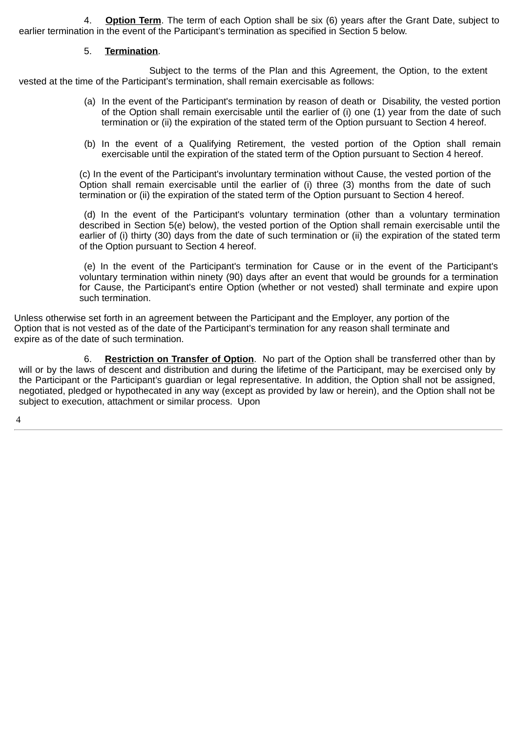4. **Option Term**. The term of each Option shall be six (6) years after the Grant Date, subject to earlier termination in the event of the Participant's termination as specified in Section 5 below.

# 5. **Termination**.

Subject to the terms of the Plan and this Agreement, the Option, to the extent vested at the time of the Participant's termination, shall remain exercisable as follows:

- (a) In the event of the Participant's termination by reason of death or Disability, the vested portion of the Option shall remain exercisable until the earlier of (i) one (1) year from the date of such termination or (ii) the expiration of the stated term of the Option pursuant to Section 4 hereof.
- (b) In the event of a Qualifying Retirement, the vested portion of the Option shall remain exercisable until the expiration of the stated term of the Option pursuant to Section 4 hereof.

(c) In the event of the Participant's involuntary termination without Cause, the vested portion of the Option shall remain exercisable until the earlier of (i) three (3) months from the date of such termination or (ii) the expiration of the stated term of the Option pursuant to Section 4 hereof.

(d) In the event of the Participant's voluntary termination (other than a voluntary termination described in Section 5(e) below), the vested portion of the Option shall remain exercisable until the earlier of (i) thirty (30) days from the date of such termination or (ii) the expiration of the stated term of the Option pursuant to Section 4 hereof.

(e) In the event of the Participant's termination for Cause or in the event of the Participant's voluntary termination within ninety (90) days after an event that would be grounds for a termination for Cause, the Participant's entire Option (whether or not vested) shall terminate and expire upon such termination.

Unless otherwise set forth in an agreement between the Participant and the Employer, any portion of the Option that is not vested as of the date of the Participant's termination for any reason shall terminate and expire as of the date of such termination.

6. **Restriction on Transfer of Option**. No part of the Option shall be transferred other than by will or by the laws of descent and distribution and during the lifetime of the Participant, may be exercised only by the Participant or the Participant's guardian or legal representative. In addition, the Option shall not be assigned, negotiated, pledged or hypothecated in any way (except as provided by law or herein), and the Option shall not be subject to execution, attachment or similar process. Upon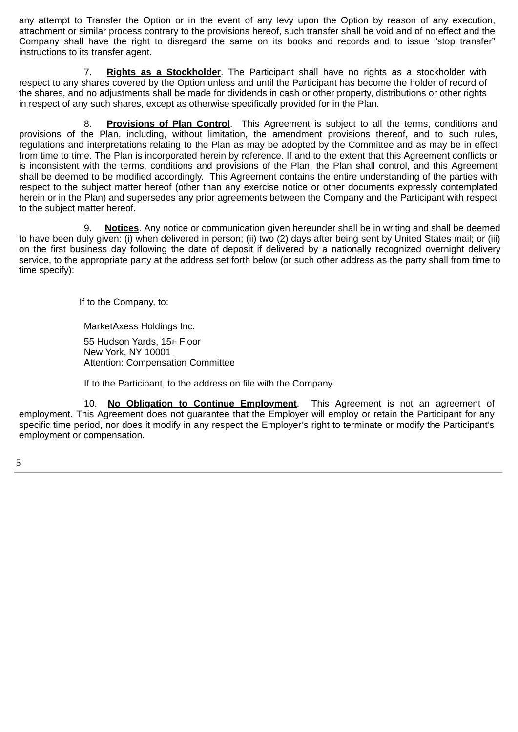any attempt to Transfer the Option or in the event of any levy upon the Option by reason of any execution, attachment or similar process contrary to the provisions hereof, such transfer shall be void and of no effect and the Company shall have the right to disregard the same on its books and records and to issue "stop transfer" instructions to its transfer agent.

7. **Rights as a Stockholder**. The Participant shall have no rights as a stockholder with respect to any shares covered by the Option unless and until the Participant has become the holder of record of the shares, and no adjustments shall be made for dividends in cash or other property, distributions or other rights in respect of any such shares, except as otherwise specifically provided for in the Plan.

8. **Provisions of Plan Control**. This Agreement is subject to all the terms, conditions and provisions of the Plan, including, without limitation, the amendment provisions thereof, and to such rules, regulations and interpretations relating to the Plan as may be adopted by the Committee and as may be in effect from time to time. The Plan is incorporated herein by reference. If and to the extent that this Agreement conflicts or is inconsistent with the terms, conditions and provisions of the Plan, the Plan shall control, and this Agreement shall be deemed to be modified accordingly. This Agreement contains the entire understanding of the parties with respect to the subject matter hereof (other than any exercise notice or other documents expressly contemplated herein or in the Plan) and supersedes any prior agreements between the Company and the Participant with respect to the subject matter hereof.

9. **Notices**. Any notice or communication given hereunder shall be in writing and shall be deemed to have been duly given: (i) when delivered in person; (ii) two (2) days after being sent by United States mail; or (iii) on the first business day following the date of deposit if delivered by a nationally recognized overnight delivery service, to the appropriate party at the address set forth below (or such other address as the party shall from time to time specify):

If to the Company, to:

MarketAxess Holdings Inc.

55 Hudson Yards, 15th Floor New York, NY 10001 Attention: Compensation Committee

If to the Participant, to the address on file with the Company.

10. **No Obligation to Continue Employment**. This Agreement is not an agreement of employment. This Agreement does not guarantee that the Employer will employ or retain the Participant for any specific time period, nor does it modify in any respect the Employer's right to terminate or modify the Participant's employment or compensation.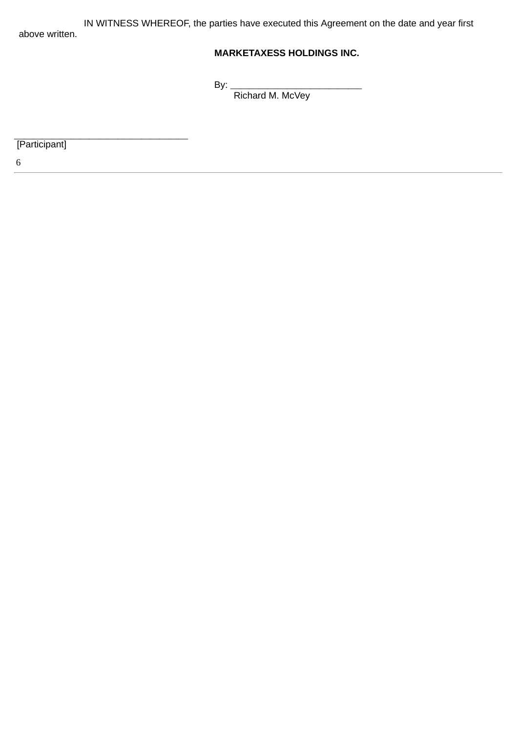IN WITNESS WHEREOF, the parties have executed this Agreement on the date and year first above written.

**MARKETAXESS HOLDINGS INC.**

By: \_\_\_\_\_\_\_\_\_\_\_\_\_\_\_\_\_\_\_\_\_\_\_\_\_\_\_\_

Richard M. McVey

\_\_\_\_\_\_\_\_\_\_\_\_\_\_\_\_\_\_\_\_\_\_\_\_\_\_\_\_\_\_\_\_\_\_\_\_\_ [Participant]

6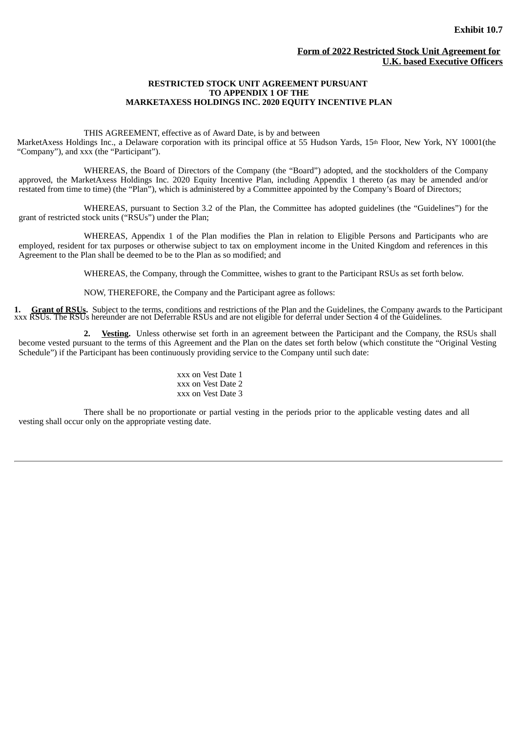### **Form of 2022 Restricted Stock Unit Agreement for U.K. based Executive Officers**

### **RESTRICTED STOCK UNIT AGREEMENT PURSUANT TO APPENDIX 1 OF THE MARKETAXESS HOLDINGS INC. 2020 EQUITY INCENTIVE PLAN**

THIS AGREEMENT, effective as of Award Date, is by and between

MarketAxess Holdings Inc., a Delaware corporation with its principal office at 55 Hudson Yards, 15th Floor, New York, NY 10001(the "Company"), and xxx (the "Participant").

WHEREAS, the Board of Directors of the Company (the "Board") adopted, and the stockholders of the Company approved, the MarketAxess Holdings Inc. 2020 Equity Incentive Plan, including Appendix 1 thereto (as may be amended and/or restated from time to time) (the "Plan"), which is administered by a Committee appointed by the Company's Board of Directors;

WHEREAS, pursuant to Section 3.2 of the Plan, the Committee has adopted guidelines (the "Guidelines") for the grant of restricted stock units ("RSUs") under the Plan;

WHEREAS, Appendix 1 of the Plan modifies the Plan in relation to Eligible Persons and Participants who are employed, resident for tax purposes or otherwise subject to tax on employment income in the United Kingdom and references in this Agreement to the Plan shall be deemed to be to the Plan as so modified; and

WHEREAS, the Company, through the Committee, wishes to grant to the Participant RSUs as set forth below.

NOW, THEREFORE, the Company and the Participant agree as follows:

**1. Grant of RSUs.** Subject to the terms, conditions and restrictions of the Plan and the Guidelines, the Company awards to the Participant xxx RSUs. The RSUs hereunder are not Deferrable RSUs and are not eligible for deferral under Section 4 of the Guidelines.

**2. Vesting.** Unless otherwise set forth in an agreement between the Participant and the Company, the RSUs shall become vested pursuant to the terms of this Agreement and the Plan on the dates set forth below (which constitute the "Original Vesting Schedule") if the Participant has been continuously providing service to the Company until such date:

> xxx on Vest Date 1 xxx on Vest Date 2 xxx on Vest Date 3

There shall be no proportionate or partial vesting in the periods prior to the applicable vesting dates and all vesting shall occur only on the appropriate vesting date.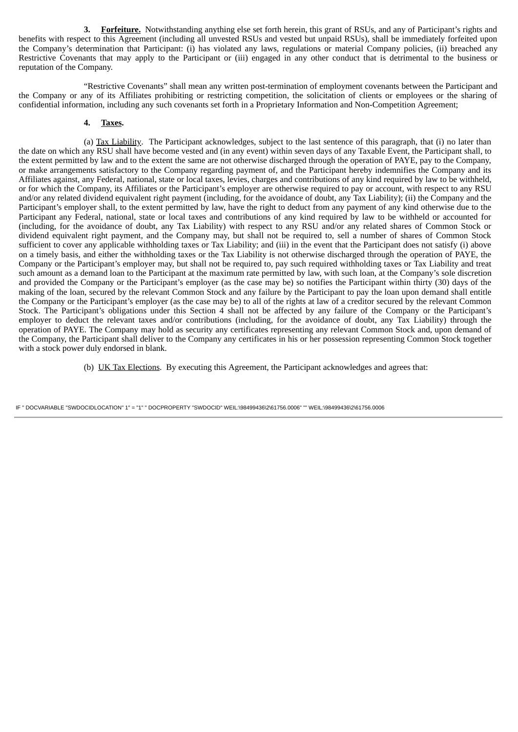**3. Forfeiture.** Notwithstanding anything else set forth herein, this grant of RSUs, and any of Participant's rights and benefits with respect to this Agreement (including all unvested RSUs and vested but unpaid RSUs), shall be immediately forfeited upon the Company's determination that Participant: (i) has violated any laws, regulations or material Company policies, (ii) breached any Restrictive Covenants that may apply to the Participant or (iii) engaged in any other conduct that is detrimental to the business or reputation of the Company.

"Restrictive Covenants" shall mean any written post-termination of employment covenants between the Participant and the Company or any of its Affiliates prohibiting or restricting competition, the solicitation of clients or employees or the sharing of confidential information, including any such covenants set forth in a Proprietary Information and Non-Competition Agreement;

### **4. Taxes.**

(a) Tax Liability. The Participant acknowledges, subject to the last sentence of this paragraph, that (i) no later than the date on which any RSU shall have become vested and (in any event) within seven days of any Taxable Event, the Participant shall, to the extent permitted by law and to the extent the same are not otherwise discharged through the operation of PAYE, pay to the Company, or make arrangements satisfactory to the Company regarding payment of, and the Participant hereby indemnifies the Company and its Affiliates against, any Federal, national, state or local taxes, levies, charges and contributions of any kind required by law to be withheld, or for which the Company, its Affiliates or the Participant's employer are otherwise required to pay or account, with respect to any RSU and/or any related dividend equivalent right payment (including, for the avoidance of doubt, any Tax Liability); (ii) the Company and the Participant's employer shall, to the extent permitted by law, have the right to deduct from any payment of any kind otherwise due to the Participant any Federal, national, state or local taxes and contributions of any kind required by law to be withheld or accounted for (including, for the avoidance of doubt, any Tax Liability) with respect to any RSU and/or any related shares of Common Stock or dividend equivalent right payment, and the Company may, but shall not be required to, sell a number of shares of Common Stock sufficient to cover any applicable withholding taxes or Tax Liability; and (iii) in the event that the Participant does not satisfy (i) above on a timely basis, and either the withholding taxes or the Tax Liability is not otherwise discharged through the operation of PAYE, the Company or the Participant's employer may, but shall not be required to, pay such required withholding taxes or Tax Liability and treat such amount as a demand loan to the Participant at the maximum rate permitted by law, with such loan, at the Company's sole discretion and provided the Company or the Participant's employer (as the case may be) so notifies the Participant within thirty (30) days of the making of the loan, secured by the relevant Common Stock and any failure by the Participant to pay the loan upon demand shall entitle the Company or the Participant's employer (as the case may be) to all of the rights at law of a creditor secured by the relevant Common Stock. The Participant's obligations under this Section 4 shall not be affected by any failure of the Company or the Participant's employer to deduct the relevant taxes and/or contributions (including, for the avoidance of doubt, any Tax Liability) through the operation of PAYE. The Company may hold as security any certificates representing any relevant Common Stock and, upon demand of the Company, the Participant shall deliver to the Company any certificates in his or her possession representing Common Stock together with a stock power duly endorsed in blank.

(b) UK Tax Elections. By executing this Agreement, the Participant acknowledges and agrees that: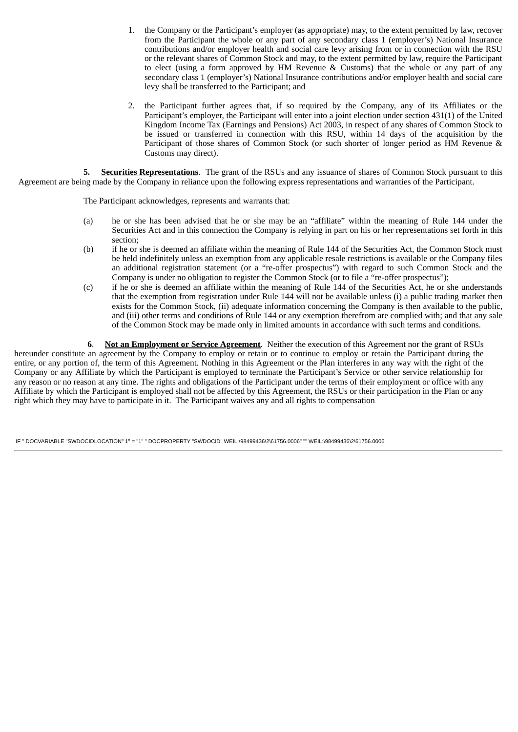- 1. the Company or the Participant's employer (as appropriate) may, to the extent permitted by law, recover from the Participant the whole or any part of any secondary class 1 (employer's) National Insurance contributions and/or employer health and social care levy arising from or in connection with the RSU or the relevant shares of Common Stock and may, to the extent permitted by law, require the Participant to elect (using a form approved by HM Revenue & Customs) that the whole or any part of any secondary class 1 (employer's) National Insurance contributions and/or employer health and social care levy shall be transferred to the Participant; and
- 2. the Participant further agrees that, if so required by the Company, any of its Affiliates or the Participant's employer, the Participant will enter into a joint election under section 431(1) of the United Kingdom Income Tax (Earnings and Pensions) Act 2003, in respect of any shares of Common Stock to be issued or transferred in connection with this RSU, within 14 days of the acquisition by the Participant of those shares of Common Stock (or such shorter of longer period as HM Revenue & Customs may direct).

**5. Securities Representations**. The grant of the RSUs and any issuance of shares of Common Stock pursuant to this Agreement are being made by the Company in reliance upon the following express representations and warranties of the Participant.

The Participant acknowledges, represents and warrants that:

- (a) he or she has been advised that he or she may be an "affiliate" within the meaning of Rule 144 under the Securities Act and in this connection the Company is relying in part on his or her representations set forth in this section;
- (b) if he or she is deemed an affiliate within the meaning of Rule 144 of the Securities Act, the Common Stock must be held indefinitely unless an exemption from any applicable resale restrictions is available or the Company files an additional registration statement (or a "re-offer prospectus") with regard to such Common Stock and the Company is under no obligation to register the Common Stock (or to file a "re-offer prospectus");
- (c) if he or she is deemed an affiliate within the meaning of Rule 144 of the Securities Act, he or she understands that the exemption from registration under Rule 144 will not be available unless (i) a public trading market then exists for the Common Stock, (ii) adequate information concerning the Company is then available to the public, and (iii) other terms and conditions of Rule 144 or any exemption therefrom are complied with; and that any sale of the Common Stock may be made only in limited amounts in accordance with such terms and conditions.

**6**. **Not an Employment or Service Agreement**. Neither the execution of this Agreement nor the grant of RSUs hereunder constitute an agreement by the Company to employ or retain or to continue to employ or retain the Participant during the entire, or any portion of, the term of this Agreement. Nothing in this Agreement or the Plan interferes in any way with the right of the Company or any Affiliate by which the Participant is employed to terminate the Participant's Service or other service relationship for any reason or no reason at any time. The rights and obligations of the Participant under the terms of their employment or office with any Affiliate by which the Participant is employed shall not be affected by this Agreement, the RSUs or their participation in the Plan or any right which they may have to participate in it. The Participant waives any and all rights to compensation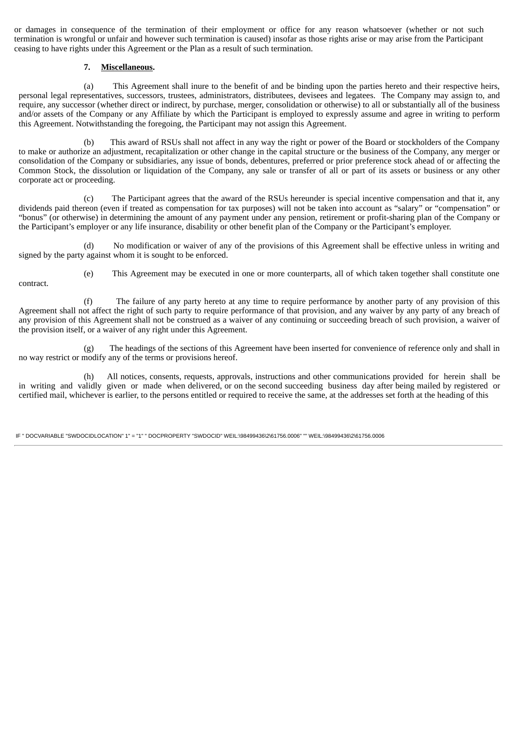or damages in consequence of the termination of their employment or office for any reason whatsoever (whether or not such termination is wrongful or unfair and however such termination is caused) insofar as those rights arise or may arise from the Participant ceasing to have rights under this Agreement or the Plan as a result of such termination.

### **7. Miscellaneous.**

(a) This Agreement shall inure to the benefit of and be binding upon the parties hereto and their respective heirs, personal legal representatives, successors, trustees, administrators, distributees, devisees and legatees. The Company may assign to, and require, any successor (whether direct or indirect, by purchase, merger, consolidation or otherwise) to all or substantially all of the business and/or assets of the Company or any Affiliate by which the Participant is employed to expressly assume and agree in writing to perform this Agreement. Notwithstanding the foregoing, the Participant may not assign this Agreement.

(b) This award of RSUs shall not affect in any way the right or power of the Board or stockholders of the Company to make or authorize an adjustment, recapitalization or other change in the capital structure or the business of the Company, any merger or consolidation of the Company or subsidiaries, any issue of bonds, debentures, preferred or prior preference stock ahead of or affecting the Common Stock, the dissolution or liquidation of the Company, any sale or transfer of all or part of its assets or business or any other corporate act or proceeding.

(c) The Participant agrees that the award of the RSUs hereunder is special incentive compensation and that it, any dividends paid thereon (even if treated as compensation for tax purposes) will not be taken into account as "salary" or "compensation" or "bonus" (or otherwise) in determining the amount of any payment under any pension, retirement or profit-sharing plan of the Company or the Participant's employer or any life insurance, disability or other benefit plan of the Company or the Participant's employer.

(d) No modification or waiver of any of the provisions of this Agreement shall be effective unless in writing and signed by the party against whom it is sought to be enforced.

contract.

(f) The failure of any party hereto at any time to require performance by another party of any provision of this Agreement shall not affect the right of such party to require performance of that provision, and any waiver by any party of any breach of

(e) This Agreement may be executed in one or more counterparts, all of which taken together shall constitute one

any provision of this Agreement shall not be construed as a waiver of any continuing or succeeding breach of such provision, a waiver of the provision itself, or a waiver of any right under this Agreement.

(g) The headings of the sections of this Agreement have been inserted for convenience of reference only and shall in no way restrict or modify any of the terms or provisions hereof.

(h) All notices, consents, requests, approvals, instructions and other communications provided for herein shall be in writing and validly given or made when delivered, or on the second succeeding business day after being mailed by registered or certified mail, whichever is earlier, to the persons entitled or required to receive the same, at the addresses set forth at the heading of this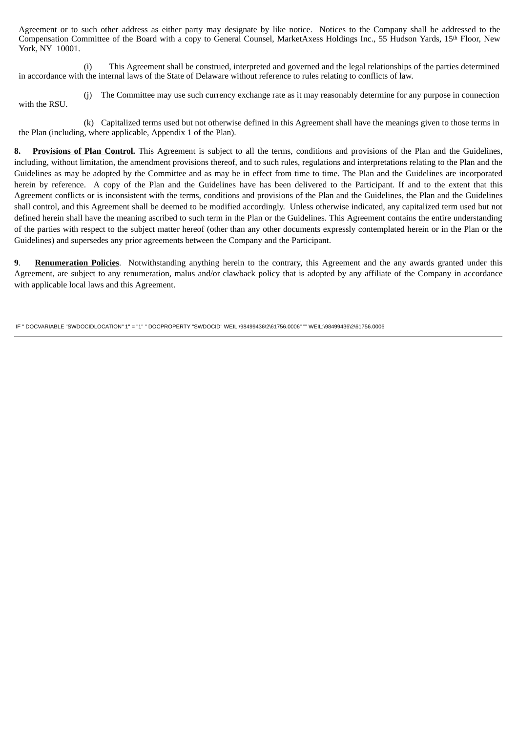Agreement or to such other address as either party may designate by like notice. Notices to the Company shall be addressed to the Compensation Committee of the Board with a copy to General Counsel, MarketAxess Holdings Inc., 55 Hudson Yards, 15<sup>th</sup> Floor, New York, NY 10001.

(i) This Agreement shall be construed, interpreted and governed and the legal relationships of the parties determined in accordance with the internal laws of the State of Delaware without reference to rules relating to conflicts of law.

(j) The Committee may use such currency exchange rate as it may reasonably determine for any purpose in connection with the RSU.

(k) Capitalized terms used but not otherwise defined in this Agreement shall have the meanings given to those terms in the Plan (including, where applicable, Appendix 1 of the Plan).

**8. Provisions of Plan Control.** This Agreement is subject to all the terms, conditions and provisions of the Plan and the Guidelines, including, without limitation, the amendment provisions thereof, and to such rules, regulations and interpretations relating to the Plan and the Guidelines as may be adopted by the Committee and as may be in effect from time to time. The Plan and the Guidelines are incorporated herein by reference. A copy of the Plan and the Guidelines have has been delivered to the Participant. If and to the extent that this Agreement conflicts or is inconsistent with the terms, conditions and provisions of the Plan and the Guidelines, the Plan and the Guidelines shall control, and this Agreement shall be deemed to be modified accordingly. Unless otherwise indicated, any capitalized term used but not defined herein shall have the meaning ascribed to such term in the Plan or the Guidelines. This Agreement contains the entire understanding of the parties with respect to the subject matter hereof (other than any other documents expressly contemplated herein or in the Plan or the Guidelines) and supersedes any prior agreements between the Company and the Participant.

**9**. **Renumeration Policies**. Notwithstanding anything herein to the contrary, this Agreement and the any awards granted under this Agreement, are subject to any renumeration, malus and/or clawback policy that is adopted by any affiliate of the Company in accordance with applicable local laws and this Agreement.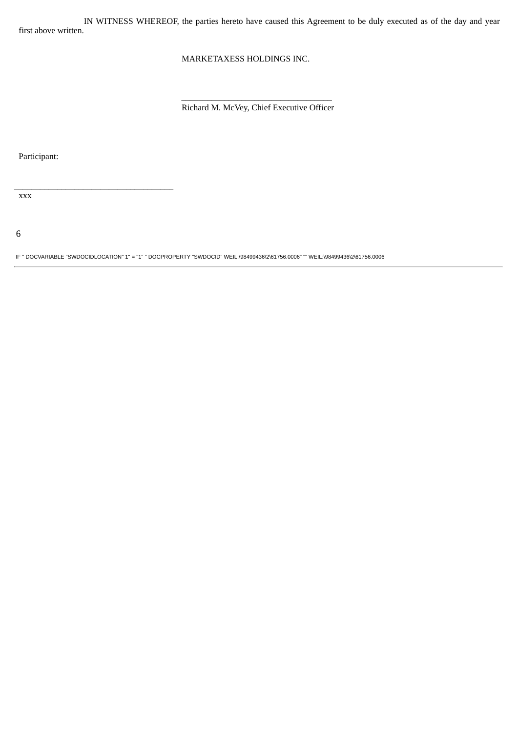IN WITNESS WHEREOF, the parties hereto have caused this Agreement to be duly executed as of the day and year first above written.

## MARKETAXESS HOLDINGS INC.

 $\frac{1}{2}$  ,  $\frac{1}{2}$  ,  $\frac{1}{2}$  ,  $\frac{1}{2}$  ,  $\frac{1}{2}$  ,  $\frac{1}{2}$  ,  $\frac{1}{2}$  ,  $\frac{1}{2}$  ,  $\frac{1}{2}$  ,  $\frac{1}{2}$  ,  $\frac{1}{2}$  ,  $\frac{1}{2}$  ,  $\frac{1}{2}$  ,  $\frac{1}{2}$  ,  $\frac{1}{2}$  ,  $\frac{1}{2}$  ,  $\frac{1}{2}$  ,  $\frac{1}{2}$  ,  $\frac{1$ Richard M. McVey, Chief Executive Officer

Participant:

\_\_\_\_\_\_\_\_\_\_\_\_\_\_\_\_\_\_\_\_\_\_\_\_\_\_\_\_\_\_\_\_\_\_\_\_\_

xxx

6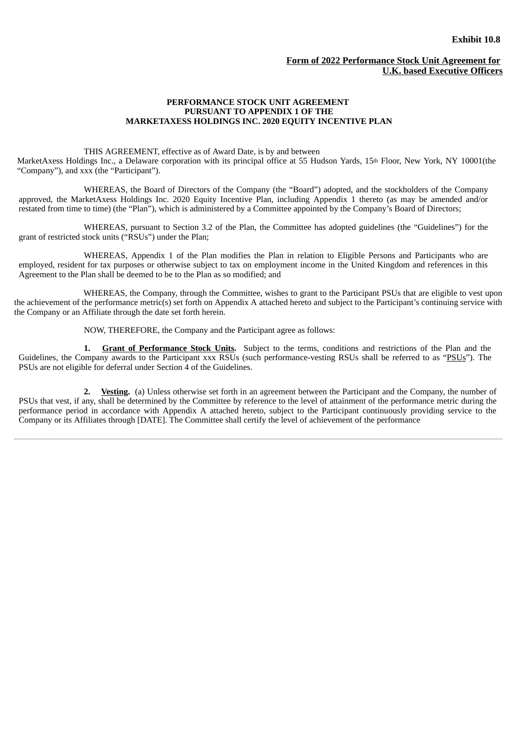## **Form of 2022 Performance Stock Unit Agreement for U.K. based Executive Officers**

### **PERFORMANCE STOCK UNIT AGREEMENT PURSUANT TO APPENDIX 1 OF THE MARKETAXESS HOLDINGS INC. 2020 EQUITY INCENTIVE PLAN**

THIS AGREEMENT, effective as of Award Date, is by and between MarketAxess Holdings Inc., a Delaware corporation with its principal office at 55 Hudson Yards, 15th Floor, New York, NY 10001(the "Company"), and xxx (the "Participant").

WHEREAS, the Board of Directors of the Company (the "Board") adopted, and the stockholders of the Company approved, the MarketAxess Holdings Inc. 2020 Equity Incentive Plan, including Appendix 1 thereto (as may be amended and/or restated from time to time) (the "Plan"), which is administered by a Committee appointed by the Company's Board of Directors;

WHEREAS, pursuant to Section 3.2 of the Plan, the Committee has adopted guidelines (the "Guidelines") for the grant of restricted stock units ("RSUs") under the Plan;

WHEREAS, Appendix 1 of the Plan modifies the Plan in relation to Eligible Persons and Participants who are employed, resident for tax purposes or otherwise subject to tax on employment income in the United Kingdom and references in this Agreement to the Plan shall be deemed to be to the Plan as so modified; and

WHEREAS, the Company, through the Committee, wishes to grant to the Participant PSUs that are eligible to vest upon the achievement of the performance metric(s) set forth on Appendix A attached hereto and subject to the Participant's continuing service with the Company or an Affiliate through the date set forth herein.

NOW, THEREFORE, the Company and the Participant agree as follows:

**1. Grant of Performance Stock Units.** Subject to the terms, conditions and restrictions of the Plan and the Guidelines, the Company awards to the Participant xxx RSUs (such performance-vesting RSUs shall be referred to as "PSUs"). The PSUs are not eligible for deferral under Section 4 of the Guidelines.

**2. Vesting.** (a) Unless otherwise set forth in an agreement between the Participant and the Company, the number of PSUs that vest, if any, shall be determined by the Committee by reference to the level of attainment of the performance metric during the performance period in accordance with Appendix A attached hereto, subject to the Participant continuously providing service to the Company or its Affiliates through [DATE]. The Committee shall certify the level of achievement of the performance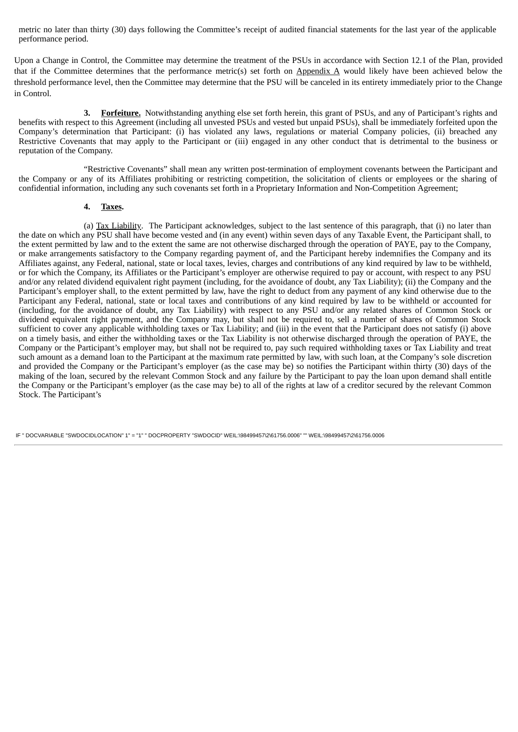metric no later than thirty (30) days following the Committee's receipt of audited financial statements for the last year of the applicable performance period.

Upon a Change in Control, the Committee may determine the treatment of the PSUs in accordance with Section 12.1 of the Plan, provided that if the Committee determines that the performance metric(s) set forth on Appendix A would likely have been achieved below the threshold performance level, then the Committee may determine that the PSU will be canceled in its entirety immediately prior to the Change in Control.

**3. Forfeiture.** Notwithstanding anything else set forth herein, this grant of PSUs, and any of Participant's rights and benefits with respect to this Agreement (including all unvested PSUs and vested but unpaid PSUs), shall be immediately forfeited upon the Company's determination that Participant: (i) has violated any laws, regulations or material Company policies, (ii) breached any Restrictive Covenants that may apply to the Participant or (iii) engaged in any other conduct that is detrimental to the business or reputation of the Company.

"Restrictive Covenants" shall mean any written post-termination of employment covenants between the Participant and the Company or any of its Affiliates prohibiting or restricting competition, the solicitation of clients or employees or the sharing of confidential information, including any such covenants set forth in a Proprietary Information and Non-Competition Agreement;

### **4. Taxes.**

(a) Tax Liability. The Participant acknowledges, subject to the last sentence of this paragraph, that (i) no later than the date on which any PSU shall have become vested and (in any event) within seven days of any Taxable Event, the Participant shall, to the extent permitted by law and to the extent the same are not otherwise discharged through the operation of PAYE, pay to the Company, or make arrangements satisfactory to the Company regarding payment of, and the Participant hereby indemnifies the Company and its Affiliates against, any Federal, national, state or local taxes, levies, charges and contributions of any kind required by law to be withheld, or for which the Company, its Affiliates or the Participant's employer are otherwise required to pay or account, with respect to any PSU and/or any related dividend equivalent right payment (including, for the avoidance of doubt, any Tax Liability); (ii) the Company and the Participant's employer shall, to the extent permitted by law, have the right to deduct from any payment of any kind otherwise due to the Participant any Federal, national, state or local taxes and contributions of any kind required by law to be withheld or accounted for (including, for the avoidance of doubt, any Tax Liability) with respect to any PSU and/or any related shares of Common Stock or dividend equivalent right payment, and the Company may, but shall not be required to, sell a number of shares of Common Stock sufficient to cover any applicable withholding taxes or Tax Liability; and (iii) in the event that the Participant does not satisfy (i) above on a timely basis, and either the withholding taxes or the Tax Liability is not otherwise discharged through the operation of PAYE, the Company or the Participant's employer may, but shall not be required to, pay such required withholding taxes or Tax Liability and treat such amount as a demand loan to the Participant at the maximum rate permitted by law, with such loan, at the Company's sole discretion and provided the Company or the Participant's employer (as the case may be) so notifies the Participant within thirty (30) days of the making of the loan, secured by the relevant Common Stock and any failure by the Participant to pay the loan upon demand shall entitle the Company or the Participant's employer (as the case may be) to all of the rights at law of a creditor secured by the relevant Common Stock. The Participant's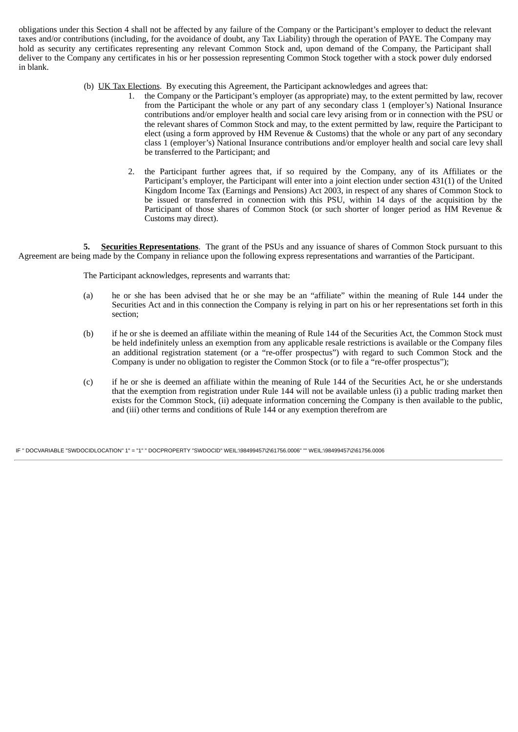obligations under this Section 4 shall not be affected by any failure of the Company or the Participant's employer to deduct the relevant taxes and/or contributions (including, for the avoidance of doubt, any Tax Liability) through the operation of PAYE. The Company may hold as security any certificates representing any relevant Common Stock and, upon demand of the Company, the Participant shall deliver to the Company any certificates in his or her possession representing Common Stock together with a stock power duly endorsed in blank.

- (b) UK Tax Elections. By executing this Agreement, the Participant acknowledges and agrees that:
	- 1. the Company or the Participant's employer (as appropriate) may, to the extent permitted by law, recover from the Participant the whole or any part of any secondary class 1 (employer's) National Insurance contributions and/or employer health and social care levy arising from or in connection with the PSU or the relevant shares of Common Stock and may, to the extent permitted by law, require the Participant to elect (using a form approved by HM Revenue & Customs) that the whole or any part of any secondary class 1 (employer's) National Insurance contributions and/or employer health and social care levy shall be transferred to the Participant; and
		- 2. the Participant further agrees that, if so required by the Company, any of its Affiliates or the Participant's employer, the Participant will enter into a joint election under section 431(1) of the United Kingdom Income Tax (Earnings and Pensions) Act 2003, in respect of any shares of Common Stock to be issued or transferred in connection with this PSU, within 14 days of the acquisition by the Participant of those shares of Common Stock (or such shorter of longer period as HM Revenue & Customs may direct).

**5. Securities Representations**. The grant of the PSUs and any issuance of shares of Common Stock pursuant to this Agreement are being made by the Company in reliance upon the following express representations and warranties of the Participant.

The Participant acknowledges, represents and warrants that:

- (a) he or she has been advised that he or she may be an "affiliate" within the meaning of Rule 144 under the Securities Act and in this connection the Company is relying in part on his or her representations set forth in this section;
- (b) if he or she is deemed an affiliate within the meaning of Rule 144 of the Securities Act, the Common Stock must be held indefinitely unless an exemption from any applicable resale restrictions is available or the Company files an additional registration statement (or a "re-offer prospectus") with regard to such Common Stock and the Company is under no obligation to register the Common Stock (or to file a "re-offer prospectus");
- (c) if he or she is deemed an affiliate within the meaning of Rule 144 of the Securities Act, he or she understands that the exemption from registration under Rule 144 will not be available unless (i) a public trading market then exists for the Common Stock, (ii) adequate information concerning the Company is then available to the public, and (iii) other terms and conditions of Rule 144 or any exemption therefrom are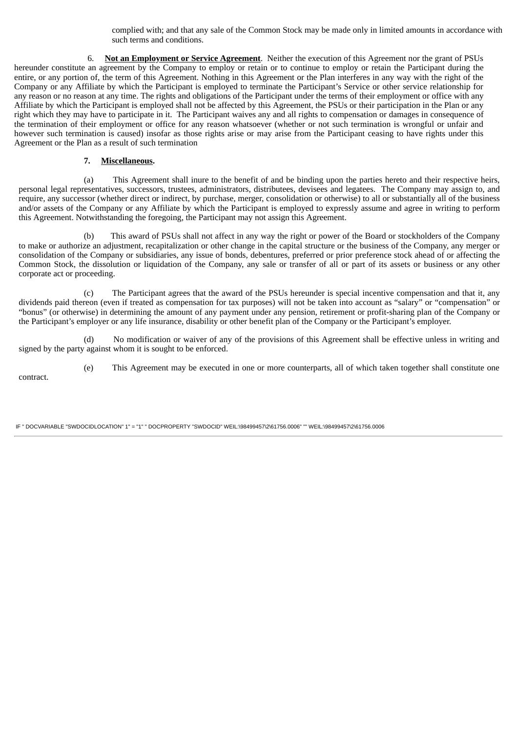complied with; and that any sale of the Common Stock may be made only in limited amounts in accordance with such terms and conditions.

6. **Not an Employment or Service Agreement**. Neither the execution of this Agreement nor the grant of PSUs hereunder constitute an agreement by the Company to employ or retain or to continue to employ or retain the Participant during the entire, or any portion of, the term of this Agreement. Nothing in this Agreement or the Plan interferes in any way with the right of the Company or any Affiliate by which the Participant is employed to terminate the Participant's Service or other service relationship for any reason or no reason at any time. The rights and obligations of the Participant under the terms of their employment or office with any Affiliate by which the Participant is employed shall not be affected by this Agreement, the PSUs or their participation in the Plan or any right which they may have to participate in it. The Participant waives any and all rights to compensation or damages in consequence of the termination of their employment or office for any reason whatsoever (whether or not such termination is wrongful or unfair and however such termination is caused) insofar as those rights arise or may arise from the Participant ceasing to have rights under this Agreement or the Plan as a result of such termination

### **7. Miscellaneous.**

(a) This Agreement shall inure to the benefit of and be binding upon the parties hereto and their respective heirs, personal legal representatives, successors, trustees, administrators, distributees, devisees and legatees. The Company may assign to, and require, any successor (whether direct or indirect, by purchase, merger, consolidation or otherwise) to all or substantially all of the business and/or assets of the Company or any Affiliate by which the Participant is employed to expressly assume and agree in writing to perform this Agreement. Notwithstanding the foregoing, the Participant may not assign this Agreement.

(b) This award of PSUs shall not affect in any way the right or power of the Board or stockholders of the Company to make or authorize an adjustment, recapitalization or other change in the capital structure or the business of the Company, any merger or consolidation of the Company or subsidiaries, any issue of bonds, debentures, preferred or prior preference stock ahead of or affecting the Common Stock, the dissolution or liquidation of the Company, any sale or transfer of all or part of its assets or business or any other corporate act or proceeding.

(c) The Participant agrees that the award of the PSUs hereunder is special incentive compensation and that it, any dividends paid thereon (even if treated as compensation for tax purposes) will not be taken into account as "salary" or "compensation" or "bonus" (or otherwise) in determining the amount of any payment under any pension, retirement or profit-sharing plan of the Company or the Participant's employer or any life insurance, disability or other benefit plan of the Company or the Participant's employer.

(d) No modification or waiver of any of the provisions of this Agreement shall be effective unless in writing and signed by the party against whom it is sought to be enforced.

contract.

(e) This Agreement may be executed in one or more counterparts, all of which taken together shall constitute one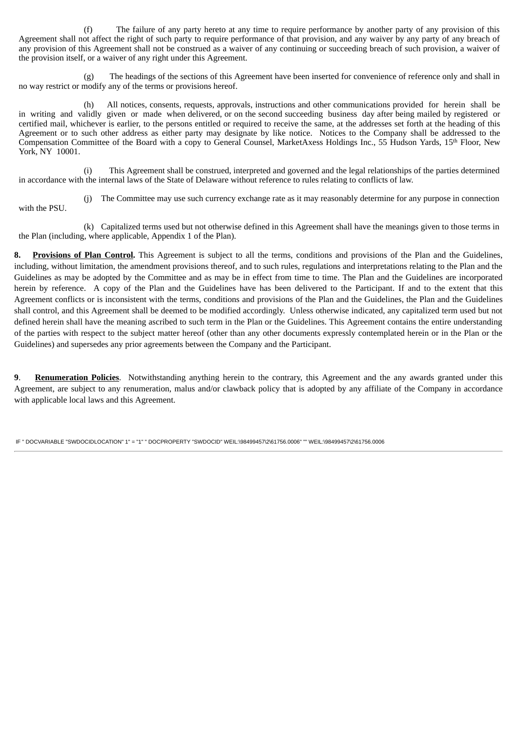(f) The failure of any party hereto at any time to require performance by another party of any provision of this Agreement shall not affect the right of such party to require performance of that provision, and any waiver by any party of any breach of any provision of this Agreement shall not be construed as a waiver of any continuing or succeeding breach of such provision, a waiver of the provision itself, or a waiver of any right under this Agreement.

(g) The headings of the sections of this Agreement have been inserted for convenience of reference only and shall in no way restrict or modify any of the terms or provisions hereof.

(h) All notices, consents, requests, approvals, instructions and other communications provided for herein shall be in writing and validly given or made when delivered, or on the second succeeding business day after being mailed by registered or certified mail, whichever is earlier, to the persons entitled or required to receive the same, at the addresses set forth at the heading of this Agreement or to such other address as either party may designate by like notice. Notices to the Company shall be addressed to the Compensation Committee of the Board with a copy to General Counsel, MarketAxess Holdings Inc., 55 Hudson Yards, 15<sup>th</sup> Floor, New York, NY 10001.

(i) This Agreement shall be construed, interpreted and governed and the legal relationships of the parties determined in accordance with the internal laws of the State of Delaware without reference to rules relating to conflicts of law.

with the PSU.

(j) The Committee may use such currency exchange rate as it may reasonably determine for any purpose in connection

(k) Capitalized terms used but not otherwise defined in this Agreement shall have the meanings given to those terms in the Plan (including, where applicable, Appendix 1 of the Plan).

**8. Provisions of Plan Control.** This Agreement is subject to all the terms, conditions and provisions of the Plan and the Guidelines, including, without limitation, the amendment provisions thereof, and to such rules, regulations and interpretations relating to the Plan and the Guidelines as may be adopted by the Committee and as may be in effect from time to time. The Plan and the Guidelines are incorporated herein by reference. A copy of the Plan and the Guidelines have has been delivered to the Participant. If and to the extent that this Agreement conflicts or is inconsistent with the terms, conditions and provisions of the Plan and the Guidelines, the Plan and the Guidelines shall control, and this Agreement shall be deemed to be modified accordingly. Unless otherwise indicated, any capitalized term used but not defined herein shall have the meaning ascribed to such term in the Plan or the Guidelines. This Agreement contains the entire understanding of the parties with respect to the subject matter hereof (other than any other documents expressly contemplated herein or in the Plan or the Guidelines) and supersedes any prior agreements between the Company and the Participant.

**9**. **Renumeration Policies**. Notwithstanding anything herein to the contrary, this Agreement and the any awards granted under this Agreement, are subject to any renumeration, malus and/or clawback policy that is adopted by any affiliate of the Company in accordance with applicable local laws and this Agreement.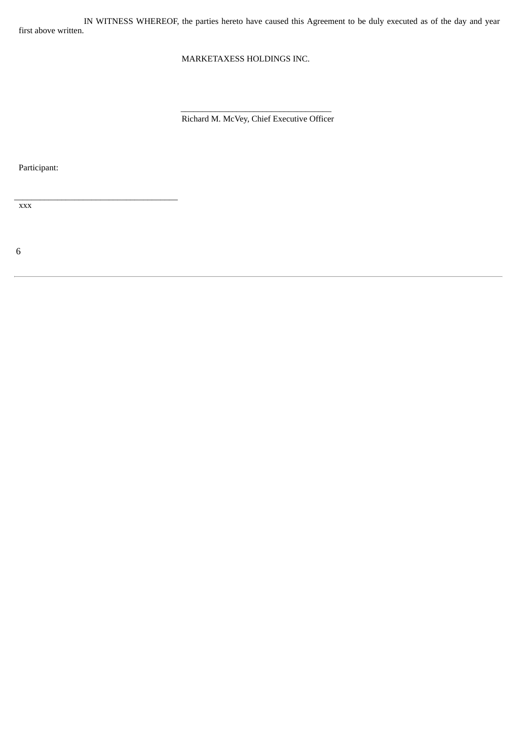IN WITNESS WHEREOF, the parties hereto have caused this Agreement to be duly executed as of the day and year first above written.

## MARKETAXESS HOLDINGS INC.

\_\_\_\_\_\_\_\_\_\_\_\_\_\_\_\_\_\_\_\_\_\_\_\_\_\_\_\_\_\_\_\_\_\_\_ Richard M. McVey, Chief Executive Officer

Participant:

\_\_\_\_\_\_\_\_\_\_\_\_\_\_\_\_\_\_\_\_\_\_\_\_\_\_\_\_\_\_\_\_\_\_\_\_\_\_

xxx

6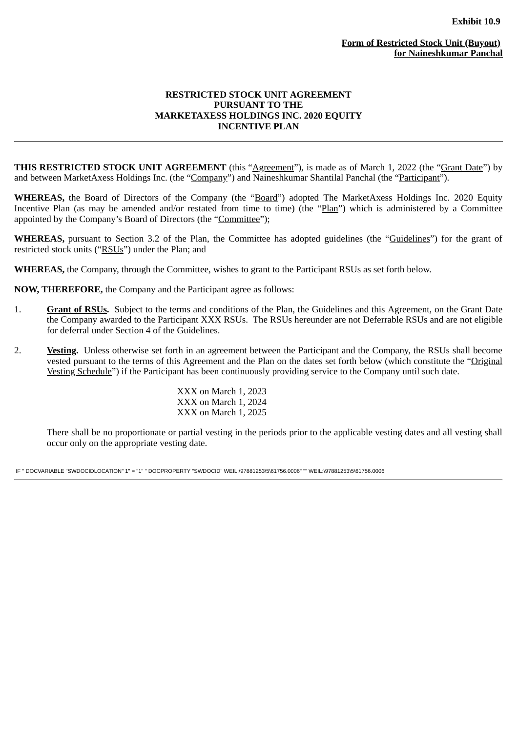### **RESTRICTED STOCK UNIT AGREEMENT PURSUANT TO THE MARKETAXESS HOLDINGS INC. 2020 EQUITY INCENTIVE PLAN**

**THIS RESTRICTED STOCK UNIT AGREEMENT** (this "Agreement"), is made as of March 1, 2022 (the "Grant Date") by and between MarketAxess Holdings Inc. (the "Company") and Naineshkumar Shantilal Panchal (the "Participant").

**WHEREAS,** the Board of Directors of the Company (the "Board") adopted The MarketAxess Holdings Inc. 2020 Equity Incentive Plan (as may be amended and/or restated from time to time) (the "Plan") which is administered by a Committee appointed by the Company's Board of Directors (the "Committee");

**WHEREAS,** pursuant to Section 3.2 of the Plan, the Committee has adopted guidelines (the "Guidelines") for the grant of restricted stock units ("RSUs") under the Plan; and

**WHEREAS,** the Company, through the Committee, wishes to grant to the Participant RSUs as set forth below.

**NOW, THEREFORE,** the Company and the Participant agree as follows:

- 1. **Grant of RSUs.** Subject to the terms and conditions of the Plan, the Guidelines and this Agreement, on the Grant Date the Company awarded to the Participant XXX RSUs. The RSUs hereunder are not Deferrable RSUs and are not eligible for deferral under Section 4 of the Guidelines.
- 2. **Vesting.** Unless otherwise set forth in an agreement between the Participant and the Company, the RSUs shall become vested pursuant to the terms of this Agreement and the Plan on the dates set forth below (which constitute the "Original Vesting Schedule") if the Participant has been continuously providing service to the Company until such date.

XXX on March 1, 2023 XXX on March 1, 2024 XXX on March 1, 2025

There shall be no proportionate or partial vesting in the periods prior to the applicable vesting dates and all vesting shall occur only on the appropriate vesting date.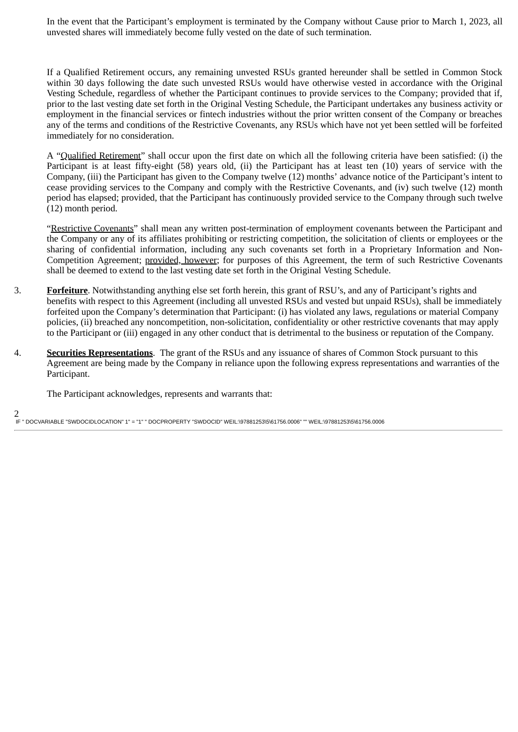In the event that the Participant's employment is terminated by the Company without Cause prior to March 1, 2023, all unvested shares will immediately become fully vested on the date of such termination.

If a Qualified Retirement occurs, any remaining unvested RSUs granted hereunder shall be settled in Common Stock within 30 days following the date such unvested RSUs would have otherwise vested in accordance with the Original Vesting Schedule, regardless of whether the Participant continues to provide services to the Company; provided that if, prior to the last vesting date set forth in the Original Vesting Schedule, the Participant undertakes any business activity or employment in the financial services or fintech industries without the prior written consent of the Company or breaches any of the terms and conditions of the Restrictive Covenants, any RSUs which have not yet been settled will be forfeited immediately for no consideration.

A "Qualified Retirement" shall occur upon the first date on which all the following criteria have been satisfied: (i) the Participant is at least fifty-eight (58) years old, (ii) the Participant has at least ten (10) years of service with the Company, (iii) the Participant has given to the Company twelve (12) months' advance notice of the Participant's intent to cease providing services to the Company and comply with the Restrictive Covenants, and (iv) such twelve (12) month period has elapsed; provided, that the Participant has continuously provided service to the Company through such twelve (12) month period.

"Restrictive Covenants" shall mean any written post-termination of employment covenants between the Participant and the Company or any of its affiliates prohibiting or restricting competition, the solicitation of clients or employees or the sharing of confidential information, including any such covenants set forth in a Proprietary Information and Non-Competition Agreement; provided, however; for purposes of this Agreement, the term of such Restrictive Covenants shall be deemed to extend to the last vesting date set forth in the Original Vesting Schedule.

- 3. **Forfeiture**. Notwithstanding anything else set forth herein, this grant of RSU's, and any of Participant's rights and benefits with respect to this Agreement (including all unvested RSUs and vested but unpaid RSUs), shall be immediately forfeited upon the Company's determination that Participant: (i) has violated any laws, regulations or material Company policies, (ii) breached any noncompetition, non-solicitation, confidentiality or other restrictive covenants that may apply to the Participant or (iii) engaged in any other conduct that is detrimental to the business or reputation of the Company.
- 4. **Securities Representations**. The grant of the RSUs and any issuance of shares of Common Stock pursuant to this Agreement are being made by the Company in reliance upon the following express representations and warranties of the Participant.

The Participant acknowledges, represents and warrants that: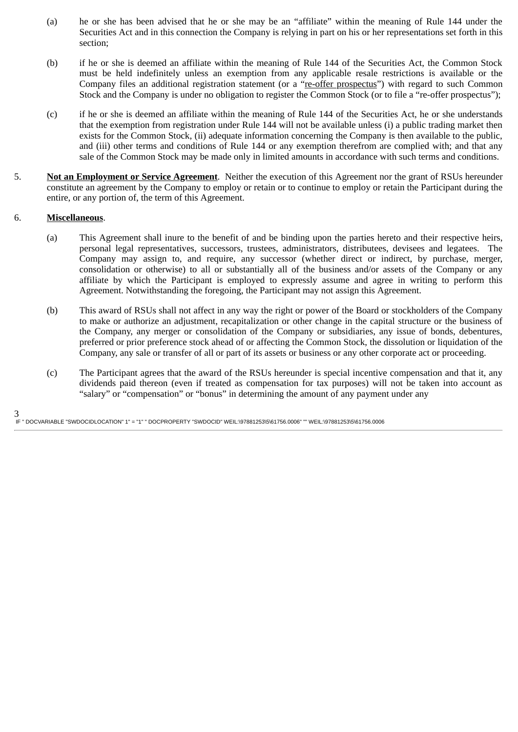- (a) he or she has been advised that he or she may be an "affiliate" within the meaning of Rule 144 under the Securities Act and in this connection the Company is relying in part on his or her representations set forth in this section;
- (b) if he or she is deemed an affiliate within the meaning of Rule 144 of the Securities Act, the Common Stock must be held indefinitely unless an exemption from any applicable resale restrictions is available or the Company files an additional registration statement (or a "re-offer prospectus") with regard to such Common Stock and the Company is under no obligation to register the Common Stock (or to file a "re-offer prospectus");
- (c) if he or she is deemed an affiliate within the meaning of Rule 144 of the Securities Act, he or she understands that the exemption from registration under Rule 144 will not be available unless (i) a public trading market then exists for the Common Stock, (ii) adequate information concerning the Company is then available to the public, and (iii) other terms and conditions of Rule 144 or any exemption therefrom are complied with; and that any sale of the Common Stock may be made only in limited amounts in accordance with such terms and conditions.
- 5. **Not an Employment or Service Agreement**. Neither the execution of this Agreement nor the grant of RSUs hereunder constitute an agreement by the Company to employ or retain or to continue to employ or retain the Participant during the entire, or any portion of, the term of this Agreement.

## 6. **Miscellaneous**.

- (a) This Agreement shall inure to the benefit of and be binding upon the parties hereto and their respective heirs, personal legal representatives, successors, trustees, administrators, distributees, devisees and legatees. The Company may assign to, and require, any successor (whether direct or indirect, by purchase, merger, consolidation or otherwise) to all or substantially all of the business and/or assets of the Company or any affiliate by which the Participant is employed to expressly assume and agree in writing to perform this Agreement. Notwithstanding the foregoing, the Participant may not assign this Agreement.
- (b) This award of RSUs shall not affect in any way the right or power of the Board or stockholders of the Company to make or authorize an adjustment, recapitalization or other change in the capital structure or the business of the Company, any merger or consolidation of the Company or subsidiaries, any issue of bonds, debentures, preferred or prior preference stock ahead of or affecting the Common Stock, the dissolution or liquidation of the Company, any sale or transfer of all or part of its assets or business or any other corporate act or proceeding.
- (c) The Participant agrees that the award of the RSUs hereunder is special incentive compensation and that it, any dividends paid thereon (even if treated as compensation for tax purposes) will not be taken into account as "salary" or "compensation" or "bonus" in determining the amount of any payment under any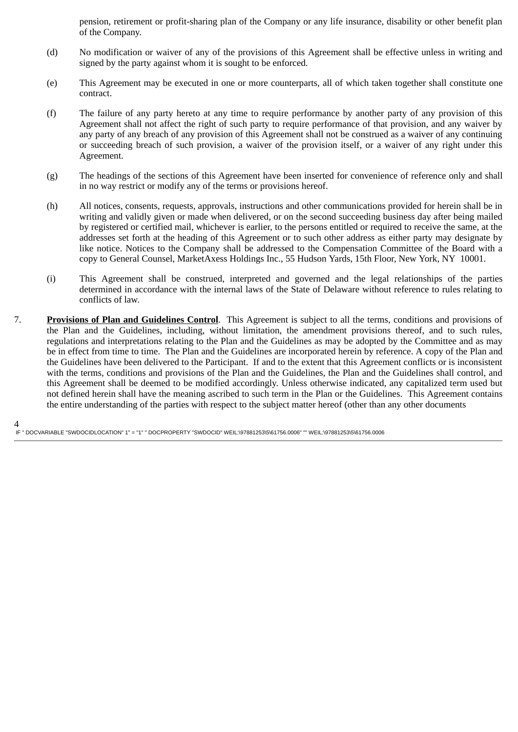pension, retirement or profit-sharing plan of the Company or any life insurance, disability or other benefit plan of the Company.

- (d) No modification or waiver of any of the provisions of this Agreement shall be effective unless in writing and signed by the party against whom it is sought to be enforced.
- (e) This Agreement may be executed in one or more counterparts, all of which taken together shall constitute one contract.
- (f) The failure of any party hereto at any time to require performance by another party of any provision of this Agreement shall not affect the right of such party to require performance of that provision, and any waiver by any party of any breach of any provision of this Agreement shall not be construed as a waiver of any continuing or succeeding breach of such provision, a waiver of the provision itself, or a waiver of any right under this Agreement.
- (g) The headings of the sections of this Agreement have been inserted for convenience of reference only and shall in no way restrict or modify any of the terms or provisions hereof.
- (h) All notices, consents, requests, approvals, instructions and other communications provided for herein shall be in writing and validly given or made when delivered, or on the second succeeding business day after being mailed by registered or certified mail, whichever is earlier, to the persons entitled or required to receive the same, at the addresses set forth at the heading of this Agreement or to such other address as either party may designate by like notice. Notices to the Company shall be addressed to the Compensation Committee of the Board with a copy to General Counsel, MarketAxess Holdings Inc., 55 Hudson Yards, 15th Floor, New York, NY 10001.
- (i) This Agreement shall be construed, interpreted and governed and the legal relationships of the parties determined in accordance with the internal laws of the State of Delaware without reference to rules relating to conflicts of law.
- 7. **Provisions of Plan and Guidelines Control**. This Agreement is subject to all the terms, conditions and provisions of the Plan and the Guidelines, including, without limitation, the amendment provisions thereof, and to such rules, regulations and interpretations relating to the Plan and the Guidelines as may be adopted by the Committee and as may be in effect from time to time. The Plan and the Guidelines are incorporated herein by reference. A copy of the Plan and the Guidelines have been delivered to the Participant. If and to the extent that this Agreement conflicts or is inconsistent with the terms, conditions and provisions of the Plan and the Guidelines, the Plan and the Guidelines shall control, and this Agreement shall be deemed to be modified accordingly. Unless otherwise indicated, any capitalized term used but not defined herein shall have the meaning ascribed to such term in the Plan or the Guidelines. This Agreement contains the entire understanding of the parties with respect to the subject matter hereof (other than any other documents

4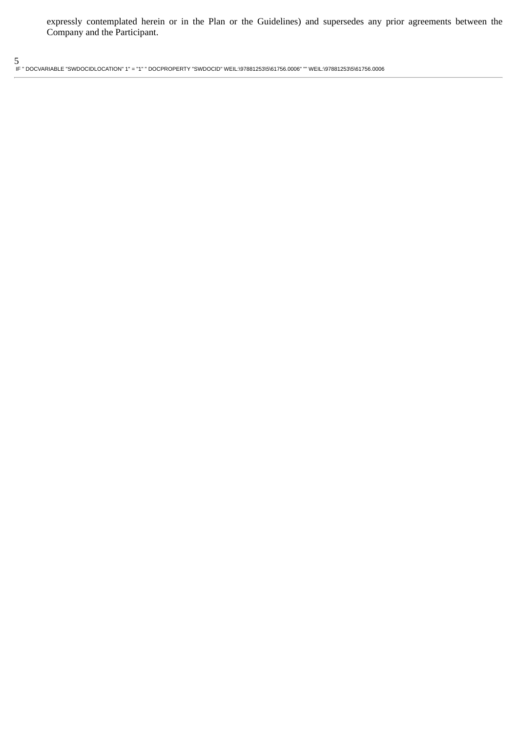expressly contemplated herein or in the Plan or the Guidelines) and supersedes any prior agreements between the Company and the Participant.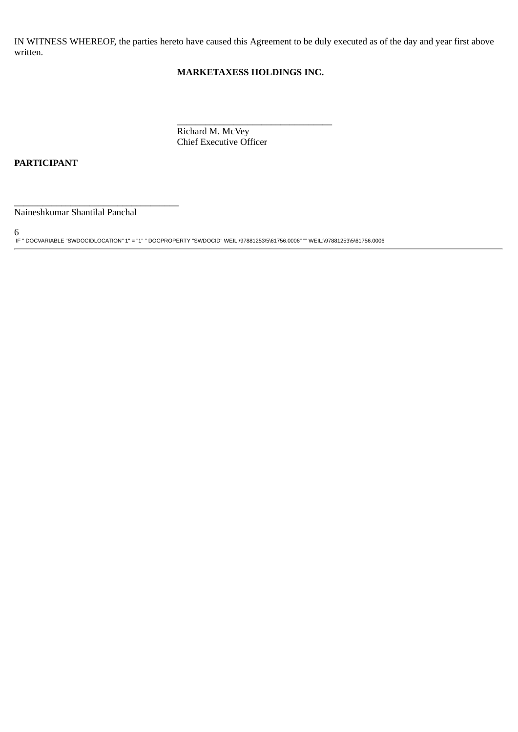IN WITNESS WHEREOF, the parties hereto have caused this Agreement to be duly executed as of the day and year first above written.

# **MARKETAXESS HOLDINGS INC.**

\_\_\_\_\_\_\_\_\_\_\_\_\_\_\_\_\_\_\_\_\_\_\_\_\_\_\_\_\_\_\_\_\_

Richard M. McVey Chief Executive Officer

## **PARTICIPANT**

Naineshkumar Shantilal Panchal

\_\_\_\_\_\_\_\_\_\_\_\_\_\_\_\_\_\_\_\_\_\_\_\_\_\_\_\_\_\_\_\_\_\_\_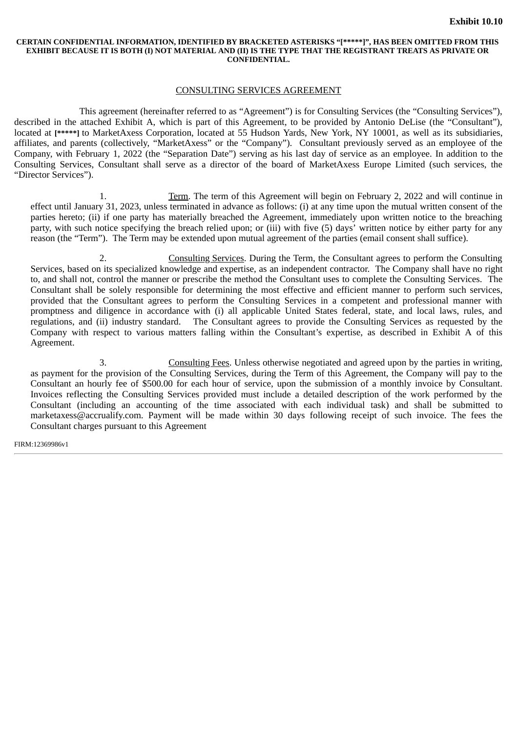### **CERTAIN CONFIDENTIAL INFORMATION, IDENTIFIED BY BRACKETED ASTERISKS "[\*\*\*\*\*]", HAS BEEN OMITTED FROM THIS** EXHIBIT BECAUSE IT IS BOTH (I) NOT MATERIAL AND (II) IS THE TYPE THAT THE REGISTRANT TREATS AS PRIVATE OR **CONFIDENTIAL.**

### CONSULTING SERVICES AGREEMENT

This agreement (hereinafter referred to as "Agreement") is for Consulting Services (the "Consulting Services"), described in the attached Exhibit A, which is part of this Agreement, to be provided by Antonio DeLise (the "Consultant"), located at **[\*\*\*\*\*]** to MarketAxess Corporation, located at 55 Hudson Yards, New York, NY 10001, as well as its subsidiaries, affiliates, and parents (collectively, "MarketAxess" or the "Company"). Consultant previously served as an employee of the Company, with February 1, 2022 (the "Separation Date") serving as his last day of service as an employee. In addition to the Consulting Services, Consultant shall serve as a director of the board of MarketAxess Europe Limited (such services, the "Director Services").

1. Term. The term of this Agreement will begin on February 2, 2022 and will continue in effect until January 31, 2023, unless terminated in advance as follows: (i) at any time upon the mutual written consent of the parties hereto; (ii) if one party has materially breached the Agreement, immediately upon written notice to the breaching party, with such notice specifying the breach relied upon; or (iii) with five (5) days' written notice by either party for any reason (the "Term"). The Term may be extended upon mutual agreement of the parties (email consent shall suffice).

2. Consulting Services. During the Term, the Consultant agrees to perform the Consulting Services, based on its specialized knowledge and expertise, as an independent contractor. The Company shall have no right to, and shall not, control the manner or prescribe the method the Consultant uses to complete the Consulting Services. The Consultant shall be solely responsible for determining the most effective and efficient manner to perform such services, provided that the Consultant agrees to perform the Consulting Services in a competent and professional manner with promptness and diligence in accordance with (i) all applicable United States federal, state, and local laws, rules, and regulations, and (ii) industry standard. The Consultant agrees to provide the Consulting Services as requested by the Company with respect to various matters falling within the Consultant's expertise, as described in Exhibit A of this Agreement.

3. Consulting Fees. Unless otherwise negotiated and agreed upon by the parties in writing, as payment for the provision of the Consulting Services, during the Term of this Agreement, the Company will pay to the Consultant an hourly fee of \$500.00 for each hour of service, upon the submission of a monthly invoice by Consultant. Invoices reflecting the Consulting Services provided must include a detailed description of the work performed by the Consultant (including an accounting of the time associated with each individual task) and shall be submitted to marketaxess@accrualify.com. Payment will be made within 30 days following receipt of such invoice. The fees the Consultant charges pursuant to this Agreement

FIRM:12369986v1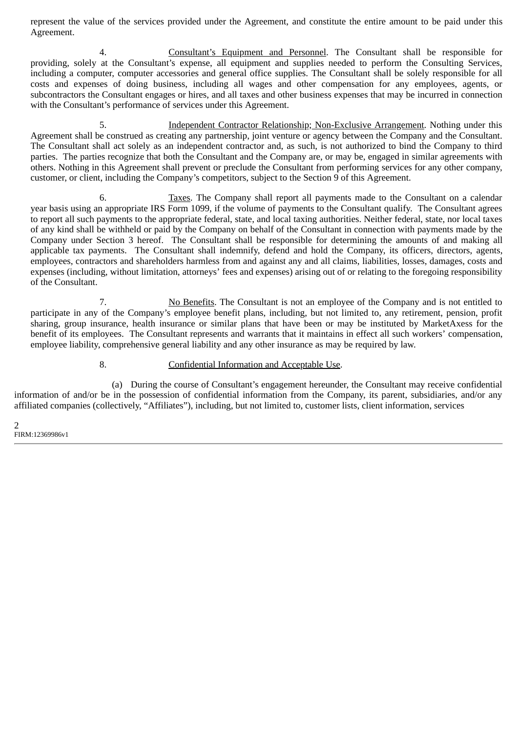represent the value of the services provided under the Agreement, and constitute the entire amount to be paid under this Agreement.

4. Consultant's Equipment and Personnel. The Consultant shall be responsible for providing, solely at the Consultant's expense, all equipment and supplies needed to perform the Consulting Services, including a computer, computer accessories and general office supplies. The Consultant shall be solely responsible for all costs and expenses of doing business, including all wages and other compensation for any employees, agents, or subcontractors the Consultant engages or hires, and all taxes and other business expenses that may be incurred in connection with the Consultant's performance of services under this Agreement.

5. Independent Contractor Relationship; Non-Exclusive Arrangement. Nothing under this Agreement shall be construed as creating any partnership, joint venture or agency between the Company and the Consultant. The Consultant shall act solely as an independent contractor and, as such, is not authorized to bind the Company to third parties. The parties recognize that both the Consultant and the Company are, or may be, engaged in similar agreements with others. Nothing in this Agreement shall prevent or preclude the Consultant from performing services for any other company, customer, or client, including the Company's competitors, subject to the Section 9 of this Agreement.

6. Taxes. The Company shall report all payments made to the Consultant on a calendar year basis using an appropriate IRS Form 1099, if the volume of payments to the Consultant qualify. The Consultant agrees to report all such payments to the appropriate federal, state, and local taxing authorities. Neither federal, state, nor local taxes of any kind shall be withheld or paid by the Company on behalf of the Consultant in connection with payments made by the Company under Section 3 hereof. The Consultant shall be responsible for determining the amounts of and making all applicable tax payments. The Consultant shall indemnify, defend and hold the Company, its officers, directors, agents, employees, contractors and shareholders harmless from and against any and all claims, liabilities, losses, damages, costs and expenses (including, without limitation, attorneys' fees and expenses) arising out of or relating to the foregoing responsibility of the Consultant.

7. No Benefits. The Consultant is not an employee of the Company and is not entitled to participate in any of the Company's employee benefit plans, including, but not limited to, any retirement, pension, profit sharing, group insurance, health insurance or similar plans that have been or may be instituted by MarketAxess for the benefit of its employees. The Consultant represents and warrants that it maintains in effect all such workers' compensation, employee liability, comprehensive general liability and any other insurance as may be required by law.

8. Confidential Information and Acceptable Use.

(a) During the course of Consultant's engagement hereunder, the Consultant may receive confidential information of and/or be in the possession of confidential information from the Company, its parent, subsidiaries, and/or any affiliated companies (collectively, "Affiliates"), including, but not limited to, customer lists, client information, services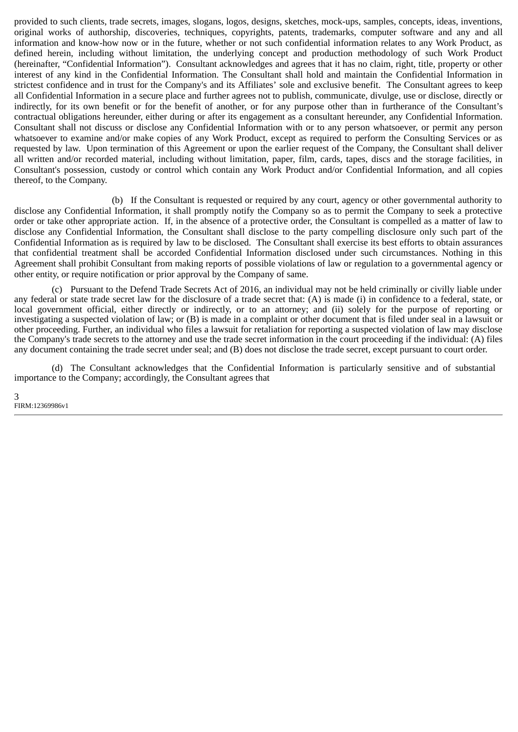provided to such clients, trade secrets, images, slogans, logos, designs, sketches, mock-ups, samples, concepts, ideas, inventions, original works of authorship, discoveries, techniques, copyrights, patents, trademarks, computer software and any and all information and know-how now or in the future, whether or not such confidential information relates to any Work Product, as defined herein, including without limitation, the underlying concept and production methodology of such Work Product (hereinafter, "Confidential Information"). Consultant acknowledges and agrees that it has no claim, right, title, property or other interest of any kind in the Confidential Information. The Consultant shall hold and maintain the Confidential Information in strictest confidence and in trust for the Company's and its Affiliates' sole and exclusive benefit. The Consultant agrees to keep all Confidential Information in a secure place and further agrees not to publish, communicate, divulge, use or disclose, directly or indirectly, for its own benefit or for the benefit of another, or for any purpose other than in furtherance of the Consultant's contractual obligations hereunder, either during or after its engagement as a consultant hereunder, any Confidential Information. Consultant shall not discuss or disclose any Confidential Information with or to any person whatsoever, or permit any person whatsoever to examine and/or make copies of any Work Product, except as required to perform the Consulting Services or as requested by law. Upon termination of this Agreement or upon the earlier request of the Company, the Consultant shall deliver all written and/or recorded material, including without limitation, paper, film, cards, tapes, discs and the storage facilities, in Consultant's possession, custody or control which contain any Work Product and/or Confidential Information, and all copies thereof, to the Company.

(b) If the Consultant is requested or required by any court, agency or other governmental authority to disclose any Confidential Information, it shall promptly notify the Company so as to permit the Company to seek a protective order or take other appropriate action. If, in the absence of a protective order, the Consultant is compelled as a matter of law to disclose any Confidential Information, the Consultant shall disclose to the party compelling disclosure only such part of the Confidential Information as is required by law to be disclosed. The Consultant shall exercise its best efforts to obtain assurances that confidential treatment shall be accorded Confidential Information disclosed under such circumstances. Nothing in this Agreement shall prohibit Consultant from making reports of possible violations of law or regulation to a governmental agency or other entity, or require notification or prior approval by the Company of same.

(c) Pursuant to the Defend Trade Secrets Act of 2016, an individual may not be held criminally or civilly liable under any federal or state trade secret law for the disclosure of a trade secret that: (A) is made (i) in confidence to a federal, state, or local government official, either directly or indirectly, or to an attorney; and (ii) solely for the purpose of reporting or investigating a suspected violation of law; or (B) is made in a complaint or other document that is filed under seal in a lawsuit or other proceeding. Further, an individual who files a lawsuit for retaliation for reporting a suspected violation of law may disclose the Company's trade secrets to the attorney and use the trade secret information in the court proceeding if the individual: (A) files any document containing the trade secret under seal; and (B) does not disclose the trade secret, except pursuant to court order.

(d) The Consultant acknowledges that the Confidential Information is particularly sensitive and of substantial importance to the Company; accordingly, the Consultant agrees that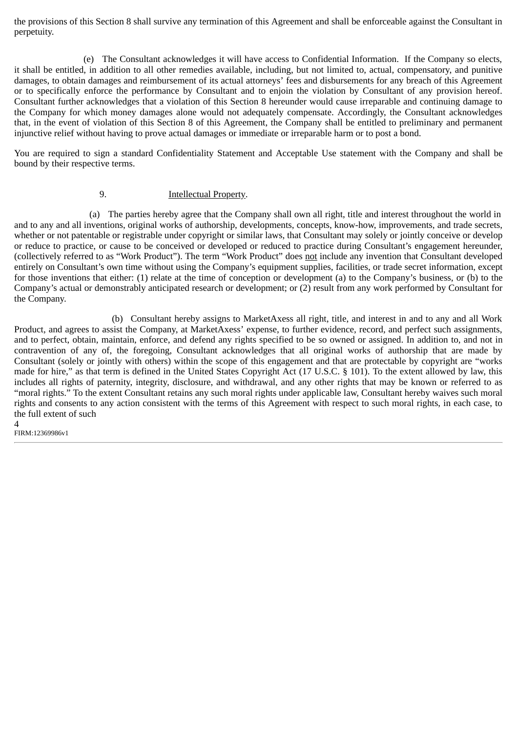the provisions of this Section 8 shall survive any termination of this Agreement and shall be enforceable against the Consultant in perpetuity.

(e) The Consultant acknowledges it will have access to Confidential Information. If the Company so elects, it shall be entitled, in addition to all other remedies available, including, but not limited to, actual, compensatory, and punitive damages, to obtain damages and reimbursement of its actual attorneys' fees and disbursements for any breach of this Agreement or to specifically enforce the performance by Consultant and to enjoin the violation by Consultant of any provision hereof. Consultant further acknowledges that a violation of this Section 8 hereunder would cause irreparable and continuing damage to the Company for which money damages alone would not adequately compensate. Accordingly, the Consultant acknowledges that, in the event of violation of this Section 8 of this Agreement, the Company shall be entitled to preliminary and permanent injunctive relief without having to prove actual damages or immediate or irreparable harm or to post a bond.

You are required to sign a standard Confidentiality Statement and Acceptable Use statement with the Company and shall be bound by their respective terms.

## 9. Intellectual Property.

(a) The parties hereby agree that the Company shall own all right, title and interest throughout the world in and to any and all inventions, original works of authorship, developments, concepts, know-how, improvements, and trade secrets, whether or not patentable or registrable under copyright or similar laws, that Consultant may solely or jointly conceive or develop or reduce to practice, or cause to be conceived or developed or reduced to practice during Consultant's engagement hereunder, (collectively referred to as "Work Product"). The term "Work Product" does not include any invention that Consultant developed entirely on Consultant's own time without using the Company's equipment supplies, facilities, or trade secret information, except for those inventions that either: (1) relate at the time of conception or development (a) to the Company's business, or (b) to the Company's actual or demonstrably anticipated research or development; or (2) result from any work performed by Consultant for the Company.

(b) Consultant hereby assigns to MarketAxess all right, title, and interest in and to any and all Work Product, and agrees to assist the Company, at MarketAxess' expense, to further evidence, record, and perfect such assignments, and to perfect, obtain, maintain, enforce, and defend any rights specified to be so owned or assigned. In addition to, and not in contravention of any of, the foregoing, Consultant acknowledges that all original works of authorship that are made by Consultant (solely or jointly with others) within the scope of this engagement and that are protectable by copyright are "works made for hire," as that term is defined in the United States Copyright Act (17 U.S.C. § 101). To the extent allowed by law, this includes all rights of paternity, integrity, disclosure, and withdrawal, and any other rights that may be known or referred to as "moral rights." To the extent Consultant retains any such moral rights under applicable law, Consultant hereby waives such moral rights and consents to any action consistent with the terms of this Agreement with respect to such moral rights, in each case, to the full extent of such

FIRM:12369986v1

4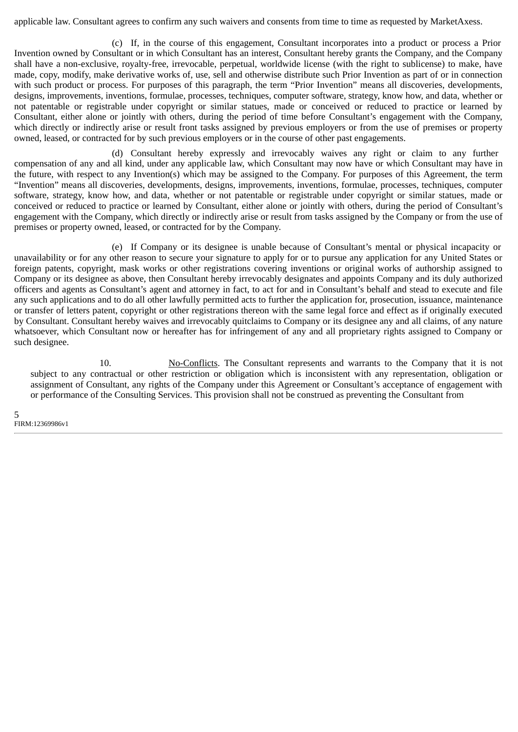applicable law. Consultant agrees to confirm any such waivers and consents from time to time as requested by MarketAxess.

(c) If, in the course of this engagement, Consultant incorporates into a product or process a Prior Invention owned by Consultant or in which Consultant has an interest, Consultant hereby grants the Company, and the Company shall have a non-exclusive, royalty-free, irrevocable, perpetual, worldwide license (with the right to sublicense) to make, have made, copy, modify, make derivative works of, use, sell and otherwise distribute such Prior Invention as part of or in connection with such product or process. For purposes of this paragraph, the term "Prior Invention" means all discoveries, developments, designs, improvements, inventions, formulae, processes, techniques, computer software, strategy, know how, and data, whether or not patentable or registrable under copyright or similar statues, made or conceived or reduced to practice or learned by Consultant, either alone or jointly with others, during the period of time before Consultant's engagement with the Company, which directly or indirectly arise or result front tasks assigned by previous employers or from the use of premises or property owned, leased, or contracted for by such previous employers or in the course of other past engagements.

(d) Consultant hereby expressly and irrevocably waives any right or claim to any further compensation of any and all kind, under any applicable law, which Consultant may now have or which Consultant may have in the future, with respect to any Invention(s) which may be assigned to the Company. For purposes of this Agreement, the term "Invention" means all discoveries, developments, designs, improvements, inventions, formulae, processes, techniques, computer software, strategy, know how, and data, whether or not patentable or registrable under copyright or similar statues, made or conceived or reduced to practice or learned by Consultant, either alone or jointly with others, during the period of Consultant's engagement with the Company, which directly or indirectly arise or result from tasks assigned by the Company or from the use of premises or property owned, leased, or contracted for by the Company.

(e) If Company or its designee is unable because of Consultant's mental or physical incapacity or unavailability or for any other reason to secure your signature to apply for or to pursue any application for any United States or foreign patents, copyright, mask works or other registrations covering inventions or original works of authorship assigned to Company or its designee as above, then Consultant hereby irrevocably designates and appoints Company and its duly authorized officers and agents as Consultant's agent and attorney in fact, to act for and in Consultant's behalf and stead to execute and file any such applications and to do all other lawfully permitted acts to further the application for, prosecution, issuance, maintenance or transfer of letters patent, copyright or other registrations thereon with the same legal force and effect as if originally executed by Consultant. Consultant hereby waives and irrevocably quitclaims to Company or its designee any and all claims, of any nature whatsoever, which Consultant now or hereafter has for infringement of any and all proprietary rights assigned to Company or such designee.

10. No-Conflicts. The Consultant represents and warrants to the Company that it is not subject to any contractual or other restriction or obligation which is inconsistent with any representation, obligation or assignment of Consultant, any rights of the Company under this Agreement or Consultant's acceptance of engagement with or performance of the Consulting Services. This provision shall not be construed as preventing the Consultant from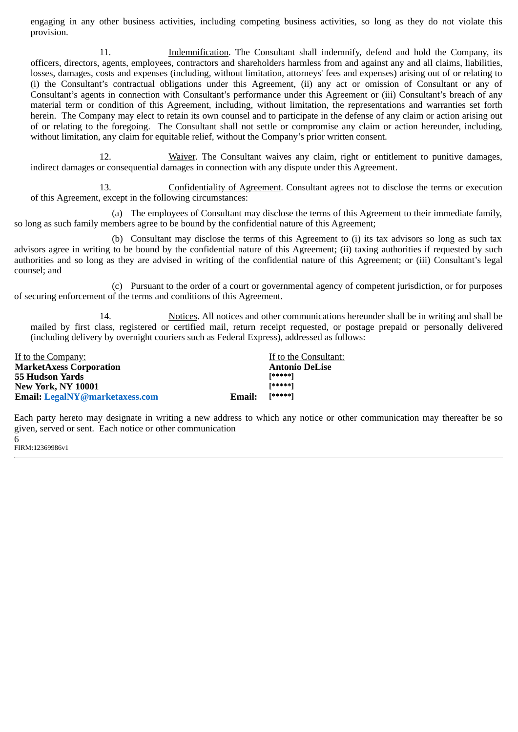engaging in any other business activities, including competing business activities, so long as they do not violate this provision.

11. Indemnification. The Consultant shall indemnify, defend and hold the Company, its officers, directors, agents, employees, contractors and shareholders harmless from and against any and all claims, liabilities, losses, damages, costs and expenses (including, without limitation, attorneys' fees and expenses) arising out of or relating to (i) the Consultant's contractual obligations under this Agreement, (ii) any act or omission of Consultant or any of Consultant's agents in connection with Consultant's performance under this Agreement or (iii) Consultant's breach of any material term or condition of this Agreement, including, without limitation, the representations and warranties set forth herein. The Company may elect to retain its own counsel and to participate in the defense of any claim or action arising out of or relating to the foregoing. The Consultant shall not settle or compromise any claim or action hereunder, including, without limitation, any claim for equitable relief, without the Company's prior written consent.

12. Waiver. The Consultant waives any claim, right or entitlement to punitive damages, indirect damages or consequential damages in connection with any dispute under this Agreement.

13. Confidentiality of Agreement. Consultant agrees not to disclose the terms or execution of this Agreement, except in the following circumstances:

(a) The employees of Consultant may disclose the terms of this Agreement to their immediate family, so long as such family members agree to be bound by the confidential nature of this Agreement;

(b) Consultant may disclose the terms of this Agreement to (i) its tax advisors so long as such tax advisors agree in writing to be bound by the confidential nature of this Agreement; (ii) taxing authorities if requested by such authorities and so long as they are advised in writing of the confidential nature of this Agreement; or (iii) Consultant's legal counsel; and

(c) Pursuant to the order of a court or governmental agency of competent jurisdiction, or for purposes of securing enforcement of the terms and conditions of this Agreement.

14. Notices. All notices and other communications hereunder shall be in writing and shall be mailed by first class, registered or certified mail, return receipt requested, or postage prepaid or personally delivered (including delivery by overnight couriers such as Federal Express), addressed as follows:

| If to the Company:             |        | If to the Consultant: |
|--------------------------------|--------|-----------------------|
| <b>MarketAxess Corporation</b> |        | <b>Antonio DeLise</b> |
| 55 Hudson Yards                |        | [*****]               |
| <b>New York, NY 10001</b>      |        | [*****]               |
| Email: LegalNY@marketaxess.com | Email: | [*****]               |

Each party hereto may designate in writing a new address to which any notice or other communication may thereafter be so given, served or sent. Each notice or other communication 6

FIRM:12369986v1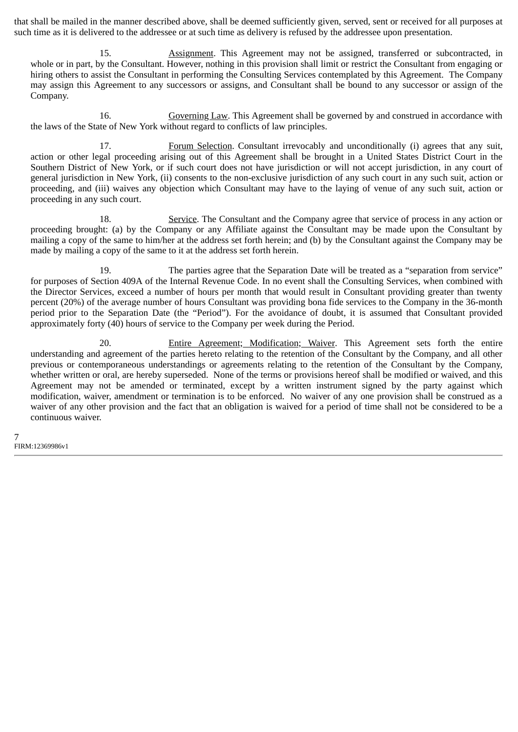that shall be mailed in the manner described above, shall be deemed sufficiently given, served, sent or received for all purposes at such time as it is delivered to the addressee or at such time as delivery is refused by the addressee upon presentation.

15. Assignment. This Agreement may not be assigned, transferred or subcontracted, in whole or in part, by the Consultant. However, nothing in this provision shall limit or restrict the Consultant from engaging or hiring others to assist the Consultant in performing the Consulting Services contemplated by this Agreement. The Company may assign this Agreement to any successors or assigns, and Consultant shall be bound to any successor or assign of the Company.

16. Governing Law. This Agreement shall be governed by and construed in accordance with the laws of the State of New York without regard to conflicts of law principles.

17. Forum Selection. Consultant irrevocably and unconditionally (i) agrees that any suit, action or other legal proceeding arising out of this Agreement shall be brought in a United States District Court in the Southern District of New York, or if such court does not have jurisdiction or will not accept jurisdiction, in any court of general jurisdiction in New York, (ii) consents to the non-exclusive jurisdiction of any such court in any such suit, action or proceeding, and (iii) waives any objection which Consultant may have to the laying of venue of any such suit, action or proceeding in any such court.

18. Service. The Consultant and the Company agree that service of process in any action or proceeding brought: (a) by the Company or any Affiliate against the Consultant may be made upon the Consultant by mailing a copy of the same to him/her at the address set forth herein; and (b) by the Consultant against the Company may be made by mailing a copy of the same to it at the address set forth herein.

19. The parties agree that the Separation Date will be treated as a "separation from service" for purposes of Section 409A of the Internal Revenue Code. In no event shall the Consulting Services, when combined with the Director Services, exceed a number of hours per month that would result in Consultant providing greater than twenty percent (20%) of the average number of hours Consultant was providing bona fide services to the Company in the 36-month period prior to the Separation Date (the "Period"). For the avoidance of doubt, it is assumed that Consultant provided approximately forty (40) hours of service to the Company per week during the Period.

20. Entire Agreement; Modification; Waiver. This Agreement sets forth the entire understanding and agreement of the parties hereto relating to the retention of the Consultant by the Company, and all other previous or contemporaneous understandings or agreements relating to the retention of the Consultant by the Company, whether written or oral, are hereby superseded. None of the terms or provisions hereof shall be modified or waived, and this Agreement may not be amended or terminated, except by a written instrument signed by the party against which modification, waiver, amendment or termination is to be enforced. No waiver of any one provision shall be construed as a waiver of any other provision and the fact that an obligation is waived for a period of time shall not be considered to be a continuous waiver.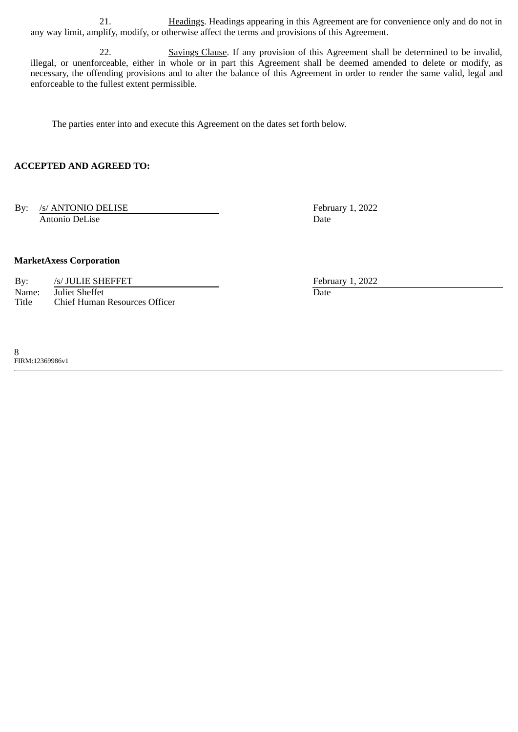21. **Headings.** Headings appearing in this Agreement are for convenience only and do not in any way limit, amplify, modify, or otherwise affect the terms and provisions of this Agreement.

22. Savings Clause. If any provision of this Agreement shall be determined to be invalid, illegal, or unenforceable, either in whole or in part this Agreement shall be deemed amended to delete or modify, as necessary, the offending provisions and to alter the balance of this Agreement in order to render the same valid, legal and enforceable to the fullest extent permissible.

The parties enter into and execute this Agreement on the dates set forth below.

## **ACCEPTED AND AGREED TO:**

By: /s/ ANTONIO DELISE February 1, 2022 Antonio DeLise Date

## **MarketAxess Corporation**

| By:   | /s/ JULIE SHEFFET             | Febru |
|-------|-------------------------------|-------|
| Name: | Juliet Sheffet                | Date  |
| Title | Chief Human Resources Officer |       |

February 1, 2022

8 FIRM:12369986v1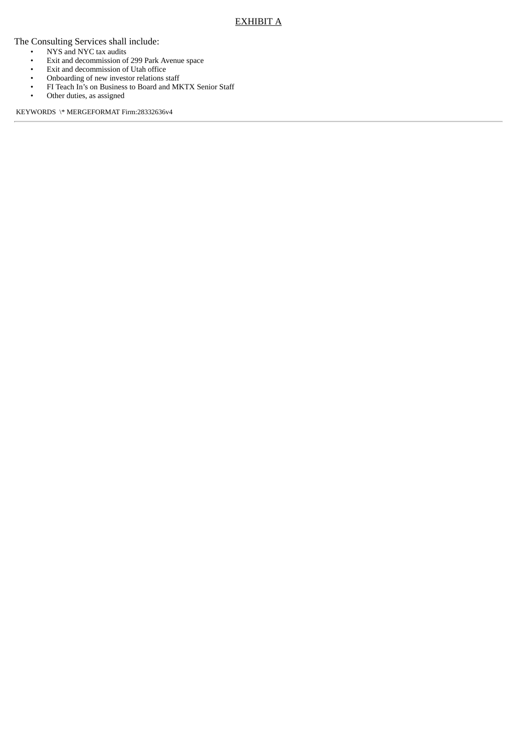## EXHIBIT A

The Consulting Services shall include:

- NYS and NYC tax audits
- Exit and decommission of 299 Park Avenue space
- Exit and decommission of Utah office
- Onboarding of new investor relations staff
- FI Teach In's on Business to Board and MKTX Senior Staff<br>• Other duties, as assigned
- Other duties, as assigned

KEYWORDS \\* MERGEFORMAT Firm:28332636v4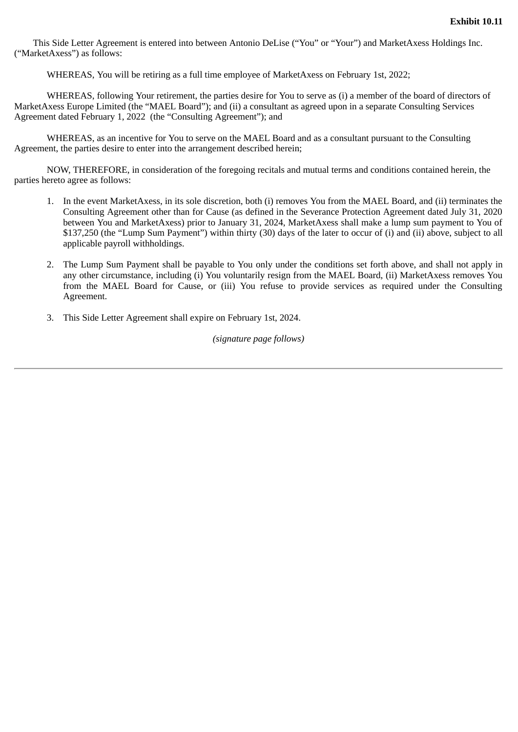This Side Letter Agreement is entered into between Antonio DeLise ("You" or "Your") and MarketAxess Holdings Inc. ("MarketAxess") as follows:

WHEREAS, You will be retiring as a full time employee of MarketAxess on February 1st, 2022;

WHEREAS, following Your retirement, the parties desire for You to serve as (i) a member of the board of directors of MarketAxess Europe Limited (the "MAEL Board"); and (ii) a consultant as agreed upon in a separate Consulting Services Agreement dated February 1, 2022 (the "Consulting Agreement"); and

WHEREAS, as an incentive for You to serve on the MAEL Board and as a consultant pursuant to the Consulting Agreement, the parties desire to enter into the arrangement described herein;

NOW, THEREFORE, in consideration of the foregoing recitals and mutual terms and conditions contained herein, the parties hereto agree as follows:

- 1. In the event MarketAxess, in its sole discretion, both (i) removes You from the MAEL Board, and (ii) terminates the Consulting Agreement other than for Cause (as defined in the Severance Protection Agreement dated July 31, 2020 between You and MarketAxess) prior to January 31, 2024, MarketAxess shall make a lump sum payment to You of \$137,250 (the "Lump Sum Payment") within thirty (30) days of the later to occur of (i) and (ii) above, subject to all applicable payroll withholdings.
- 2. The Lump Sum Payment shall be payable to You only under the conditions set forth above, and shall not apply in any other circumstance, including (i) You voluntarily resign from the MAEL Board, (ii) MarketAxess removes You from the MAEL Board for Cause, or (iii) You refuse to provide services as required under the Consulting Agreement.
- 3. This Side Letter Agreement shall expire on February 1st, 2024.

*(signature page follows)*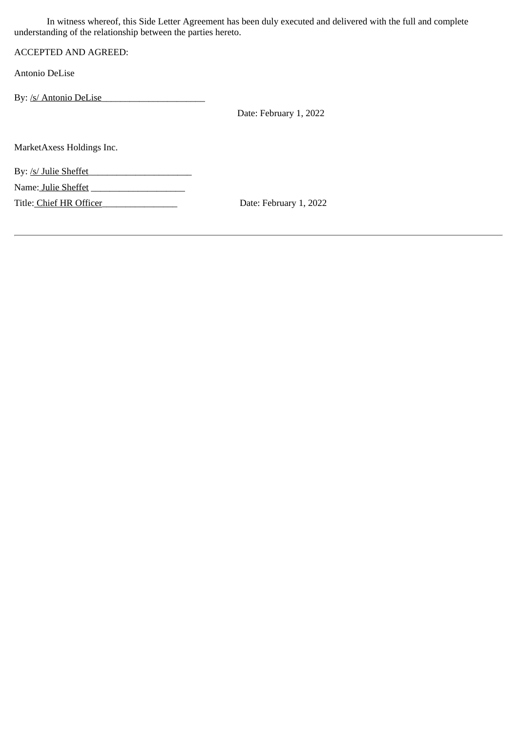In witness whereof, this Side Letter Agreement has been duly executed and delivered with the full and complete understanding of the relationship between the parties hereto.

ACCEPTED AND AGREED:

Antonio DeLise

By: /s/ Antonio DeLise

Date: February 1, 2022

MarketAxess Holdings Inc.

By: /s/ Julie Sheffet

Name: Julie Sheffet \_\_\_\_\_\_\_\_\_\_\_\_\_\_\_\_\_\_\_\_

Title: Chief HR Officer<br>Date: February 1, 2022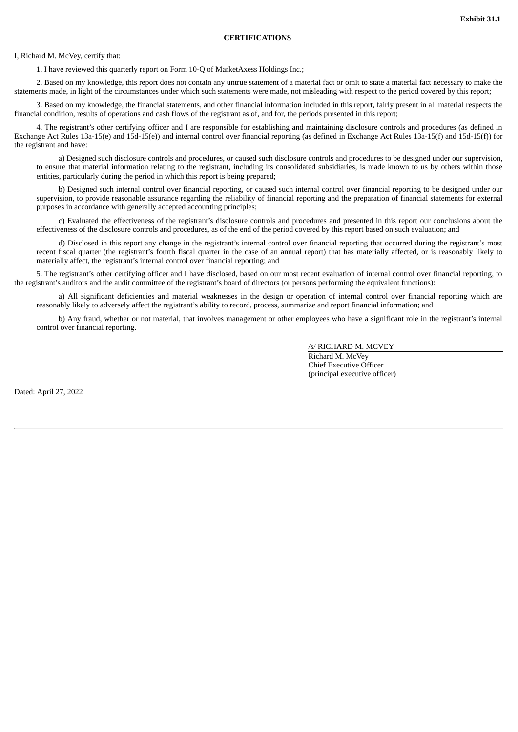### **CERTIFICATIONS**

I, Richard M. McVey, certify that:

1. I have reviewed this quarterly report on Form 10-Q of MarketAxess Holdings Inc.;

2. Based on my knowledge, this report does not contain any untrue statement of a material fact or omit to state a material fact necessary to make the statements made, in light of the circumstances under which such statements were made, not misleading with respect to the period covered by this report;

3. Based on my knowledge, the financial statements, and other financial information included in this report, fairly present in all material respects the financial condition, results of operations and cash flows of the registrant as of, and for, the periods presented in this report;

4. The registrant's other certifying officer and I are responsible for establishing and maintaining disclosure controls and procedures (as defined in Exchange Act Rules 13a-15(e) and 15d-15(e)) and internal control over financial reporting (as defined in Exchange Act Rules 13a-15(f) and 15d-15(f)) for the registrant and have:

a) Designed such disclosure controls and procedures, or caused such disclosure controls and procedures to be designed under our supervision, to ensure that material information relating to the registrant, including its consolidated subsidiaries, is made known to us by others within those entities, particularly during the period in which this report is being prepared;

b) Designed such internal control over financial reporting, or caused such internal control over financial reporting to be designed under our supervision, to provide reasonable assurance regarding the reliability of financial reporting and the preparation of financial statements for external purposes in accordance with generally accepted accounting principles;

c) Evaluated the effectiveness of the registrant's disclosure controls and procedures and presented in this report our conclusions about the effectiveness of the disclosure controls and procedures, as of the end of the period covered by this report based on such evaluation; and

d) Disclosed in this report any change in the registrant's internal control over financial reporting that occurred during the registrant's most recent fiscal quarter (the registrant's fourth fiscal quarter in the case of an annual report) that has materially affected, or is reasonably likely to materially affect, the registrant's internal control over financial reporting; and

5. The registrant's other certifying officer and I have disclosed, based on our most recent evaluation of internal control over financial reporting, to the registrant's auditors and the audit committee of the registrant's board of directors (or persons performing the equivalent functions):

a) All significant deficiencies and material weaknesses in the design or operation of internal control over financial reporting which are reasonably likely to adversely affect the registrant's ability to record, process, summarize and report financial information; and

b) Any fraud, whether or not material, that involves management or other employees who have a significant role in the registrant's internal control over financial reporting.

> /s/ RICHARD M. MCVEY Richard M. McVey Chief Executive Officer (principal executive officer)

Dated: April 27, 2022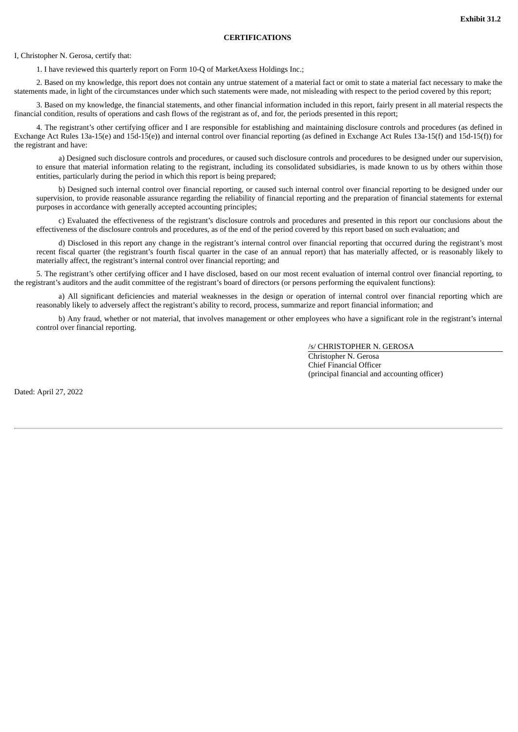### **CERTIFICATIONS**

I, Christopher N. Gerosa, certify that:

1. I have reviewed this quarterly report on Form 10-Q of MarketAxess Holdings Inc.;

2. Based on my knowledge, this report does not contain any untrue statement of a material fact or omit to state a material fact necessary to make the statements made, in light of the circumstances under which such statements were made, not misleading with respect to the period covered by this report;

3. Based on my knowledge, the financial statements, and other financial information included in this report, fairly present in all material respects the financial condition, results of operations and cash flows of the registrant as of, and for, the periods presented in this report;

4. The registrant's other certifying officer and I are responsible for establishing and maintaining disclosure controls and procedures (as defined in Exchange Act Rules 13a-15(e) and 15d-15(e)) and internal control over financial reporting (as defined in Exchange Act Rules 13a-15(f) and 15d-15(f)) for the registrant and have:

a) Designed such disclosure controls and procedures, or caused such disclosure controls and procedures to be designed under our supervision, to ensure that material information relating to the registrant, including its consolidated subsidiaries, is made known to us by others within those entities, particularly during the period in which this report is being prepared;

b) Designed such internal control over financial reporting, or caused such internal control over financial reporting to be designed under our supervision, to provide reasonable assurance regarding the reliability of financial reporting and the preparation of financial statements for external purposes in accordance with generally accepted accounting principles;

c) Evaluated the effectiveness of the registrant's disclosure controls and procedures and presented in this report our conclusions about the effectiveness of the disclosure controls and procedures, as of the end of the period covered by this report based on such evaluation; and

d) Disclosed in this report any change in the registrant's internal control over financial reporting that occurred during the registrant's most recent fiscal quarter (the registrant's fourth fiscal quarter in the case of an annual report) that has materially affected, or is reasonably likely to materially affect, the registrant's internal control over financial reporting; and

5. The registrant's other certifying officer and I have disclosed, based on our most recent evaluation of internal control over financial reporting, to the registrant's auditors and the audit committee of the registrant's board of directors (or persons performing the equivalent functions):

a) All significant deficiencies and material weaknesses in the design or operation of internal control over financial reporting which are reasonably likely to adversely affect the registrant's ability to record, process, summarize and report financial information; and

b) Any fraud, whether or not material, that involves management or other employees who have a significant role in the registrant's internal control over financial reporting.

> /s/ CHRISTOPHER N. GEROSA Christopher N. Gerosa Chief Financial Officer (principal financial and accounting officer)

Dated: April 27, 2022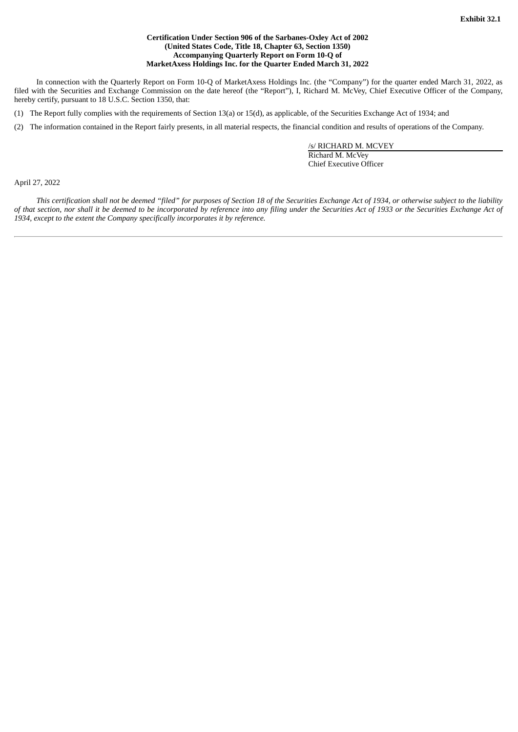### **Certification Under Section 906 of the Sarbanes-Oxley Act of 2002 (United States Code, Title 18, Chapter 63, Section 1350) Accompanying Quarterly Report on Form 10-Q of MarketAxess Holdings Inc. for the Quarter Ended March 31, 2022**

In connection with the Quarterly Report on Form 10-Q of MarketAxess Holdings Inc. (the "Company") for the quarter ended March 31, 2022, as filed with the Securities and Exchange Commission on the date hereof (the "Report"), I, Richard M. McVey, Chief Executive Officer of the Company, hereby certify, pursuant to 18 U.S.C. Section 1350, that:

(1) The Report fully complies with the requirements of Section 13(a) or 15(d), as applicable, of the Securities Exchange Act of 1934; and

(2) The information contained in the Report fairly presents, in all material respects, the financial condition and results of operations of the Company.

/s/ RICHARD M. MCVEY Richard M. McVey Chief Executive Officer

April 27, 2022

This certification shall not be deemed "filed" for purposes of Section 18 of the Securities Exchange Act of 1934, or otherwise subject to the liability of that section, nor shall it be deemed to be incorporated by reference into any filing under the Securities Act of 1933 or the Securities Exchange Act of *1934, except to the extent the Company specifically incorporates it by reference.*